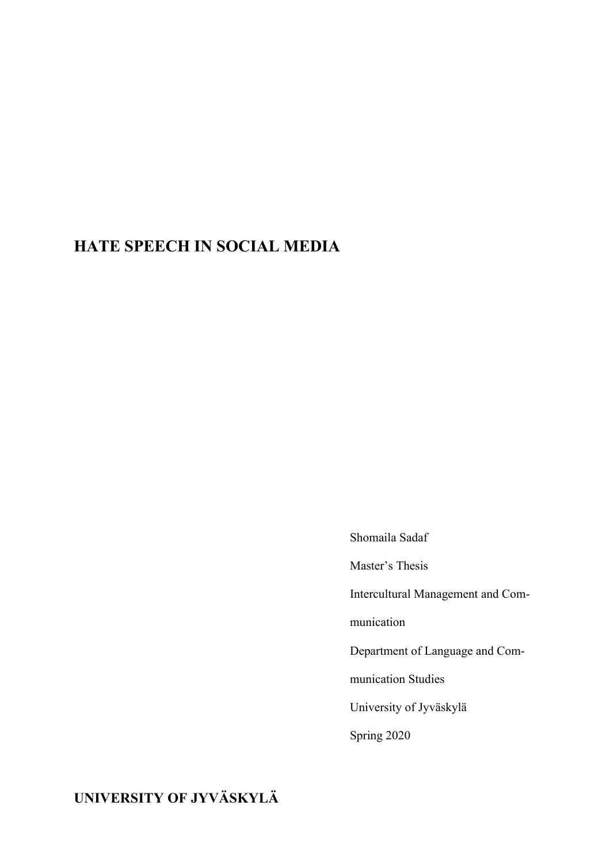# **HATE SPEECH IN SOCIAL MEDIA**

Shomaila Sadaf

Master's Thesis

Intercultural Management and Com-

munication

Department of Language and Com-

munication Studies

University of Jyväskylä

Spring 2020

**UNIVERSITY OF JYVÄSKYLÄ**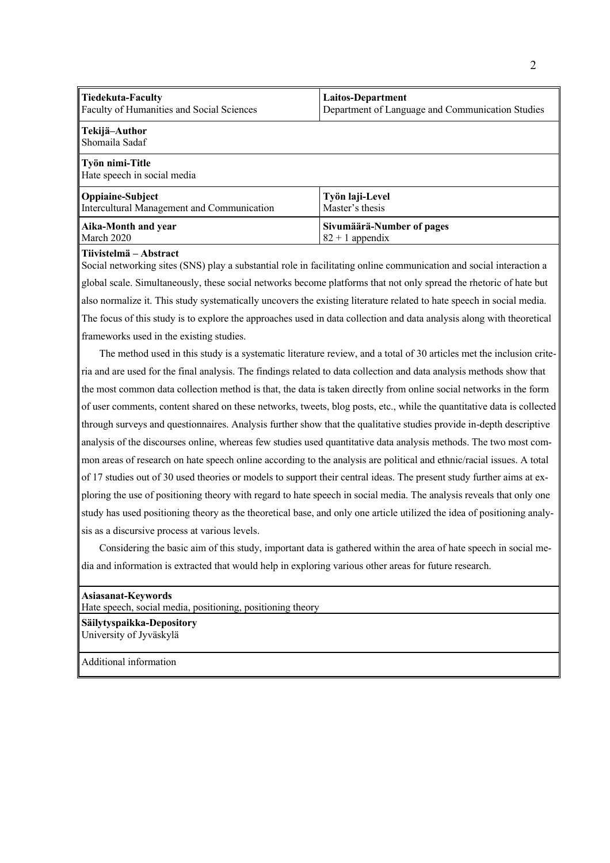| Tiedekuta-Faculty<br>Faculty of Humanities and Social Sciences | Laitos-Department<br>Department of Language and Communication Studies |  |
|----------------------------------------------------------------|-----------------------------------------------------------------------|--|
| Tekijä-Author<br>Shomaila Sadaf                                |                                                                       |  |
| $\ $ Työn nimi-Title<br>Hate speech in social media            |                                                                       |  |

| Oppiaine-Subject                           | Työn laji-Level           |
|--------------------------------------------|---------------------------|
| Intercultural Management and Communication | Master's thesis           |
| Aika-Month and year                        | Sivumäärä-Number of pages |
| March 2020                                 | $82 + 1$ appendix         |

#### **Tiivistelmä – Abstract**

Social networking sites (SNS) play a substantial role in facilitating online communication and social interaction a global scale. Simultaneously, these social networks become platforms that not only spread the rhetoric of hate but also normalize it. This study systematically uncovers the existing literature related to hate speech in social media. The focus of this study is to explore the approaches used in data collection and data analysis along with theoretical frameworks used in the existing studies.

 The method used in this study is a systematic literature review, and a total of 30 articles met the inclusion criteria and are used for the final analysis. The findings related to data collection and data analysis methods show that the most common data collection method is that, the data is taken directly from online social networks in the form of user comments, content shared on these networks, tweets, blog posts, etc., while the quantitative data is collected through surveys and questionnaires. Analysis further show that the qualitative studies provide in-depth descriptive analysis of the discourses online, whereas few studies used quantitative data analysis methods. The two most common areas of research on hate speech online according to the analysis are political and ethnic/racial issues. A total of 17 studies out of 30 used theories or models to support their central ideas. The present study further aims at exploring the use of positioning theory with regard to hate speech in social media. The analysis reveals that only one study has used positioning theory as the theoretical base, and only one article utilized the idea of positioning analysis as a discursive process at various levels.

 Considering the basic aim of this study, important data is gathered within the area of hate speech in social media and information is extracted that would help in exploring various other areas for future research.

#### **Asiasanat-Keywords**

Hate speech, social media, positioning, positioning theory

#### **Säilytyspaikka-Depository**  University of Jyväskylä

Additional information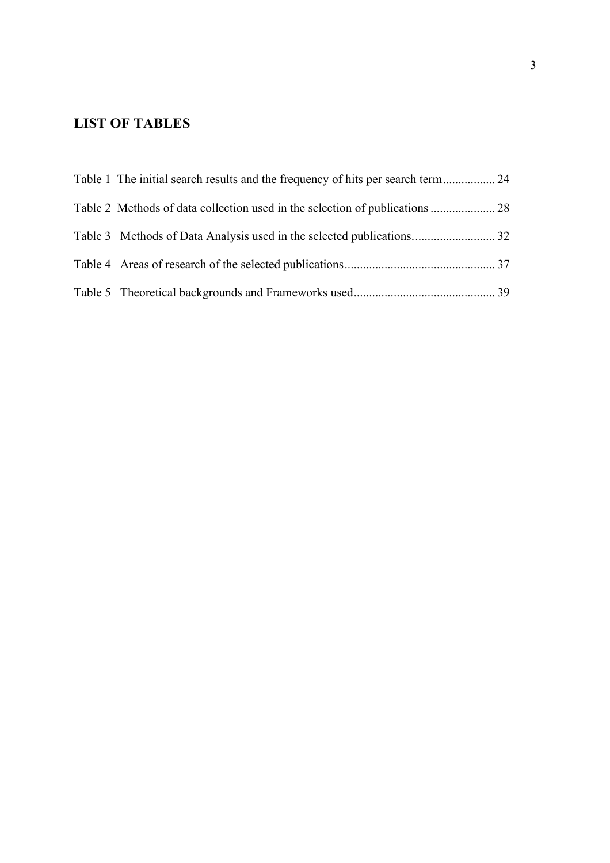# **LIST OF TABLES**

| Table 1 The initial search results and the frequency of hits per search term 24 |  |
|---------------------------------------------------------------------------------|--|
|                                                                                 |  |
|                                                                                 |  |
|                                                                                 |  |
|                                                                                 |  |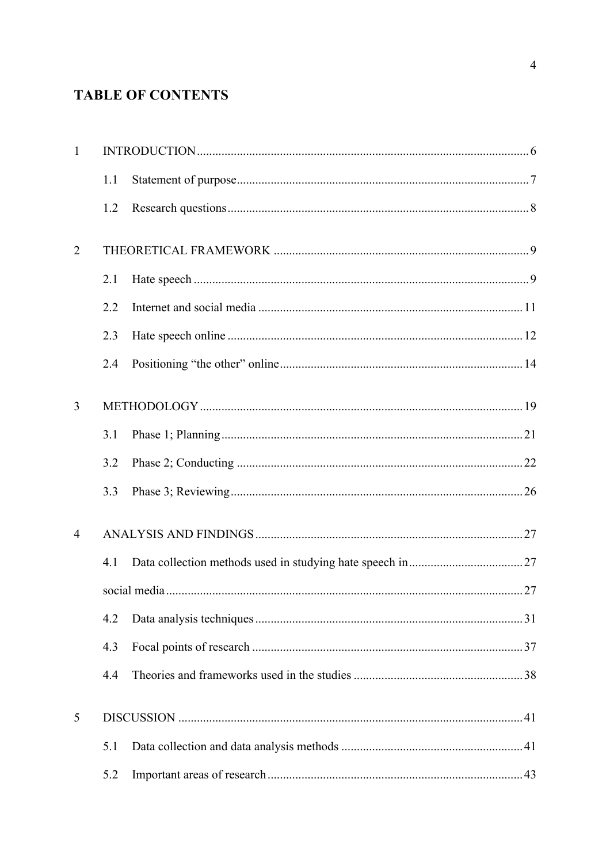# **TABLE OF CONTENTS**

| $\mathbf{1}$   |     |  |
|----------------|-----|--|
|                | 1.1 |  |
|                | 1.2 |  |
| $\overline{2}$ |     |  |
|                | 2.1 |  |
|                | 2.2 |  |
|                | 2.3 |  |
|                | 2.4 |  |
| $\overline{3}$ |     |  |
|                | 3.1 |  |
|                | 3.2 |  |
|                | 3.3 |  |
| $\overline{4}$ |     |  |
|                | 4.1 |  |
|                |     |  |
|                | 4.2 |  |
|                | 4.3 |  |
|                | 4.4 |  |
| 5              |     |  |
|                | 5.1 |  |
|                | 5.2 |  |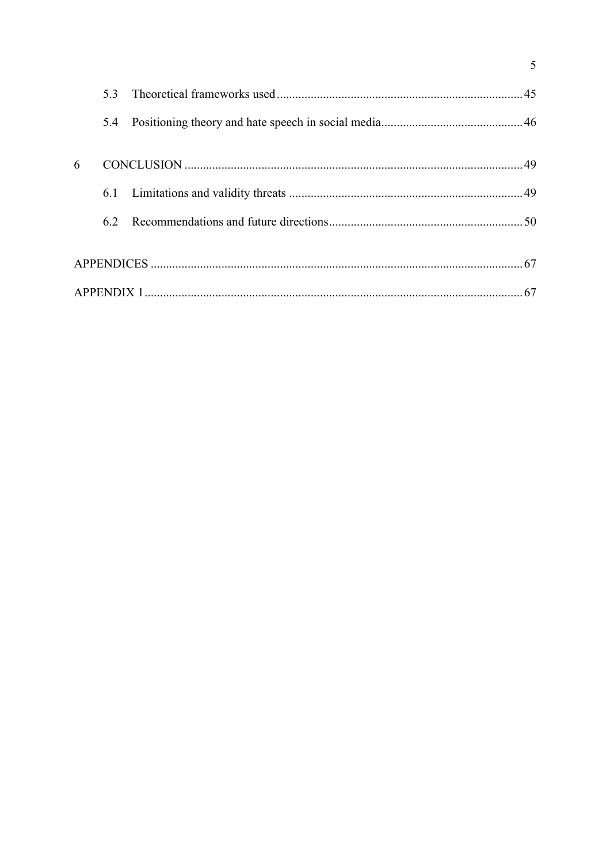|   | 5.3 |  |
|---|-----|--|
|   | 5.4 |  |
| 6 |     |  |
|   |     |  |
|   | 6.2 |  |
|   |     |  |
|   |     |  |

 $\overline{5}$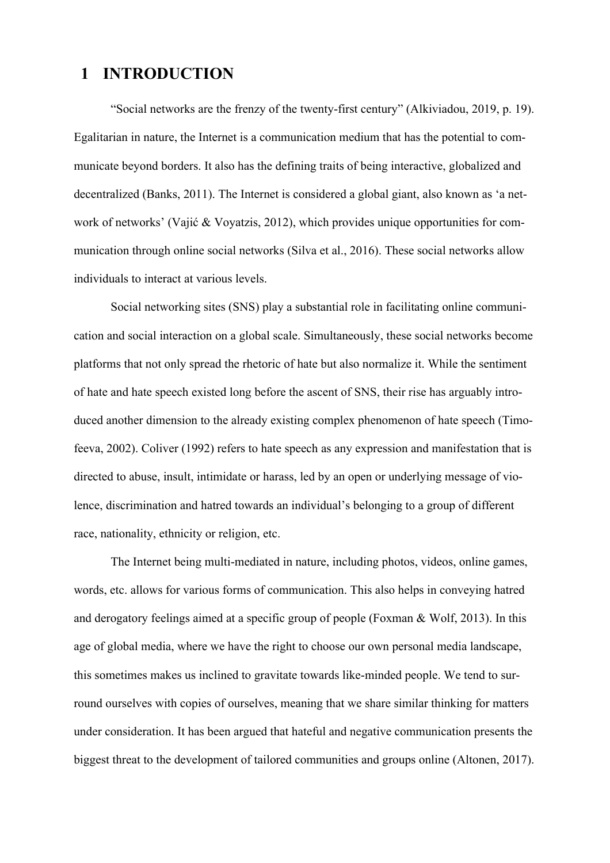## **1 INTRODUCTION**

"Social networks are the frenzy of the twenty-first century" (Alkiviadou, 2019, p. 19). Egalitarian in nature, the Internet is a communication medium that has the potential to communicate beyond borders. It also has the defining traits of being interactive, globalized and decentralized (Banks, 2011). The Internet is considered a global giant, also known as 'a network of networks' (Vajić & Voyatzis, 2012), which provides unique opportunities for communication through online social networks (Silva et al., 2016). These social networks allow individuals to interact at various levels.

Social networking sites (SNS) play a substantial role in facilitating online communication and social interaction on a global scale. Simultaneously, these social networks become platforms that not only spread the rhetoric of hate but also normalize it. While the sentiment of hate and hate speech existed long before the ascent of SNS, their rise has arguably introduced another dimension to the already existing complex phenomenon of hate speech (Timofeeva, 2002). Coliver (1992) refers to hate speech as any expression and manifestation that is directed to abuse, insult, intimidate or harass, led by an open or underlying message of violence, discrimination and hatred towards an individual's belonging to a group of different race, nationality, ethnicity or religion, etc.

The Internet being multi-mediated in nature, including photos, videos, online games, words, etc. allows for various forms of communication. This also helps in conveying hatred and derogatory feelings aimed at a specific group of people (Foxman & Wolf, 2013). In this age of global media, where we have the right to choose our own personal media landscape, this sometimes makes us inclined to gravitate towards like-minded people. We tend to surround ourselves with copies of ourselves, meaning that we share similar thinking for matters under consideration. It has been argued that hateful and negative communication presents the biggest threat to the development of tailored communities and groups online (Altonen, 2017).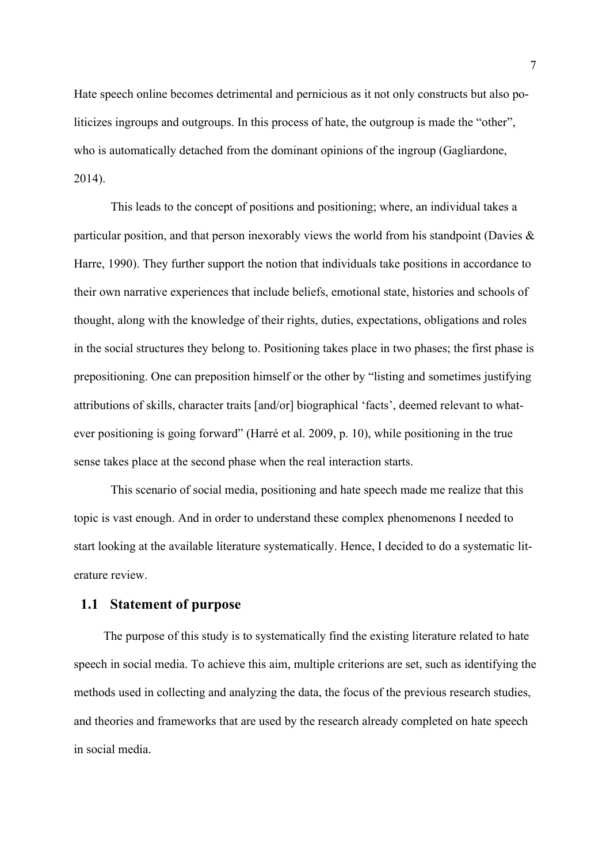Hate speech online becomes detrimental and pernicious as it not only constructs but also politicizes ingroups and outgroups. In this process of hate, the outgroup is made the "other", who is automatically detached from the dominant opinions of the ingroup (Gagliardone, 2014).

This leads to the concept of positions and positioning; where, an individual takes a particular position, and that person inexorably views the world from his standpoint (Davies & Harre, 1990). They further support the notion that individuals take positions in accordance to their own narrative experiences that include beliefs, emotional state, histories and schools of thought, along with the knowledge of their rights, duties, expectations, obligations and roles in the social structures they belong to. Positioning takes place in two phases; the first phase is prepositioning. One can preposition himself or the other by "listing and sometimes justifying attributions of skills, character traits [and/or] biographical 'facts', deemed relevant to whatever positioning is going forward" (Harré et al. 2009, p. 10), while positioning in the true sense takes place at the second phase when the real interaction starts.

This scenario of social media, positioning and hate speech made me realize that this topic is vast enough. And in order to understand these complex phenomenons I needed to start looking at the available literature systematically. Hence, I decided to do a systematic literature review.

### **1.1 Statement of purpose**

The purpose of this study is to systematically find the existing literature related to hate speech in social media. To achieve this aim, multiple criterions are set, such as identifying the methods used in collecting and analyzing the data, the focus of the previous research studies, and theories and frameworks that are used by the research already completed on hate speech in social media.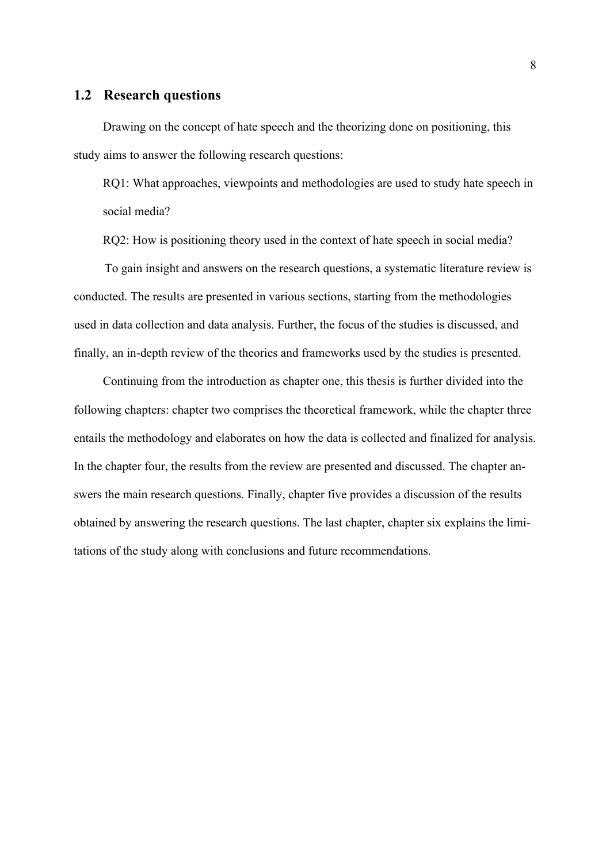### **1.2 Research questions**

Drawing on the concept of hate speech and the theorizing done on positioning, this study aims to answer the following research questions:

RQ1: What approaches, viewpoints and methodologies are used to study hate speech in social media?

RQ2: How is positioning theory used in the context of hate speech in social media?

 To gain insight and answers on the research questions, a systematic literature review is conducted. The results are presented in various sections, starting from the methodologies used in data collection and data analysis. Further, the focus of the studies is discussed, and finally, an in-depth review of the theories and frameworks used by the studies is presented.

Continuing from the introduction as chapter one, this thesis is further divided into the following chapters: chapter two comprises the theoretical framework, while the chapter three entails the methodology and elaborates on how the data is collected and finalized for analysis. In the chapter four, the results from the review are presented and discussed. The chapter answers the main research questions. Finally, chapter five provides a discussion of the results obtained by answering the research questions. The last chapter, chapter six explains the limitations of the study along with conclusions and future recommendations.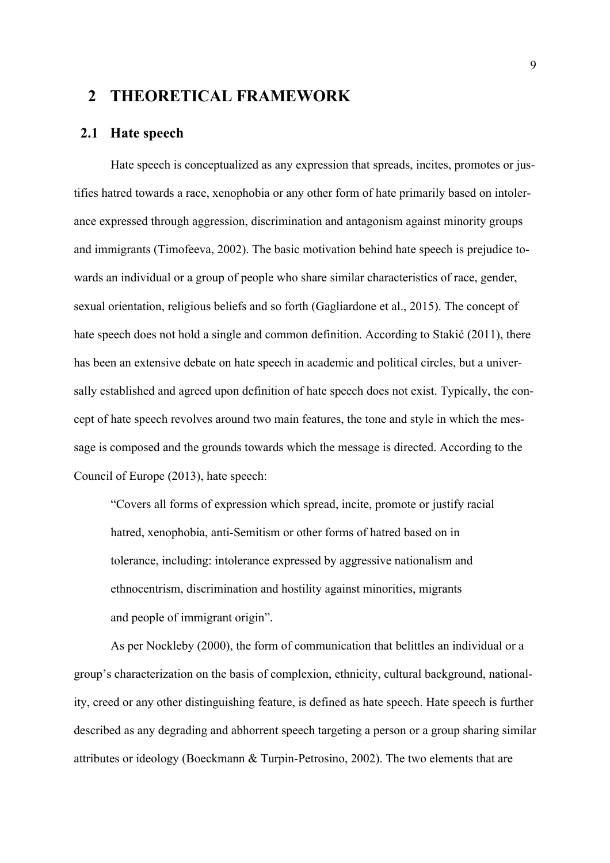## **2 THEORETICAL FRAMEWORK**

#### **2.1 Hate speech**

Hate speech is conceptualized as any expression that spreads, incites, promotes or justifies hatred towards a race, xenophobia or any other form of hate primarily based on intolerance expressed through aggression, discrimination and antagonism against minority groups and immigrants (Timofeeva, 2002). The basic motivation behind hate speech is prejudice towards an individual or a group of people who share similar characteristics of race, gender, sexual orientation, religious beliefs and so forth (Gagliardone et al., 2015). The concept of hate speech does not hold a single and common definition. According to Stakić (2011), there has been an extensive debate on hate speech in academic and political circles, but a universally established and agreed upon definition of hate speech does not exist. Typically, the concept of hate speech revolves around two main features, the tone and style in which the message is composed and the grounds towards which the message is directed. According to the Council of Europe (2013), hate speech:

"Covers all forms of expression which spread, incite, promote or justify racial hatred, xenophobia, anti-Semitism or other forms of hatred based on in tolerance, including: intolerance expressed by aggressive nationalism and ethnocentrism, discrimination and hostility against minorities, migrants and people of immigrant origin".

As per Nockleby (2000), the form of communication that belittles an individual or a group's characterization on the basis of complexion, ethnicity, cultural background, nationality, creed or any other distinguishing feature, is defined as hate speech. Hate speech is further described as any degrading and abhorrent speech targeting a person or a group sharing similar attributes or ideology (Boeckmann & Turpin-Petrosino, 2002). The two elements that are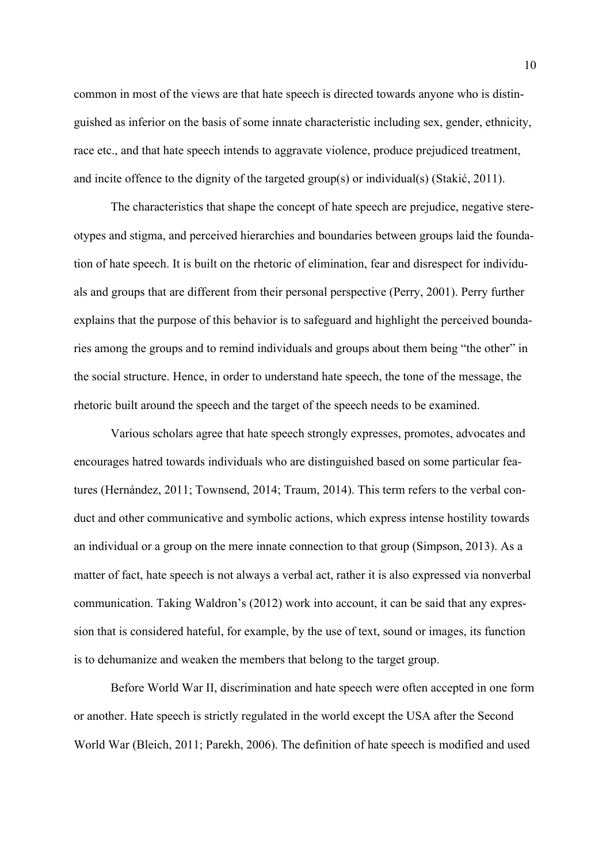common in most of the views are that hate speech is directed towards anyone who is distinguished as inferior on the basis of some innate characteristic including sex, gender, ethnicity, race etc., and that hate speech intends to aggravate violence, produce prejudiced treatment, and incite offence to the dignity of the targeted group(s) or individual(s) (Stakić, 2011).

The characteristics that shape the concept of hate speech are prejudice, negative stereotypes and stigma, and perceived hierarchies and boundaries between groups laid the foundation of hate speech. It is built on the rhetoric of elimination, fear and disrespect for individuals and groups that are different from their personal perspective (Perry, 2001). Perry further explains that the purpose of this behavior is to safeguard and highlight the perceived boundaries among the groups and to remind individuals and groups about them being "the other" in the social structure. Hence, in order to understand hate speech, the tone of the message, the rhetoric built around the speech and the target of the speech needs to be examined.

Various scholars agree that hate speech strongly expresses, promotes, advocates and encourages hatred towards individuals who are distinguished based on some particular features (Hernández, 2011; Townsend, 2014; Traum, 2014). This term refers to the verbal conduct and other communicative and symbolic actions, which express intense hostility towards an individual or a group on the mere innate connection to that group (Simpson, 2013). As a matter of fact, hate speech is not always a verbal act, rather it is also expressed via nonverbal communication. Taking Waldron's (2012) work into account, it can be said that any expression that is considered hateful, for example, by the use of text, sound or images, its function is to dehumanize and weaken the members that belong to the target group.

Before World War II, discrimination and hate speech were often accepted in one form or another. Hate speech is strictly regulated in the world except the USA after the Second World War (Bleich, 2011; Parekh, 2006). The definition of hate speech is modified and used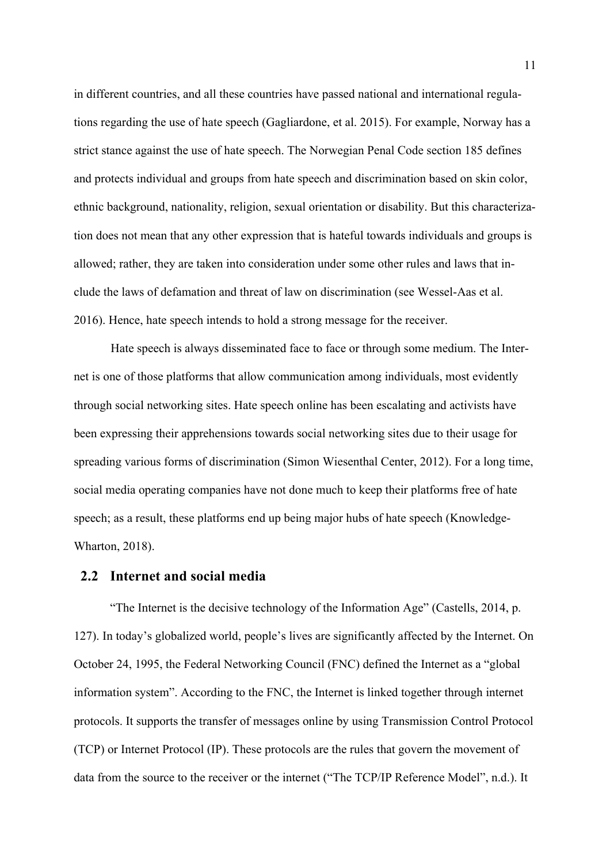in different countries, and all these countries have passed national and international regulations regarding the use of hate speech (Gagliardone, et al. 2015). For example, Norway has a strict stance against the use of hate speech. The Norwegian Penal Code section 185 defines and protects individual and groups from hate speech and discrimination based on skin color, ethnic background, nationality, religion, sexual orientation or disability. But this characterization does not mean that any other expression that is hateful towards individuals and groups is allowed; rather, they are taken into consideration under some other rules and laws that include the laws of defamation and threat of law on discrimination (see Wessel-Aas et al. 2016). Hence, hate speech intends to hold a strong message for the receiver.

Hate speech is always disseminated face to face or through some medium. The Internet is one of those platforms that allow communication among individuals, most evidently through social networking sites. Hate speech online has been escalating and activists have been expressing their apprehensions towards social networking sites due to their usage for spreading various forms of discrimination (Simon Wiesenthal Center, 2012). For a long time, social media operating companies have not done much to keep their platforms free of hate speech; as a result, these platforms end up being major hubs of hate speech (Knowledge-Wharton, 2018).

#### **2.2 Internet and social media**

"The Internet is the decisive technology of the Information Age" (Castells, 2014, p. 127). In today's globalized world, people's lives are significantly affected by the Internet. On October 24, 1995, the Federal Networking Council (FNC) defined the Internet as a "global information system". According to the FNC, the Internet is linked together through internet protocols. It supports the transfer of messages online by using Transmission Control Protocol (TCP) or Internet Protocol (IP). These protocols are the rules that govern the movement of data from the source to the receiver or the internet ("The TCP/IP Reference Model", n.d.). It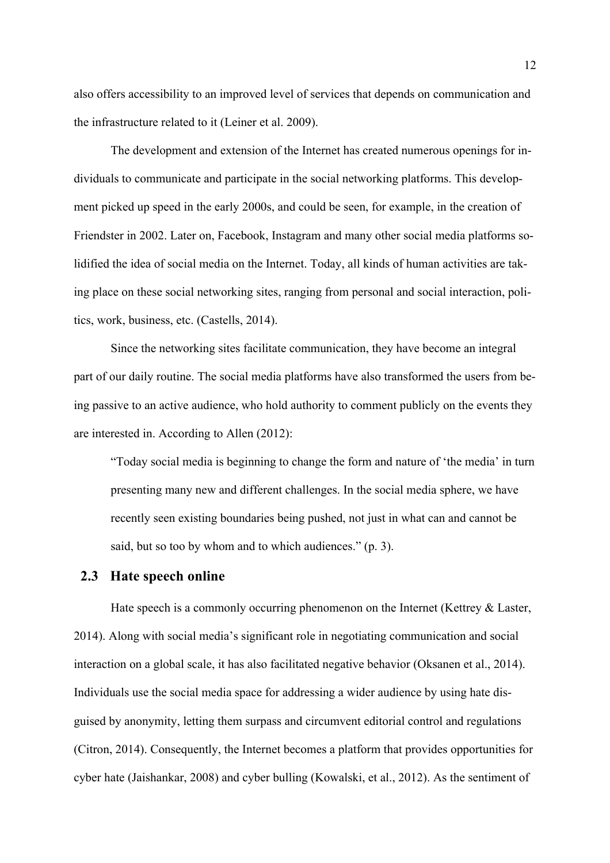also offers accessibility to an improved level of services that depends on communication and the infrastructure related to it (Leiner et al. 2009).

The development and extension of the Internet has created numerous openings for individuals to communicate and participate in the social networking platforms. This development picked up speed in the early 2000s, and could be seen, for example, in the creation of Friendster in 2002. Later on, Facebook, Instagram and many other social media platforms solidified the idea of social media on the Internet. Today, all kinds of human activities are taking place on these social networking sites, ranging from personal and social interaction, politics, work, business, etc. (Castells, 2014).

Since the networking sites facilitate communication, they have become an integral part of our daily routine. The social media platforms have also transformed the users from being passive to an active audience, who hold authority to comment publicly on the events they are interested in. According to Allen (2012):

"Today social media is beginning to change the form and nature of 'the media' in turn presenting many new and different challenges. In the social media sphere, we have recently seen existing boundaries being pushed, not just in what can and cannot be said, but so too by whom and to which audiences." (p. 3).

#### **2.3 Hate speech online**

Hate speech is a commonly occurring phenomenon on the Internet (Kettrey & Laster, 2014). Along with social media's significant role in negotiating communication and social interaction on a global scale, it has also facilitated negative behavior (Oksanen et al., 2014). Individuals use the social media space for addressing a wider audience by using hate disguised by anonymity, letting them surpass and circumvent editorial control and regulations (Citron, 2014). Consequently, the Internet becomes a platform that provides opportunities for cyber hate (Jaishankar, 2008) and cyber bulling (Kowalski, et al., 2012). As the sentiment of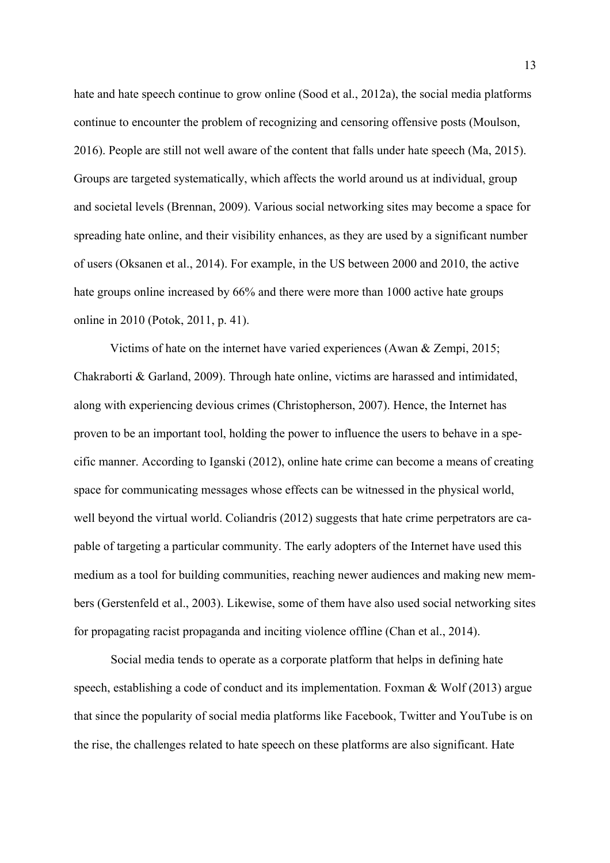hate and hate speech continue to grow online (Sood et al., 2012a), the social media platforms continue to encounter the problem of recognizing and censoring offensive posts (Moulson, 2016). People are still not well aware of the content that falls under hate speech (Ma, 2015). Groups are targeted systematically, which affects the world around us at individual, group and societal levels (Brennan, 2009). Various social networking sites may become a space for spreading hate online, and their visibility enhances, as they are used by a significant number of users (Oksanen et al., 2014). For example, in the US between 2000 and 2010, the active hate groups online increased by 66% and there were more than 1000 active hate groups online in 2010 (Potok, 2011, p. 41).

Victims of hate on the internet have varied experiences (Awan & Zempi, 2015; Chakraborti & Garland, 2009). Through hate online, victims are harassed and intimidated, along with experiencing devious crimes (Christopherson, 2007). Hence, the Internet has proven to be an important tool, holding the power to influence the users to behave in a specific manner. According to Iganski (2012), online hate crime can become a means of creating space for communicating messages whose effects can be witnessed in the physical world, well beyond the virtual world. Coliandris (2012) suggests that hate crime perpetrators are capable of targeting a particular community. The early adopters of the Internet have used this medium as a tool for building communities, reaching newer audiences and making new members (Gerstenfeld et al., 2003). Likewise, some of them have also used social networking sites for propagating racist propaganda and inciting violence offline (Chan et al., 2014).

Social media tends to operate as a corporate platform that helps in defining hate speech, establishing a code of conduct and its implementation. Foxman & Wolf (2013) argue that since the popularity of social media platforms like Facebook, Twitter and YouTube is on the rise, the challenges related to hate speech on these platforms are also significant. Hate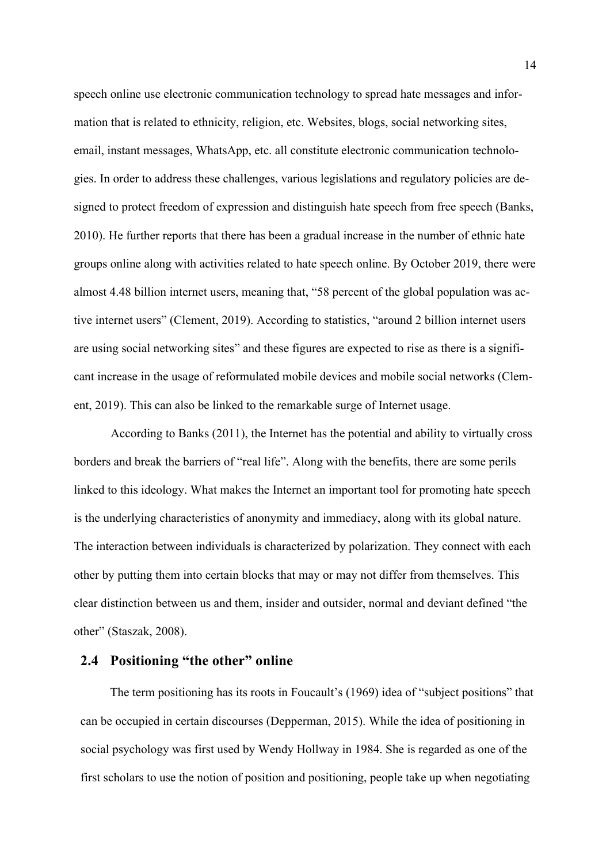speech online use electronic communication technology to spread hate messages and information that is related to ethnicity, religion, etc. Websites, blogs, social networking sites, email, instant messages, WhatsApp, etc. all constitute electronic communication technologies. In order to address these challenges, various legislations and regulatory policies are designed to protect freedom of expression and distinguish hate speech from free speech (Banks, 2010). He further reports that there has been a gradual increase in the number of ethnic hate groups online along with activities related to hate speech online. By October 2019, there were almost 4.48 billion internet users, meaning that, "58 percent of the global population was active internet users" (Clement, 2019). According to statistics, "around 2 billion internet users are using social networking sites" and these figures are expected to rise as there is a significant increase in the usage of reformulated mobile devices and mobile social networks (Clement, 2019). This can also be linked to the remarkable surge of Internet usage.

According to Banks (2011), the Internet has the potential and ability to virtually cross borders and break the barriers of "real life". Along with the benefits, there are some perils linked to this ideology. What makes the Internet an important tool for promoting hate speech is the underlying characteristics of anonymity and immediacy, along with its global nature. The interaction between individuals is characterized by polarization. They connect with each other by putting them into certain blocks that may or may not differ from themselves. This clear distinction between us and them, insider and outsider, normal and deviant defined "the other" (Staszak, 2008).

### **2.4 Positioning "the other" online**

The term positioning has its roots in Foucault's (1969) idea of "subject positions" that can be occupied in certain discourses (Depperman, 2015). While the idea of positioning in social psychology was first used by Wendy Hollway in 1984. She is regarded as one of the first scholars to use the notion of position and positioning, people take up when negotiating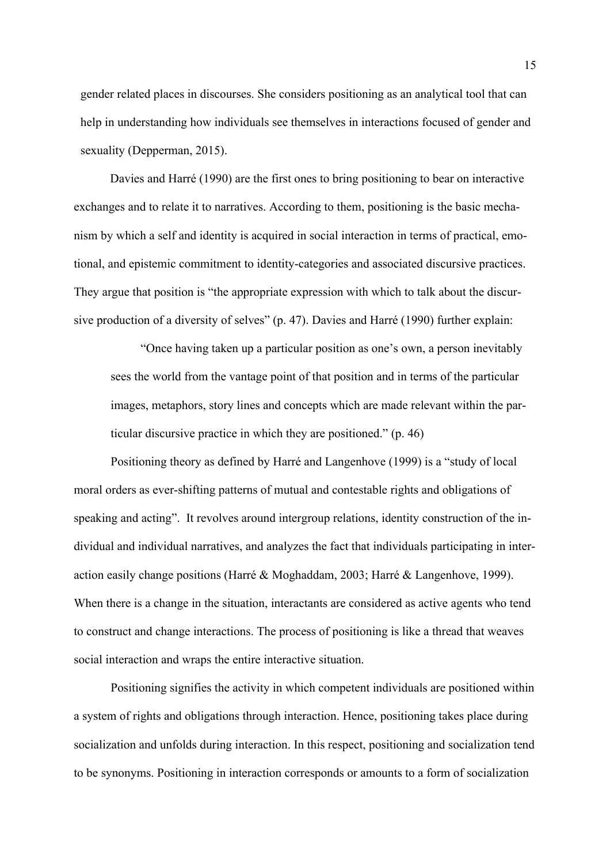gender related places in discourses. She considers positioning as an analytical tool that can help in understanding how individuals see themselves in interactions focused of gender and sexuality (Depperman, 2015).

Davies and Harré (1990) are the first ones to bring positioning to bear on interactive exchanges and to relate it to narratives. According to them, positioning is the basic mechanism by which a self and identity is acquired in social interaction in terms of practical, emotional, and epistemic commitment to identity‐categories and associated discursive practices. They argue that position is "the appropriate expression with which to talk about the discursive production of a diversity of selves" (p. 47). Davies and Harré (1990) further explain:

"Once having taken up a particular position as one's own, a person inevitably sees the world from the vantage point of that position and in terms of the particular images, metaphors, story lines and concepts which are made relevant within the particular discursive practice in which they are positioned." (p. 46)

Positioning theory as defined by Harré and Langenhove (1999) is a "study of local moral orders as ever-shifting patterns of mutual and contestable rights and obligations of speaking and acting". It revolves around intergroup relations, identity construction of the individual and individual narratives, and analyzes the fact that individuals participating in interaction easily change positions (Harré & Moghaddam, 2003; Harré & Langenhove, 1999). When there is a change in the situation, interactants are considered as active agents who tend to construct and change interactions. The process of positioning is like a thread that weaves social interaction and wraps the entire interactive situation.

Positioning signifies the activity in which competent individuals are positioned within a system of rights and obligations through interaction. Hence, positioning takes place during socialization and unfolds during interaction. In this respect, positioning and socialization tend to be synonyms. Positioning in interaction corresponds or amounts to a form of socialization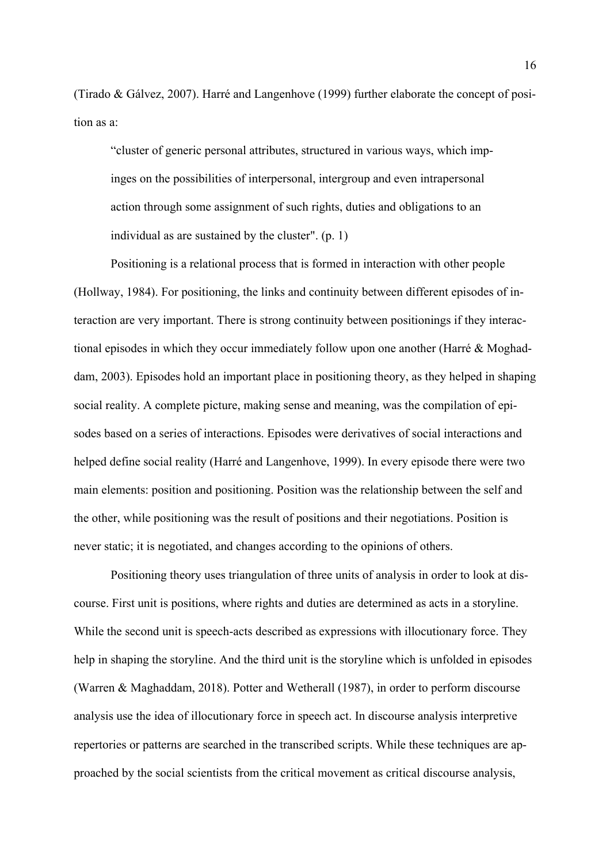(Tirado & Gálvez, 2007). Harré and Langenhove (1999) further elaborate the concept of position as a:

"cluster of generic personal attributes, structured in various ways, which impinges on the possibilities of interpersonal, intergroup and even intrapersonal action through some assignment of such rights, duties and obligations to an individual as are sustained by the cluster". (p. 1)

Positioning is a relational process that is formed in interaction with other people (Hollway, 1984). For positioning, the links and continuity between different episodes of interaction are very important. There is strong continuity between positionings if they interactional episodes in which they occur immediately follow upon one another (Harré & Moghaddam, 2003). Episodes hold an important place in positioning theory, as they helped in shaping social reality. A complete picture, making sense and meaning, was the compilation of episodes based on a series of interactions. Episodes were derivatives of social interactions and helped define social reality (Harré and Langenhove, 1999). In every episode there were two main elements: position and positioning. Position was the relationship between the self and the other, while positioning was the result of positions and their negotiations. Position is never static; it is negotiated, and changes according to the opinions of others.

Positioning theory uses triangulation of three units of analysis in order to look at discourse. First unit is positions, where rights and duties are determined as acts in a storyline. While the second unit is speech-acts described as expressions with illocutionary force. They help in shaping the storyline. And the third unit is the storyline which is unfolded in episodes (Warren & Maghaddam, 2018). Potter and Wetherall (1987), in order to perform discourse analysis use the idea of illocutionary force in speech act. In discourse analysis interpretive repertories or patterns are searched in the transcribed scripts. While these techniques are approached by the social scientists from the critical movement as critical discourse analysis,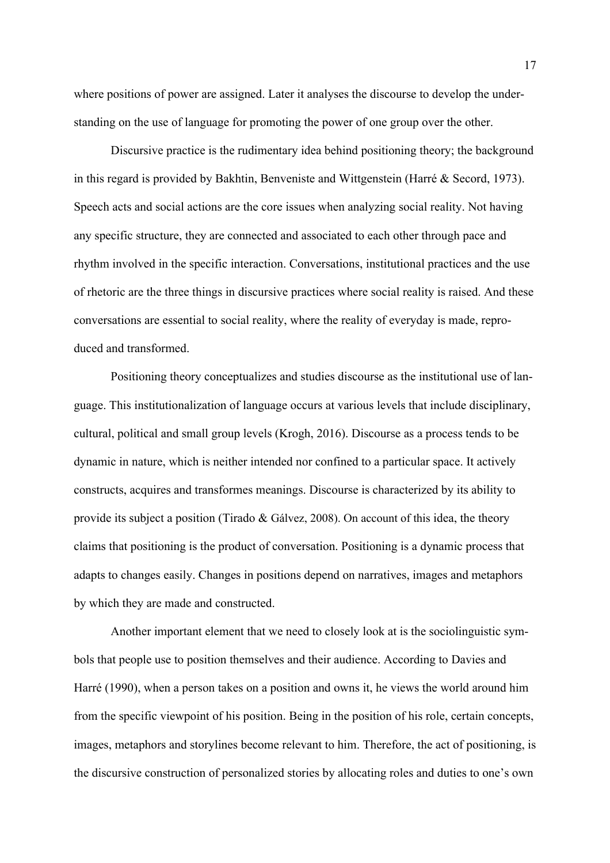where positions of power are assigned. Later it analyses the discourse to develop the understanding on the use of language for promoting the power of one group over the other.

Discursive practice is the rudimentary idea behind positioning theory; the background in this regard is provided by Bakhtin, Benveniste and Wittgenstein (Harré & Secord, 1973). Speech acts and social actions are the core issues when analyzing social reality. Not having any specific structure, they are connected and associated to each other through pace and rhythm involved in the specific interaction. Conversations, institutional practices and the use of rhetoric are the three things in discursive practices where social reality is raised. And these conversations are essential to social reality, where the reality of everyday is made, reproduced and transformed.

Positioning theory conceptualizes and studies discourse as the institutional use of language. This institutionalization of language occurs at various levels that include disciplinary, cultural, political and small group levels (Krogh, 2016). Discourse as a process tends to be dynamic in nature, which is neither intended nor confined to a particular space. It actively constructs, acquires and transformes meanings. Discourse is characterized by its ability to provide its subject a position (Tirado & Gálvez, 2008). On account of this idea, the theory claims that positioning is the product of conversation. Positioning is a dynamic process that adapts to changes easily. Changes in positions depend on narratives, images and metaphors by which they are made and constructed.

Another important element that we need to closely look at is the sociolinguistic symbols that people use to position themselves and their audience. According to Davies and Harré (1990), when a person takes on a position and owns it, he views the world around him from the specific viewpoint of his position. Being in the position of his role, certain concepts, images, metaphors and storylines become relevant to him. Therefore, the act of positioning, is the discursive construction of personalized stories by allocating roles and duties to one's own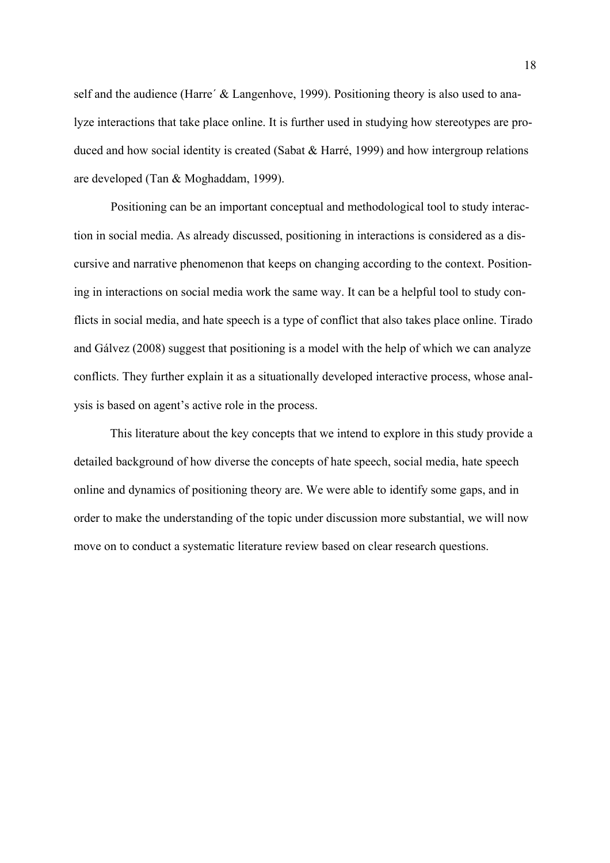self and the audience (Harre' & Langenhove, 1999). Positioning theory is also used to analyze interactions that take place online. It is further used in studying how stereotypes are produced and how social identity is created (Sabat & Harré, 1999) and how intergroup relations are developed (Tan & Moghaddam, 1999).

Positioning can be an important conceptual and methodological tool to study interaction in social media. As already discussed, positioning in interactions is considered as a discursive and narrative phenomenon that keeps on changing according to the context. Positioning in interactions on social media work the same way. It can be a helpful tool to study conflicts in social media, and hate speech is a type of conflict that also takes place online. Tirado and Gálvez (2008) suggest that positioning is a model with the help of which we can analyze conflicts. They further explain it as a situationally developed interactive process, whose analysis is based on agent's active role in the process.

This literature about the key concepts that we intend to explore in this study provide a detailed background of how diverse the concepts of hate speech, social media, hate speech online and dynamics of positioning theory are. We were able to identify some gaps, and in order to make the understanding of the topic under discussion more substantial, we will now move on to conduct a systematic literature review based on clear research questions.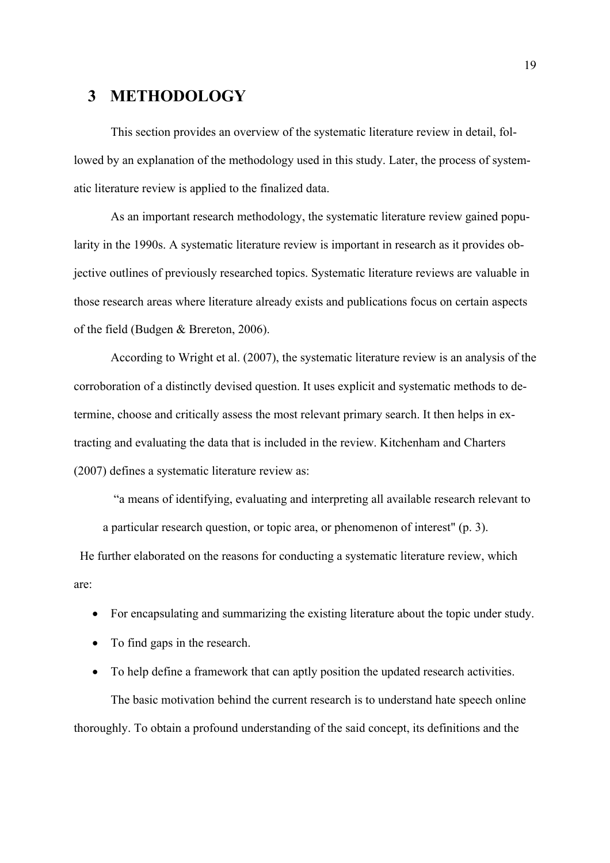## **3 METHODOLOGY**

This section provides an overview of the systematic literature review in detail, followed by an explanation of the methodology used in this study. Later, the process of systematic literature review is applied to the finalized data.

As an important research methodology, the systematic literature review gained popularity in the 1990s. A systematic literature review is important in research as it provides objective outlines of previously researched topics. Systematic literature reviews are valuable in those research areas where literature already exists and publications focus on certain aspects of the field (Budgen & Brereton, 2006).

According to Wright et al. (2007), the systematic literature review is an analysis of the corroboration of a distinctly devised question. It uses explicit and systematic methods to determine, choose and critically assess the most relevant primary search. It then helps in extracting and evaluating the data that is included in the review. Kitchenham and Charters (2007) defines a systematic literature review as:

"a means of identifying, evaluating and interpreting all available research relevant to a particular research question, or topic area, or phenomenon of interest" (p. 3).

 He further elaborated on the reasons for conducting a systematic literature review, which are:

- For encapsulating and summarizing the existing literature about the topic under study.
- To find gaps in the research.

• To help define a framework that can aptly position the updated research activities. The basic motivation behind the current research is to understand hate speech online thoroughly. To obtain a profound understanding of the said concept, its definitions and the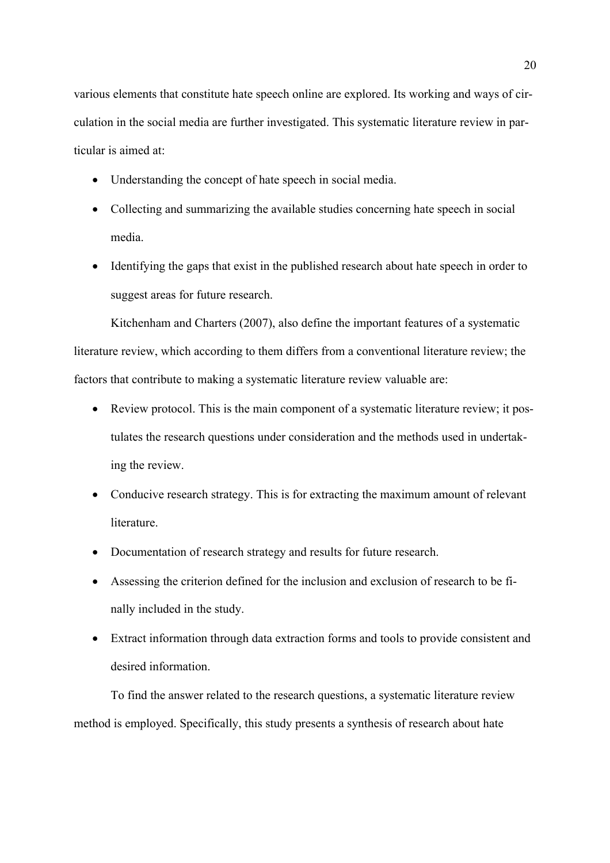various elements that constitute hate speech online are explored. Its working and ways of circulation in the social media are further investigated. This systematic literature review in particular is aimed at:

- Understanding the concept of hate speech in social media.
- Collecting and summarizing the available studies concerning hate speech in social media.
- Identifying the gaps that exist in the published research about hate speech in order to suggest areas for future research.

Kitchenham and Charters (2007), also define the important features of a systematic literature review, which according to them differs from a conventional literature review; the factors that contribute to making a systematic literature review valuable are:

- Review protocol. This is the main component of a systematic literature review; it postulates the research questions under consideration and the methods used in undertaking the review.
- Conducive research strategy. This is for extracting the maximum amount of relevant literature.
- Documentation of research strategy and results for future research.
- Assessing the criterion defined for the inclusion and exclusion of research to be finally included in the study.
- Extract information through data extraction forms and tools to provide consistent and desired information.

To find the answer related to the research questions, a systematic literature review method is employed. Specifically, this study presents a synthesis of research about hate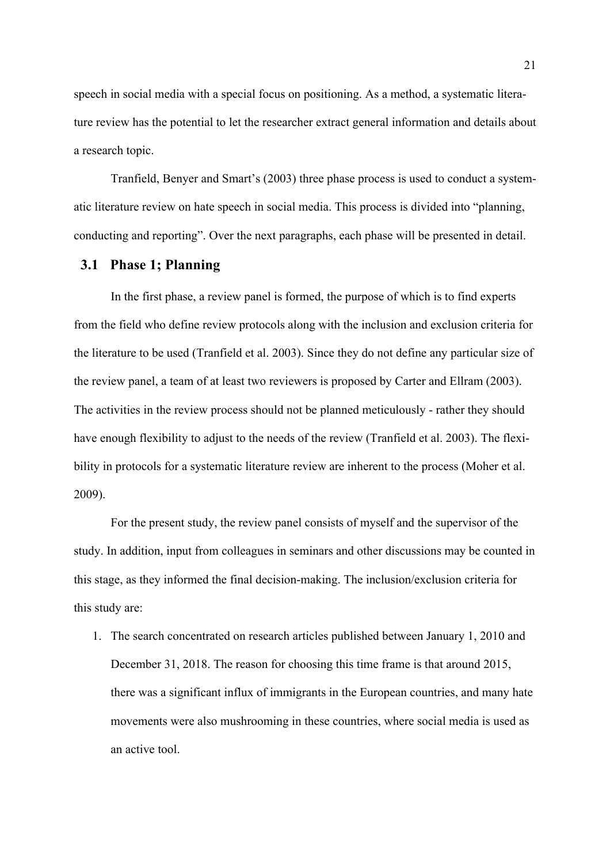speech in social media with a special focus on positioning. As a method, a systematic literature review has the potential to let the researcher extract general information and details about a research topic.

Tranfield, Benyer and Smart's (2003) three phase process is used to conduct a systematic literature review on hate speech in social media. This process is divided into "planning, conducting and reporting". Over the next paragraphs, each phase will be presented in detail.

#### **3.1 Phase 1; Planning**

In the first phase, a review panel is formed, the purpose of which is to find experts from the field who define review protocols along with the inclusion and exclusion criteria for the literature to be used (Tranfield et al. 2003). Since they do not define any particular size of the review panel, a team of at least two reviewers is proposed by Carter and Ellram (2003). The activities in the review process should not be planned meticulously - rather they should have enough flexibility to adjust to the needs of the review (Tranfield et al. 2003). The flexibility in protocols for a systematic literature review are inherent to the process (Moher et al. 2009).

For the present study, the review panel consists of myself and the supervisor of the study. In addition, input from colleagues in seminars and other discussions may be counted in this stage, as they informed the final decision-making. The inclusion/exclusion criteria for this study are:

1. The search concentrated on research articles published between January 1, 2010 and December 31, 2018. The reason for choosing this time frame is that around 2015, there was a significant influx of immigrants in the European countries, and many hate movements were also mushrooming in these countries, where social media is used as an active tool.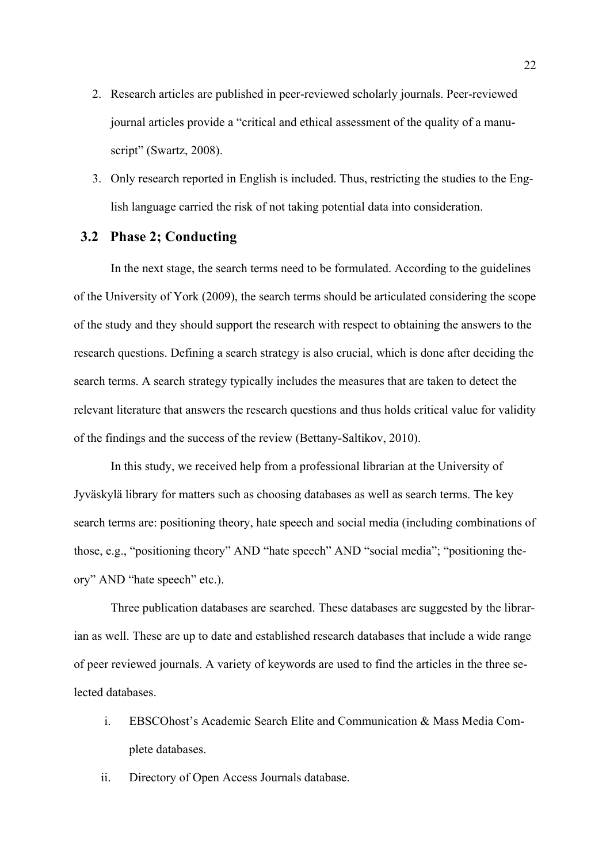- 2. Research articles are published in peer-reviewed scholarly journals. Peer-reviewed journal articles provide a "critical and ethical assessment of the quality of a manuscript" (Swartz, 2008).
- 3. Only research reported in English is included. Thus, restricting the studies to the English language carried the risk of not taking potential data into consideration.

### **3.2 Phase 2; Conducting**

In the next stage, the search terms need to be formulated. According to the guidelines of the University of York (2009), the search terms should be articulated considering the scope of the study and they should support the research with respect to obtaining the answers to the research questions. Defining a search strategy is also crucial, which is done after deciding the search terms. A search strategy typically includes the measures that are taken to detect the relevant literature that answers the research questions and thus holds critical value for validity of the findings and the success of the review (Bettany-Saltikov, 2010).

In this study, we received help from a professional librarian at the University of Jyväskylä library for matters such as choosing databases as well as search terms. The key search terms are: positioning theory, hate speech and social media (including combinations of those, e.g., "positioning theory" AND "hate speech" AND "social media"; "positioning theory" AND "hate speech" etc.).

Three publication databases are searched. These databases are suggested by the librarian as well. These are up to date and established research databases that include a wide range of peer reviewed journals. A variety of keywords are used to find the articles in the three selected databases.

- i. EBSCOhost's Academic Search Elite and Communication & Mass Media Complete databases.
- ii. Directory of Open Access Journals database.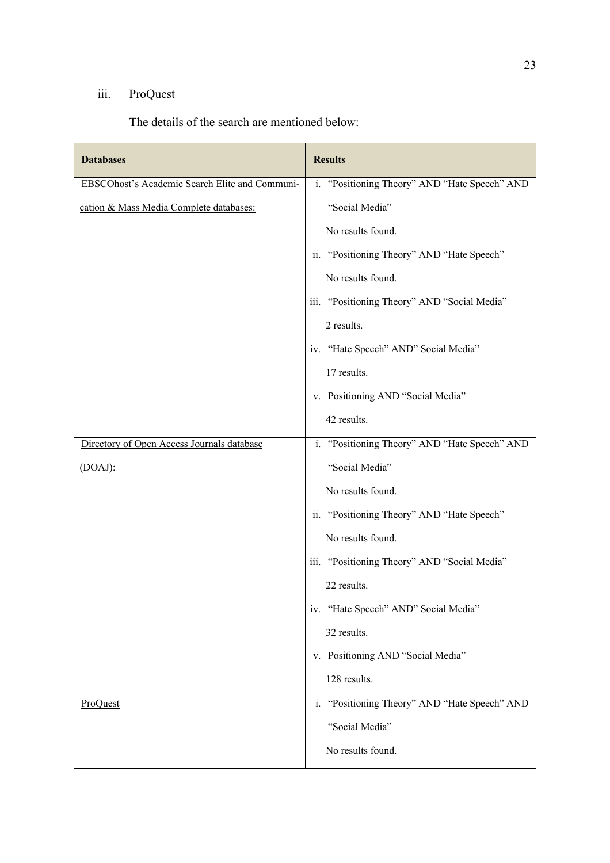### iii. ProQuest

The details of the search are mentioned below:

| <b>Databases</b>                               | <b>Results</b>                                |
|------------------------------------------------|-----------------------------------------------|
| EBSCOhost's Academic Search Elite and Communi- | i. "Positioning Theory" AND "Hate Speech" AND |
| cation & Mass Media Complete databases:        | "Social Media"                                |
|                                                | No results found.                             |
|                                                | ii. "Positioning Theory" AND "Hate Speech"    |
|                                                | No results found.                             |
|                                                | iii. "Positioning Theory" AND "Social Media"  |
|                                                | 2 results.                                    |
|                                                | iv. "Hate Speech" AND" Social Media"          |
|                                                | 17 results.                                   |
|                                                | v. Positioning AND "Social Media"             |
|                                                | 42 results.                                   |
| Directory of Open Access Journals database     | i. "Positioning Theory" AND "Hate Speech" AND |
| $(DOAJ)$ :                                     | "Social Media"                                |
|                                                | No results found.                             |
|                                                | ii. "Positioning Theory" AND "Hate Speech"    |
|                                                | No results found.                             |
|                                                | iii. "Positioning Theory" AND "Social Media"  |
|                                                | 22 results.                                   |
|                                                | iv. "Hate Speech" AND" Social Media"          |
|                                                | 32 results.                                   |
|                                                | v. Positioning AND "Social Media"             |
|                                                | 128 results.                                  |
| ProQuest                                       | i. "Positioning Theory" AND "Hate Speech" AND |
|                                                | "Social Media"                                |
|                                                | No results found.                             |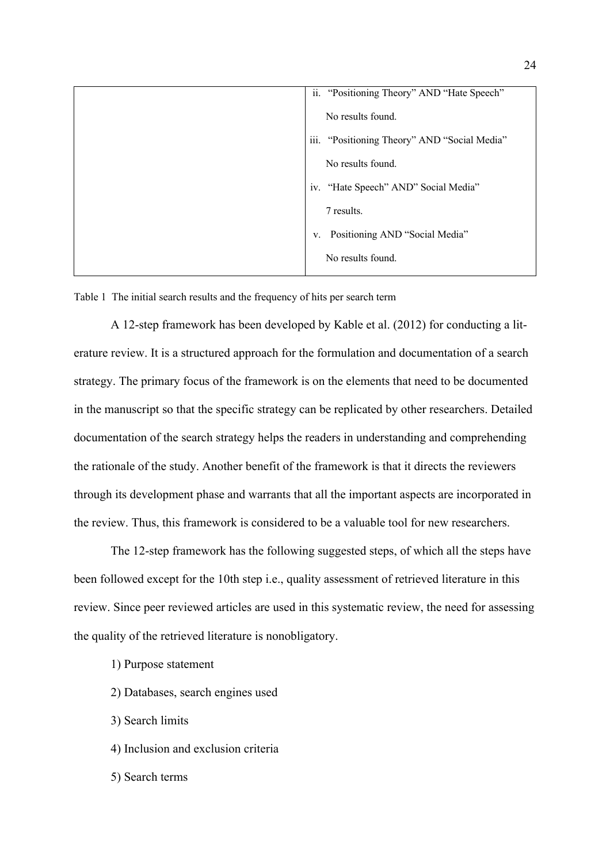| ii. "Positioning Theory" AND "Hate Speech"   |
|----------------------------------------------|
| No results found.                            |
| iii. "Positioning Theory" AND "Social Media" |
| No results found.                            |
| iv. "Hate Speech" AND" Social Media"         |
| 7 results.                                   |
| Positioning AND "Social Media"<br>V.         |
| No results found.                            |
|                                              |

Table 1 The initial search results and the frequency of hits per search term

A 12-step framework has been developed by Kable et al. (2012) for conducting a literature review. It is a structured approach for the formulation and documentation of a search strategy. The primary focus of the framework is on the elements that need to be documented in the manuscript so that the specific strategy can be replicated by other researchers. Detailed documentation of the search strategy helps the readers in understanding and comprehending the rationale of the study. Another benefit of the framework is that it directs the reviewers through its development phase and warrants that all the important aspects are incorporated in the review. Thus, this framework is considered to be a valuable tool for new researchers.

The 12-step framework has the following suggested steps, of which all the steps have been followed except for the 10th step i.e., quality assessment of retrieved literature in this review. Since peer reviewed articles are used in this systematic review, the need for assessing the quality of the retrieved literature is nonobligatory.

- 1) Purpose statement
- 2) Databases, search engines used
- 3) Search limits
- 4) Inclusion and exclusion criteria
- 5) Search terms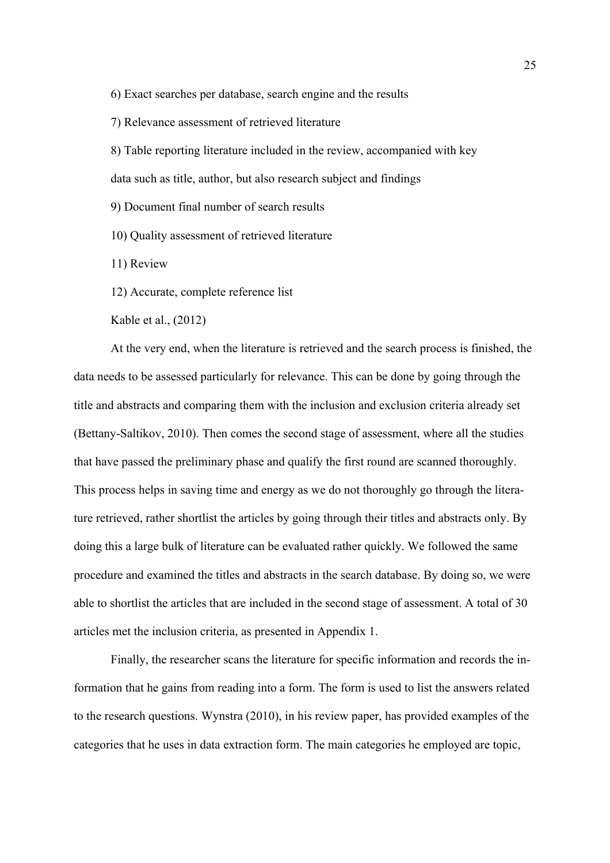6) Exact searches per database, search engine and the results

7) Relevance assessment of retrieved literature

8) Table reporting literature included in the review, accompanied with key

data such as title, author, but also research subject and findings

9) Document final number of search results

10) Quality assessment of retrieved literature

11) Review

12) Accurate, complete reference list

Kable et al., (2012)

At the very end, when the literature is retrieved and the search process is finished, the data needs to be assessed particularly for relevance. This can be done by going through the title and abstracts and comparing them with the inclusion and exclusion criteria already set (Bettany-Saltikov, 2010). Then comes the second stage of assessment, where all the studies that have passed the preliminary phase and qualify the first round are scanned thoroughly. This process helps in saving time and energy as we do not thoroughly go through the literature retrieved, rather shortlist the articles by going through their titles and abstracts only. By doing this a large bulk of literature can be evaluated rather quickly. We followed the same procedure and examined the titles and abstracts in the search database. By doing so, we were able to shortlist the articles that are included in the second stage of assessment. A total of 30 articles met the inclusion criteria, as presented in Appendix 1.

Finally, the researcher scans the literature for specific information and records the information that he gains from reading into a form. The form is used to list the answers related to the research questions. Wynstra (2010), in his review paper, has provided examples of the categories that he uses in data extraction form. The main categories he employed are topic,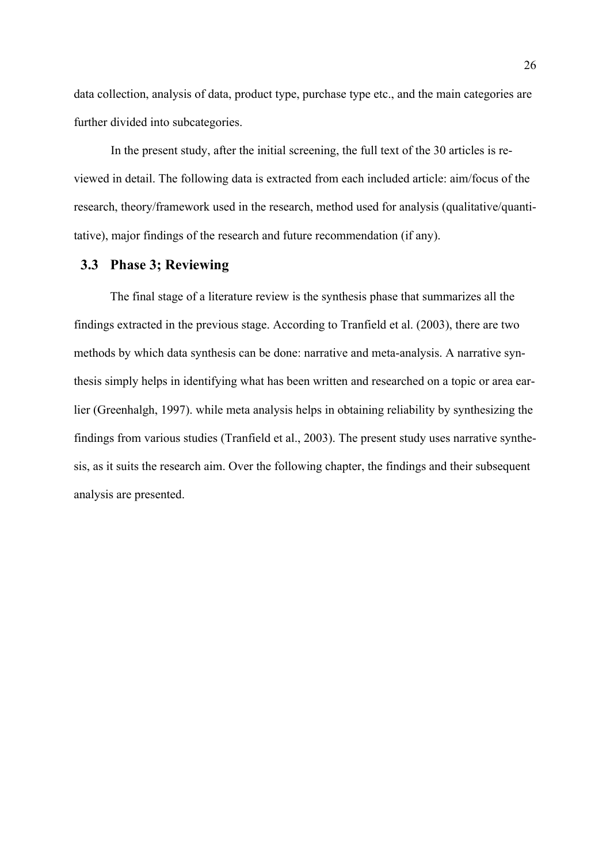data collection, analysis of data, product type, purchase type etc., and the main categories are further divided into subcategories.

In the present study, after the initial screening, the full text of the 30 articles is reviewed in detail. The following data is extracted from each included article: aim/focus of the research, theory/framework used in the research, method used for analysis (qualitative/quantitative), major findings of the research and future recommendation (if any).

### **3.3 Phase 3; Reviewing**

The final stage of a literature review is the synthesis phase that summarizes all the findings extracted in the previous stage. According to Tranfield et al. (2003), there are two methods by which data synthesis can be done: narrative and meta-analysis. A narrative synthesis simply helps in identifying what has been written and researched on a topic or area earlier (Greenhalgh, 1997). while meta analysis helps in obtaining reliability by synthesizing the findings from various studies (Tranfield et al., 2003). The present study uses narrative synthesis, as it suits the research aim. Over the following chapter, the findings and their subsequent analysis are presented.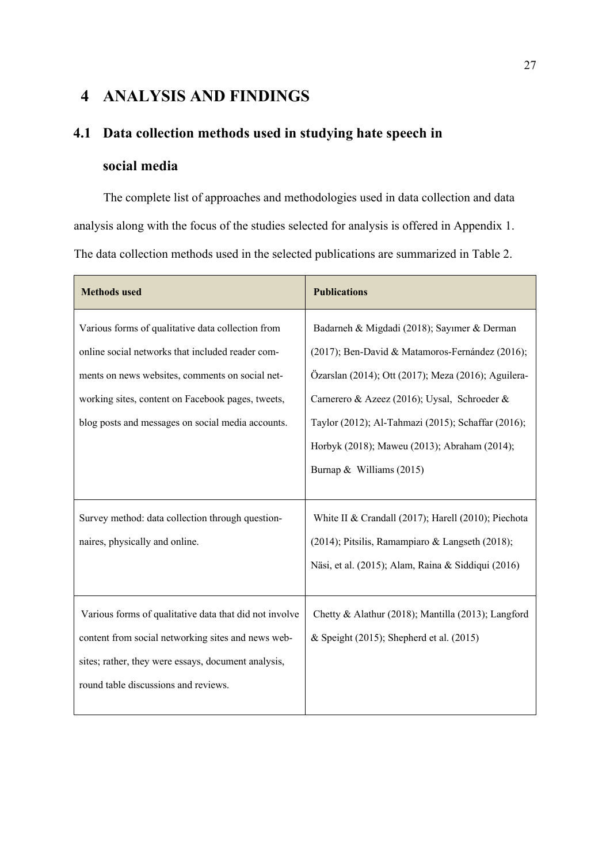## **4 ANALYSIS AND FINDINGS**

# **4.1 Data collection methods used in studying hate speech in**

## **social media**

The complete list of approaches and methodologies used in data collection and data analysis along with the focus of the studies selected for analysis is offered in Appendix 1. The data collection methods used in the selected publications are summarized in Table 2.

| <b>Methods used</b>                                    | <b>Publications</b>                                 |
|--------------------------------------------------------|-----------------------------------------------------|
| Various forms of qualitative data collection from      | Badarneh & Migdadi (2018); Sayımer & Derman         |
| online social networks that included reader com-       | (2017); Ben-David & Matamoros-Fernández (2016);     |
| ments on news websites, comments on social net-        | Özarslan (2014); Ott (2017); Meza (2016); Aguilera- |
| working sites, content on Facebook pages, tweets,      | Carnerero & Azeez (2016); Uysal, Schroeder &        |
| blog posts and messages on social media accounts.      | Taylor (2012); Al-Tahmazi (2015); Schaffar (2016);  |
|                                                        | Horbyk (2018); Maweu (2013); Abraham (2014);        |
|                                                        | Burnap & Williams (2015)                            |
|                                                        |                                                     |
| Survey method: data collection through question-       | White II & Crandall (2017); Harell (2010); Piechota |
| naires, physically and online.                         | (2014); Pitsilis, Ramampiaro & Langseth (2018);     |
|                                                        | Näsi, et al. (2015); Alam, Raina & Siddiqui (2016)  |
|                                                        |                                                     |
| Various forms of qualitative data that did not involve | Chetty & Alathur (2018); Mantilla (2013); Langford  |
| content from social networking sites and news web-     | & Speight (2015); Shepherd et al. (2015)            |
| sites; rather, they were essays, document analysis,    |                                                     |
| round table discussions and reviews.                   |                                                     |
|                                                        |                                                     |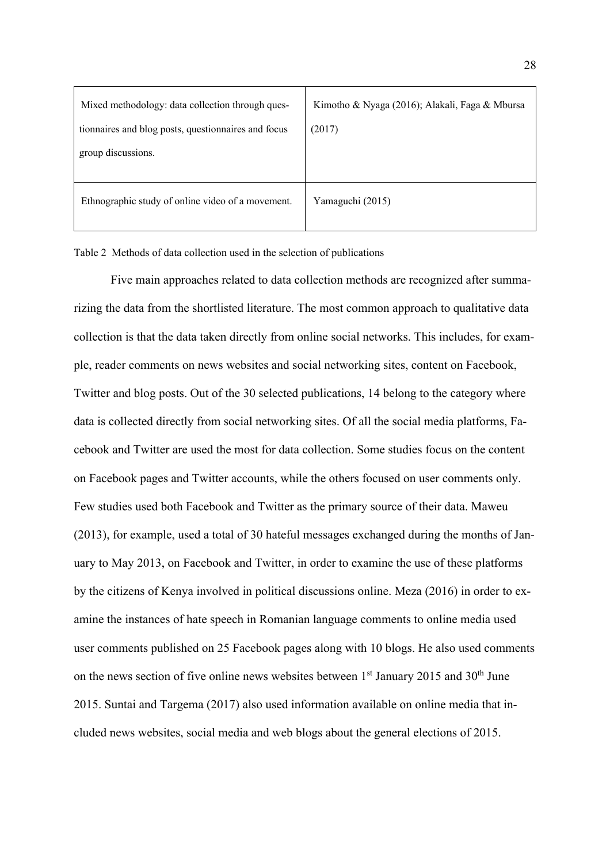| Mixed methodology: data collection through ques-<br>tionnaires and blog posts, questionnaires and focus<br>group discussions. | Kimotho & Nyaga (2016); Alakali, Faga & Mbursa<br>(2017) |  |
|-------------------------------------------------------------------------------------------------------------------------------|----------------------------------------------------------|--|
| Ethnographic study of online video of a movement.                                                                             | Yamaguchi (2015)                                         |  |

Table 2 Methods of data collection used in the selection of publications

Five main approaches related to data collection methods are recognized after summarizing the data from the shortlisted literature. The most common approach to qualitative data collection is that the data taken directly from online social networks. This includes, for example, reader comments on news websites and social networking sites, content on Facebook, Twitter and blog posts. Out of the 30 selected publications, 14 belong to the category where data is collected directly from social networking sites. Of all the social media platforms, Facebook and Twitter are used the most for data collection. Some studies focus on the content on Facebook pages and Twitter accounts, while the others focused on user comments only. Few studies used both Facebook and Twitter as the primary source of their data. Maweu (2013), for example, used a total of 30 hateful messages exchanged during the months of January to May 2013, on Facebook and Twitter, in order to examine the use of these platforms by the citizens of Kenya involved in political discussions online. Meza (2016) in order to examine the instances of hate speech in Romanian language comments to online media used user comments published on 25 Facebook pages along with 10 blogs. He also used comments on the news section of five online news websites between  $1<sup>st</sup>$  January 2015 and 30<sup>th</sup> June 2015. Suntai and Targema (2017) also used information available on online media that included news websites, social media and web blogs about the general elections of 2015.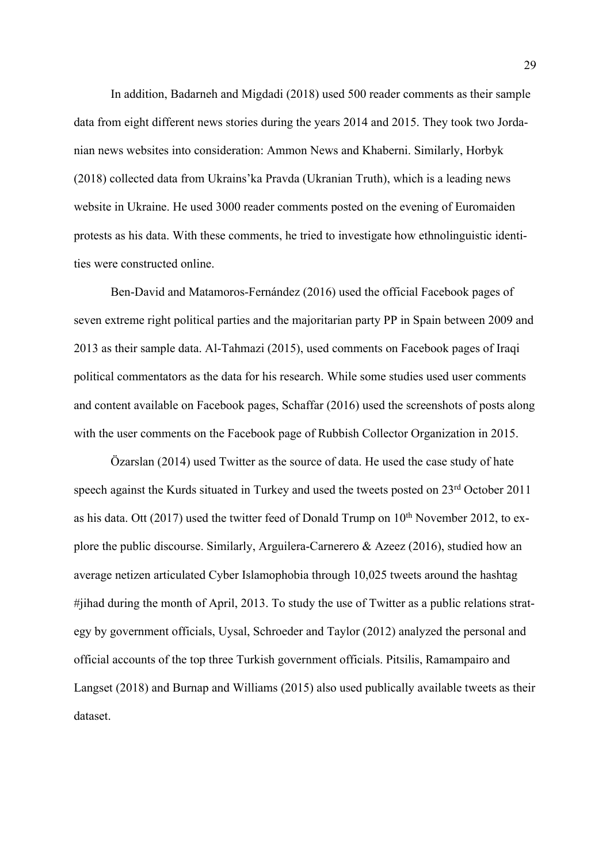In addition, Badarneh and Migdadi (2018) used 500 reader comments as their sample data from eight different news stories during the years 2014 and 2015. They took two Jordanian news websites into consideration: Ammon News and Khaberni. Similarly, Horbyk (2018) collected data from Ukrains'ka Pravda (Ukranian Truth), which is a leading news website in Ukraine. He used 3000 reader comments posted on the evening of Euromaiden protests as his data. With these comments, he tried to investigate how ethnolinguistic identities were constructed online.

Ben-David and Matamoros-Fernández (2016) used the official Facebook pages of seven extreme right political parties and the majoritarian party PP in Spain between 2009 and 2013 as their sample data. Al-Tahmazi (2015), used comments on Facebook pages of Iraqi political commentators as the data for his research. While some studies used user comments and content available on Facebook pages, Schaffar (2016) used the screenshots of posts along with the user comments on the Facebook page of Rubbish Collector Organization in 2015.

Özarslan (2014) used Twitter as the source of data. He used the case study of hate speech against the Kurds situated in Turkey and used the tweets posted on 23<sup>rd</sup> October 2011 as his data. Ott (2017) used the twitter feed of Donald Trump on  $10<sup>th</sup>$  November 2012, to explore the public discourse. Similarly, Arguilera-Carnerero & Azeez (2016), studied how an average netizen articulated Cyber Islamophobia through 10,025 tweets around the hashtag #jihad during the month of April, 2013. To study the use of Twitter as a public relations strategy by government officials, Uysal, Schroeder and Taylor (2012) analyzed the personal and official accounts of the top three Turkish government officials. Pitsilis, Ramampairo and Langset (2018) and Burnap and Williams (2015) also used publically available tweets as their dataset.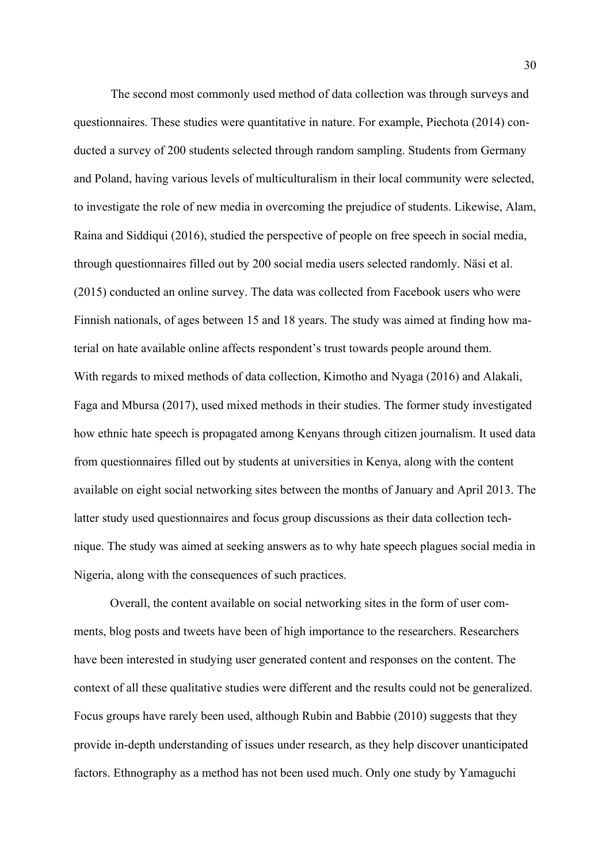The second most commonly used method of data collection was through surveys and questionnaires. These studies were quantitative in nature. For example, Piechota (2014) conducted a survey of 200 students selected through random sampling. Students from Germany and Poland, having various levels of multiculturalism in their local community were selected, to investigate the role of new media in overcoming the prejudice of students. Likewise, Alam, Raina and Siddiqui (2016), studied the perspective of people on free speech in social media, through questionnaires filled out by 200 social media users selected randomly. Näsi et al. (2015) conducted an online survey. The data was collected from Facebook users who were Finnish nationals, of ages between 15 and 18 years. The study was aimed at finding how material on hate available online affects respondent's trust towards people around them. With regards to mixed methods of data collection, Kimotho and Nyaga (2016) and Alakali, Faga and Mbursa (2017), used mixed methods in their studies. The former study investigated how ethnic hate speech is propagated among Kenyans through citizen journalism. It used data from questionnaires filled out by students at universities in Kenya, along with the content available on eight social networking sites between the months of January and April 2013. The latter study used questionnaires and focus group discussions as their data collection technique. The study was aimed at seeking answers as to why hate speech plagues social media in Nigeria, along with the consequences of such practices.

Overall, the content available on social networking sites in the form of user comments, blog posts and tweets have been of high importance to the researchers. Researchers have been interested in studying user generated content and responses on the content. The context of all these qualitative studies were different and the results could not be generalized. Focus groups have rarely been used, although Rubin and Babbie (2010) suggests that they provide in-depth understanding of issues under research, as they help discover unanticipated factors. Ethnography as a method has not been used much. Only one study by Yamaguchi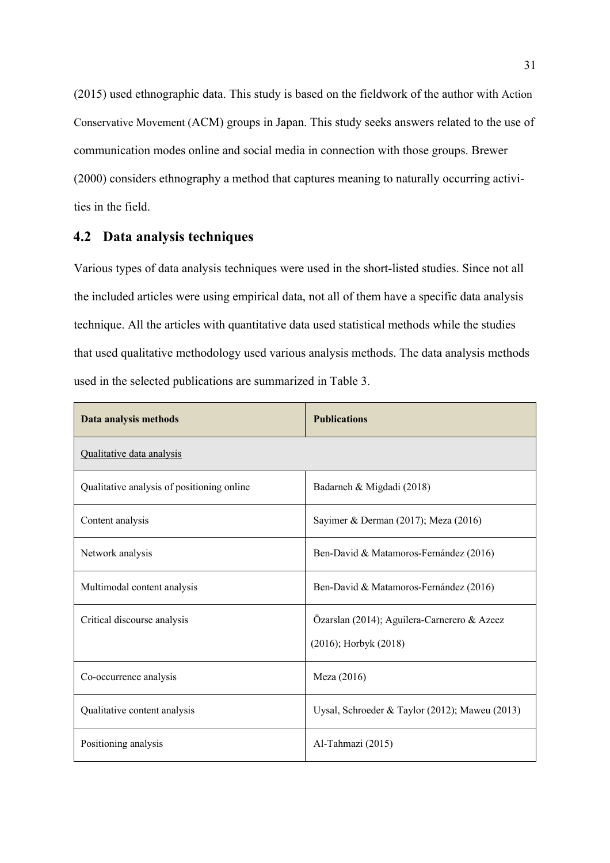(2015) used ethnographic data. This study is based on the fieldwork of the author with Action Conservative Movement (ACM) groups in Japan. This study seeks answers related to the use of communication modes online and social media in connection with those groups. Brewer (2000) considers ethnography a method that captures meaning to naturally occurring activities in the field.

### **4.2 Data analysis techniques**

Various types of data analysis techniques were used in the short-listed studies. Since not all the included articles were using empirical data, not all of them have a specific data analysis technique. All the articles with quantitative data used statistical methods while the studies that used qualitative methodology used various analysis methods. The data analysis methods used in the selected publications are summarized in Table 3.

| Data analysis methods                      | <b>Publications</b>                                                       |
|--------------------------------------------|---------------------------------------------------------------------------|
| Qualitative data analysis                  |                                                                           |
| Qualitative analysis of positioning online | Badarneh & Migdadi (2018)                                                 |
| Content analysis                           | Sayimer & Derman (2017); Meza (2016)                                      |
| Network analysis                           | Ben-David & Matamoros-Fernández (2016)                                    |
| Multimodal content analysis                | Ben-David & Matamoros-Fernández (2016)                                    |
| Critical discourse analysis                | Özarslan (2014); Aguilera-Carnerero & Azeez<br>$(2016)$ ; Horbyk $(2018)$ |
| Co-occurrence analysis                     | Meza (2016)                                                               |
| Qualitative content analysis               | Uysal, Schroeder & Taylor (2012); Maweu (2013)                            |
| Positioning analysis                       | Al-Tahmazi (2015)                                                         |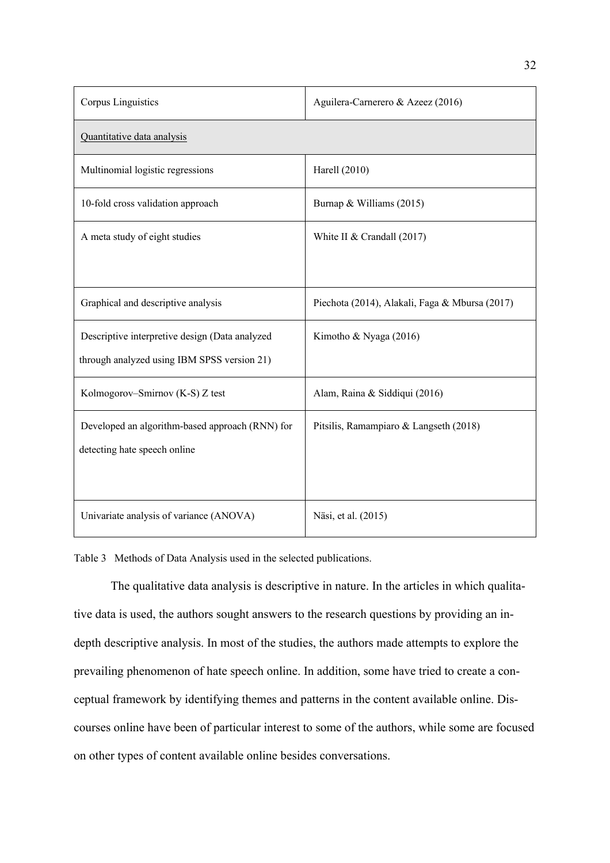| Corpus Linguistics                              | Aguilera-Carnerero & Azeez (2016)              |  |
|-------------------------------------------------|------------------------------------------------|--|
| Quantitative data analysis                      |                                                |  |
| Multinomial logistic regressions                | Harell (2010)                                  |  |
| 10-fold cross validation approach               | Burnap & Williams (2015)                       |  |
| A meta study of eight studies                   | White II & Crandall $(2017)$                   |  |
|                                                 |                                                |  |
| Graphical and descriptive analysis              | Piechota (2014), Alakali, Faga & Mbursa (2017) |  |
| Descriptive interpretive design (Data analyzed  | Kimotho & Nyaga (2016)                         |  |
| through analyzed using IBM SPSS version 21)     |                                                |  |
| Kolmogorov-Smirnov (K-S) Z test                 | Alam, Raina & Siddiqui (2016)                  |  |
| Developed an algorithm-based approach (RNN) for | Pitsilis, Ramampiaro & Langseth (2018)         |  |
| detecting hate speech online                    |                                                |  |
|                                                 |                                                |  |
| Univariate analysis of variance (ANOVA)         | Näsi, et al. (2015)                            |  |

Table 3 Methods of Data Analysis used in the selected publications.

The qualitative data analysis is descriptive in nature. In the articles in which qualitative data is used, the authors sought answers to the research questions by providing an indepth descriptive analysis. In most of the studies, the authors made attempts to explore the prevailing phenomenon of hate speech online. In addition, some have tried to create a conceptual framework by identifying themes and patterns in the content available online. Discourses online have been of particular interest to some of the authors, while some are focused on other types of content available online besides conversations.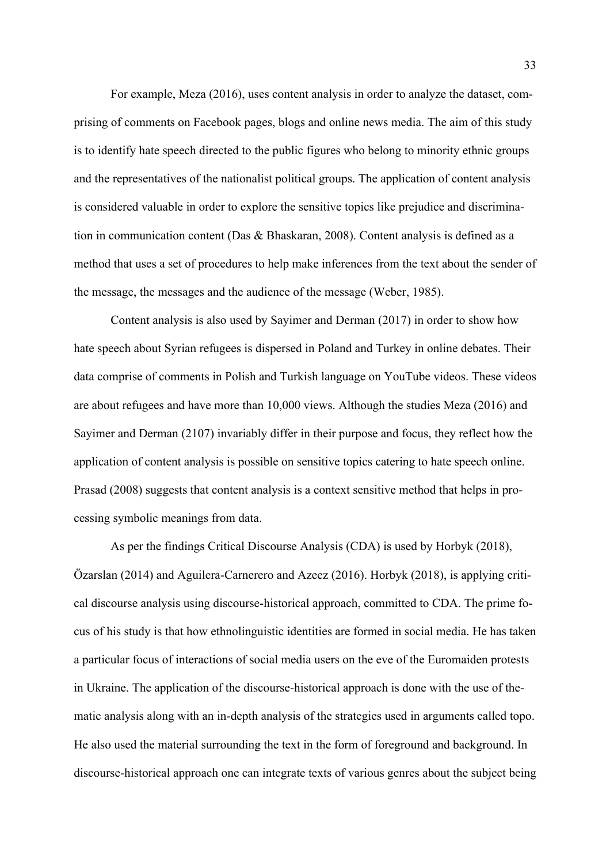For example, Meza (2016), uses content analysis in order to analyze the dataset, comprising of comments on Facebook pages, blogs and online news media. The aim of this study is to identify hate speech directed to the public figures who belong to minority ethnic groups and the representatives of the nationalist political groups. The application of content analysis is considered valuable in order to explore the sensitive topics like prejudice and discrimination in communication content (Das & Bhaskaran, 2008). Content analysis is defined as a method that uses a set of procedures to help make inferences from the text about the sender of the message, the messages and the audience of the message (Weber, 1985).

Content analysis is also used by Sayimer and Derman (2017) in order to show how hate speech about Syrian refugees is dispersed in Poland and Turkey in online debates. Their data comprise of comments in Polish and Turkish language on YouTube videos. These videos are about refugees and have more than 10,000 views. Although the studies Meza (2016) and Sayimer and Derman (2107) invariably differ in their purpose and focus, they reflect how the application of content analysis is possible on sensitive topics catering to hate speech online. Prasad (2008) suggests that content analysis is a context sensitive method that helps in processing symbolic meanings from data.

As per the findings Critical Discourse Analysis (CDA) is used by Horbyk (2018), Özarslan (2014) and Aguilera-Carnerero and Azeez (2016). Horbyk (2018), is applying critical discourse analysis using discourse-historical approach, committed to CDA. The prime focus of his study is that how ethnolinguistic identities are formed in social media. He has taken a particular focus of interactions of social media users on the eve of the Euromaiden protests in Ukraine. The application of the discourse-historical approach is done with the use of thematic analysis along with an in-depth analysis of the strategies used in arguments called topo. He also used the material surrounding the text in the form of foreground and background. In discourse-historical approach one can integrate texts of various genres about the subject being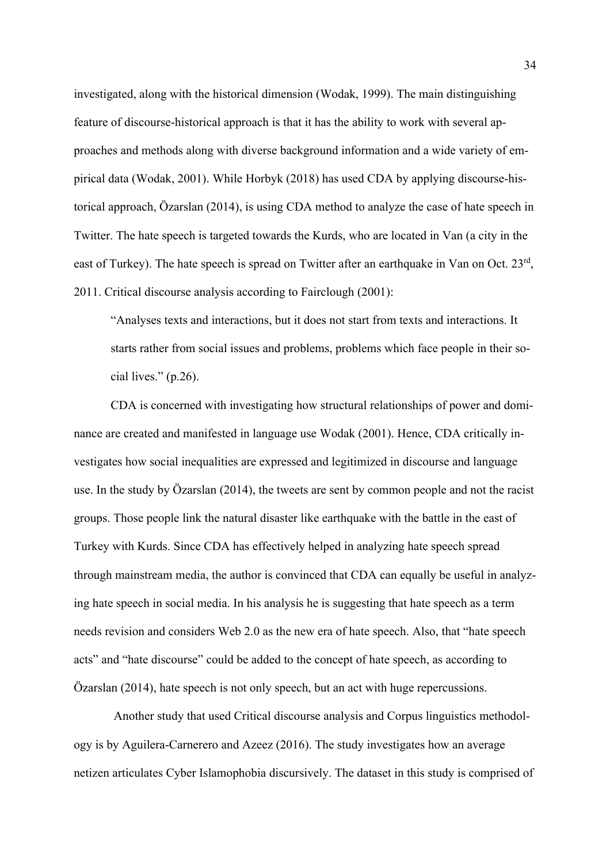investigated, along with the historical dimension (Wodak, 1999). The main distinguishing feature of discourse-historical approach is that it has the ability to work with several approaches and methods along with diverse background information and a wide variety of empirical data (Wodak, 2001). While Horbyk (2018) has used CDA by applying discourse-historical approach, Özarslan (2014), is using CDA method to analyze the case of hate speech in Twitter. The hate speech is targeted towards the Kurds, who are located in Van (a city in the east of Turkey). The hate speech is spread on Twitter after an earthquake in Van on Oct. 23rd, 2011. Critical discourse analysis according to Fairclough (2001):

"Analyses texts and interactions, but it does not start from texts and interactions. It starts rather from social issues and problems, problems which face people in their social lives." (p.26).

CDA is concerned with investigating how structural relationships of power and dominance are created and manifested in language use Wodak (2001). Hence, CDA critically investigates how social inequalities are expressed and legitimized in discourse and language use. In the study by Özarslan (2014), the tweets are sent by common people and not the racist groups. Those people link the natural disaster like earthquake with the battle in the east of Turkey with Kurds. Since CDA has effectively helped in analyzing hate speech spread through mainstream media, the author is convinced that CDA can equally be useful in analyzing hate speech in social media. In his analysis he is suggesting that hate speech as a term needs revision and considers Web 2.0 as the new era of hate speech. Also, that "hate speech acts" and "hate discourse" could be added to the concept of hate speech, as according to Özarslan (2014), hate speech is not only speech, but an act with huge repercussions.

Another study that used Critical discourse analysis and Corpus linguistics methodology is by Aguilera-Carnerero and Azeez (2016). The study investigates how an average netizen articulates Cyber Islamophobia discursively. The dataset in this study is comprised of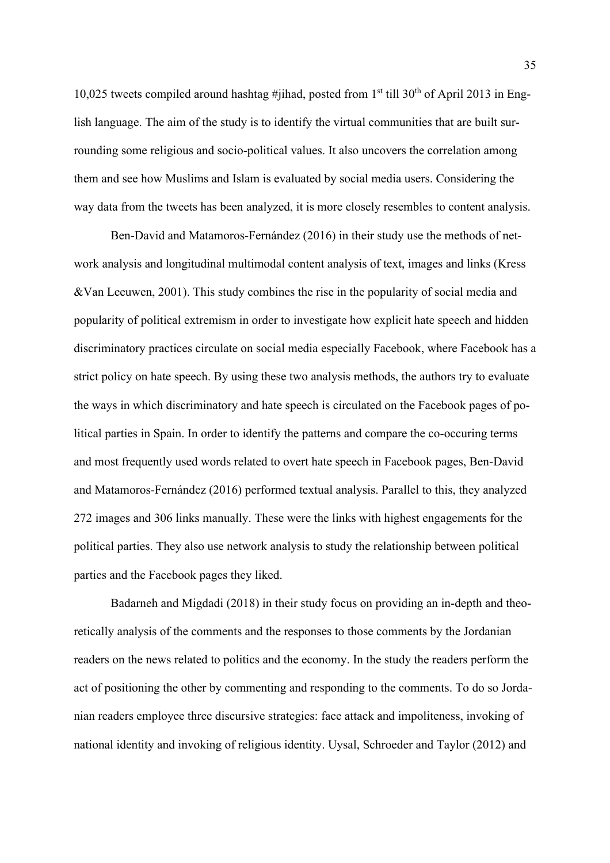10,025 tweets compiled around hashtag #jihad, posted from  $1<sup>st</sup>$  till 30<sup>th</sup> of April 2013 in English language. The aim of the study is to identify the virtual communities that are built surrounding some religious and socio-political values. It also uncovers the correlation among them and see how Muslims and Islam is evaluated by social media users. Considering the way data from the tweets has been analyzed, it is more closely resembles to content analysis.

Ben-David and Matamoros-Fernández (2016) in their study use the methods of network analysis and longitudinal multimodal content analysis of text, images and links (Kress &Van Leeuwen, 2001). This study combines the rise in the popularity of social media and popularity of political extremism in order to investigate how explicit hate speech and hidden discriminatory practices circulate on social media especially Facebook, where Facebook has a strict policy on hate speech. By using these two analysis methods, the authors try to evaluate the ways in which discriminatory and hate speech is circulated on the Facebook pages of political parties in Spain. In order to identify the patterns and compare the co-occuring terms and most frequently used words related to overt hate speech in Facebook pages, Ben-David and Matamoros-Fernández (2016) performed textual analysis. Parallel to this, they analyzed 272 images and 306 links manually. These were the links with highest engagements for the political parties. They also use network analysis to study the relationship between political parties and the Facebook pages they liked.

Badarneh and Migdadi (2018) in their study focus on providing an in-depth and theoretically analysis of the comments and the responses to those comments by the Jordanian readers on the news related to politics and the economy. In the study the readers perform the act of positioning the other by commenting and responding to the comments. To do so Jordanian readers employee three discursive strategies: face attack and impoliteness, invoking of national identity and invoking of religious identity. Uysal, Schroeder and Taylor (2012) and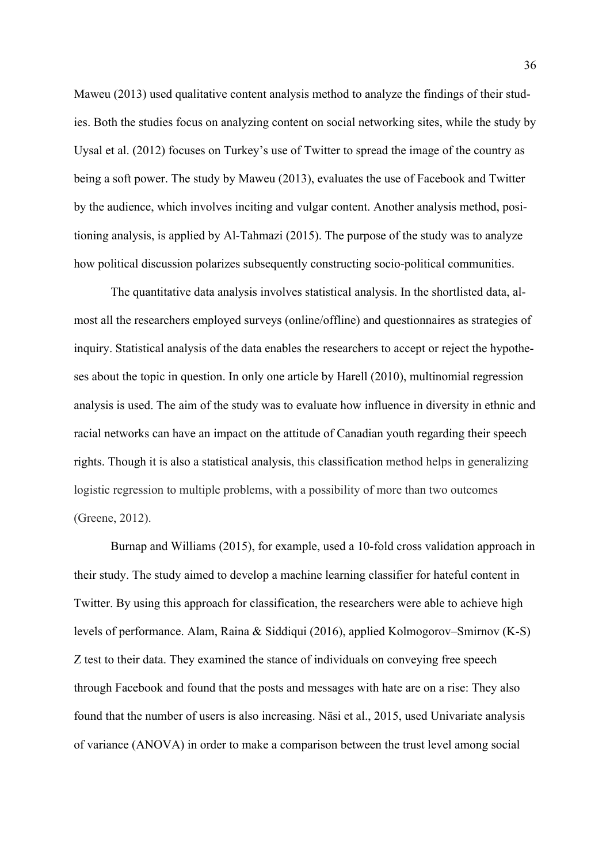Maweu (2013) used qualitative content analysis method to analyze the findings of their studies. Both the studies focus on analyzing content on social networking sites, while the study by Uysal et al. (2012) focuses on Turkey's use of Twitter to spread the image of the country as being a soft power. The study by Maweu (2013), evaluates the use of Facebook and Twitter by the audience, which involves inciting and vulgar content. Another analysis method, positioning analysis, is applied by Al-Tahmazi (2015). The purpose of the study was to analyze how political discussion polarizes subsequently constructing socio-political communities.

The quantitative data analysis involves statistical analysis. In the shortlisted data, almost all the researchers employed surveys (online/offline) and questionnaires as strategies of inquiry. Statistical analysis of the data enables the researchers to accept or reject the hypotheses about the topic in question. In only one article by Harell (2010), multinomial regression analysis is used. The aim of the study was to evaluate how influence in diversity in ethnic and racial networks can have an impact on the attitude of Canadian youth regarding their speech rights. Though it is also a statistical analysis, this classification method helps in generalizing logistic regression to multiple problems, with a possibility of more than two outcomes (Greene, 2012).

Burnap and Williams (2015), for example, used a 10-fold cross validation approach in their study. The study aimed to develop a machine learning classifier for hateful content in Twitter. By using this approach for classification, the researchers were able to achieve high levels of performance. Alam, Raina & Siddiqui (2016), applied Kolmogorov–Smirnov (K-S) Z test to their data. They examined the stance of individuals on conveying free speech through Facebook and found that the posts and messages with hate are on a rise: They also found that the number of users is also increasing. Näsi et al., 2015, used Univariate analysis of variance (ANOVA) in order to make a comparison between the trust level among social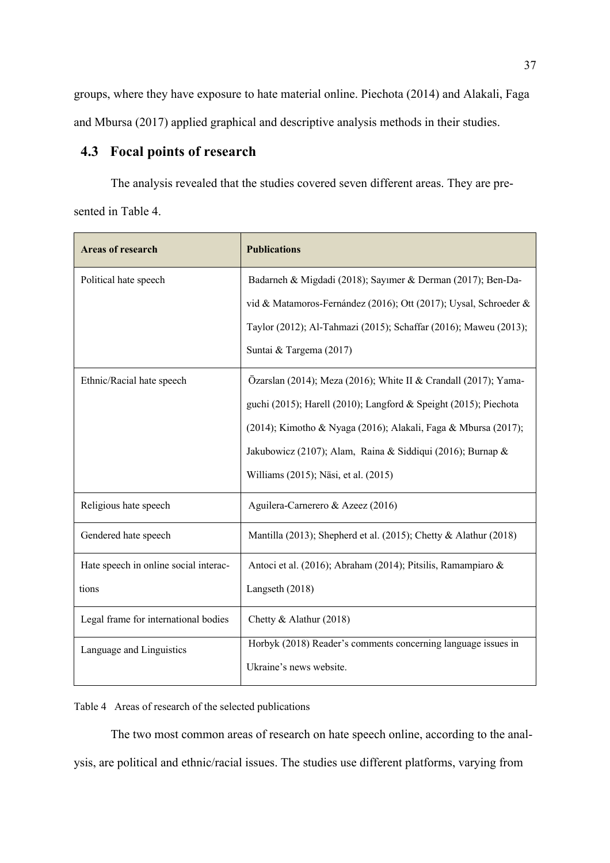groups, where they have exposure to hate material online. Piechota (2014) and Alakali, Faga and Mbursa (2017) applied graphical and descriptive analysis methods in their studies.

## **4.3 Focal points of research**

The analysis revealed that the studies covered seven different areas. They are presented in Table 4.

| <b>Areas of research</b>              | <b>Publications</b>                                              |
|---------------------------------------|------------------------------------------------------------------|
| Political hate speech                 | Badarneh & Migdadi (2018); Sayımer & Derman (2017); Ben-Da-      |
|                                       | vid & Matamoros-Fernández (2016); Ott (2017); Uysal, Schroeder & |
|                                       | Taylor (2012); Al-Tahmazi (2015); Schaffar (2016); Maweu (2013); |
|                                       | Suntai & Targema (2017)                                          |
| Ethnic/Racial hate speech             | Özarslan (2014); Meza (2016); White II & Crandall (2017); Yama-  |
|                                       | guchi (2015); Harell (2010); Langford & Speight (2015); Piechota |
|                                       | (2014); Kimotho & Nyaga (2016); Alakali, Faga & Mbursa (2017);   |
|                                       | Jakubowicz (2107); Alam, Raina & Siddiqui (2016); Burnap &       |
|                                       | Williams (2015); Näsi, et al. (2015)                             |
| Religious hate speech                 | Aguilera-Carnerero & Azeez (2016)                                |
| Gendered hate speech                  | Mantilla (2013); Shepherd et al. (2015); Chetty & Alathur (2018) |
| Hate speech in online social interac- | Antoci et al. (2016); Abraham (2014); Pitsilis, Ramampiaro &     |
| tions                                 | Langseth (2018)                                                  |
| Legal frame for international bodies  | Chetty & Alathur (2018)                                          |
| Language and Linguistics              | Horbyk (2018) Reader's comments concerning language issues in    |
|                                       | Ukraine's news website.                                          |

Table 4 Areas of research of the selected publications

The two most common areas of research on hate speech online, according to the analysis, are political and ethnic/racial issues. The studies use different platforms, varying from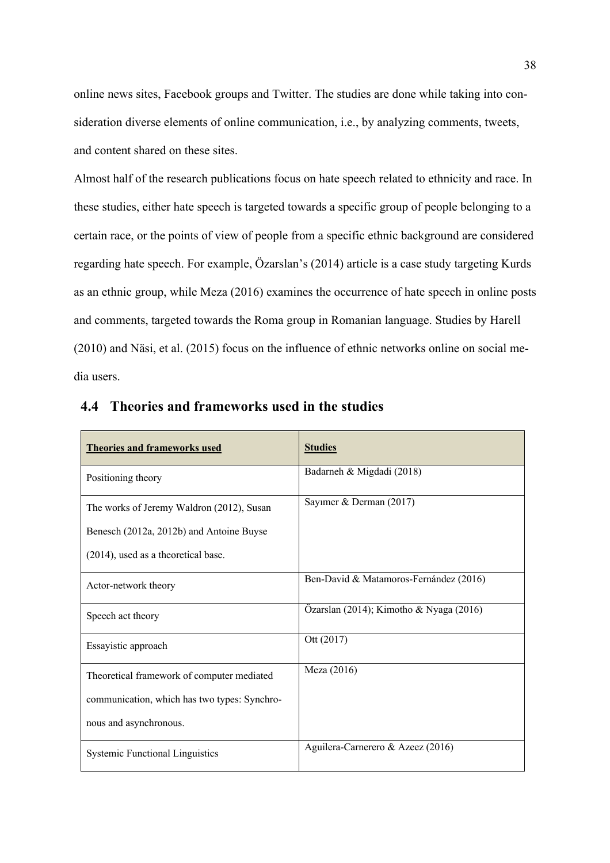online news sites, Facebook groups and Twitter. The studies are done while taking into consideration diverse elements of online communication, i.e., by analyzing comments, tweets, and content shared on these sites.

Almost half of the research publications focus on hate speech related to ethnicity and race. In these studies, either hate speech is targeted towards a specific group of people belonging to a certain race, or the points of view of people from a specific ethnic background are considered regarding hate speech. For example, Özarslan's (2014) article is a case study targeting Kurds as an ethnic group, while Meza (2016) examines the occurrence of hate speech in online posts and comments, targeted towards the Roma group in Romanian language. Studies by Harell (2010) and Näsi, et al. (2015) focus on the influence of ethnic networks online on social media users.

| <b>Theories and frameworks used</b>          | <b>Studies</b>                          |
|----------------------------------------------|-----------------------------------------|
| Positioning theory                           | Badarneh & Migdadi (2018)               |
| The works of Jeremy Waldron (2012), Susan    | Sayımer & Derman (2017)                 |
| Benesch (2012a, 2012b) and Antoine Buyse     |                                         |
| $(2014)$ , used as a theoretical base.       |                                         |
| Actor-network theory                         | Ben-David & Matamoros-Fernández (2016)  |
| Speech act theory                            | Özarslan (2014); Kimotho & Nyaga (2016) |
| Essayistic approach                          | Ott (2017)                              |
| Theoretical framework of computer mediated   | Meza (2016)                             |
| communication, which has two types: Synchro- |                                         |
| nous and asynchronous.                       |                                         |
| <b>Systemic Functional Linguistics</b>       | Aguilera-Carnerero & Azeez (2016)       |

### **4.4 Theories and frameworks used in the studies**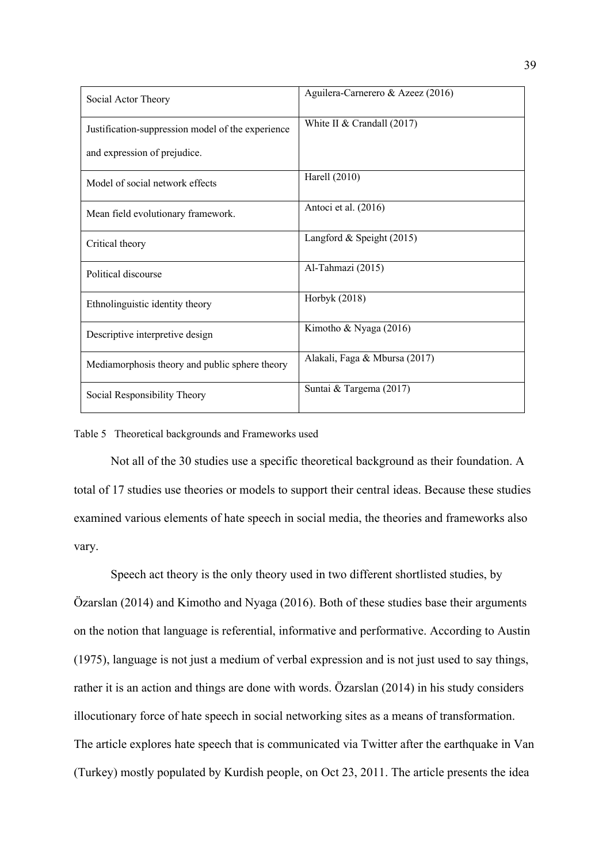| Social Actor Theory                               | Aguilera-Carnerero & Azeez (2016) |
|---------------------------------------------------|-----------------------------------|
| Justification-suppression model of the experience | White II & Crandall $(2017)$      |
| and expression of prejudice.                      |                                   |
| Model of social network effects                   | Harell (2010)                     |
| Mean field evolutionary framework.                | Antoci et al. (2016)              |
| Critical theory                                   | Langford & Speight (2015)         |
| Political discourse                               | Al-Tahmazi (2015)                 |
| Ethnolinguistic identity theory                   | Horbyk (2018)                     |
| Descriptive interpretive design                   | Kimotho & Nyaga (2016)            |
| Mediamorphosis theory and public sphere theory    | Alakali, Faga & Mbursa (2017)     |
| Social Responsibility Theory                      | Suntai & Targema (2017)           |

#### Table 5 Theoretical backgrounds and Frameworks used

Not all of the 30 studies use a specific theoretical background as their foundation. A total of 17 studies use theories or models to support their central ideas. Because these studies examined various elements of hate speech in social media, the theories and frameworks also vary.

Speech act theory is the only theory used in two different shortlisted studies, by Özarslan (2014) and Kimotho and Nyaga (2016). Both of these studies base their arguments on the notion that language is referential, informative and performative. According to Austin (1975), language is not just a medium of verbal expression and is not just used to say things, rather it is an action and things are done with words. Özarslan (2014) in his study considers illocutionary force of hate speech in social networking sites as a means of transformation. The article explores hate speech that is communicated via Twitter after the earthquake in Van (Turkey) mostly populated by Kurdish people, on Oct 23, 2011. The article presents the idea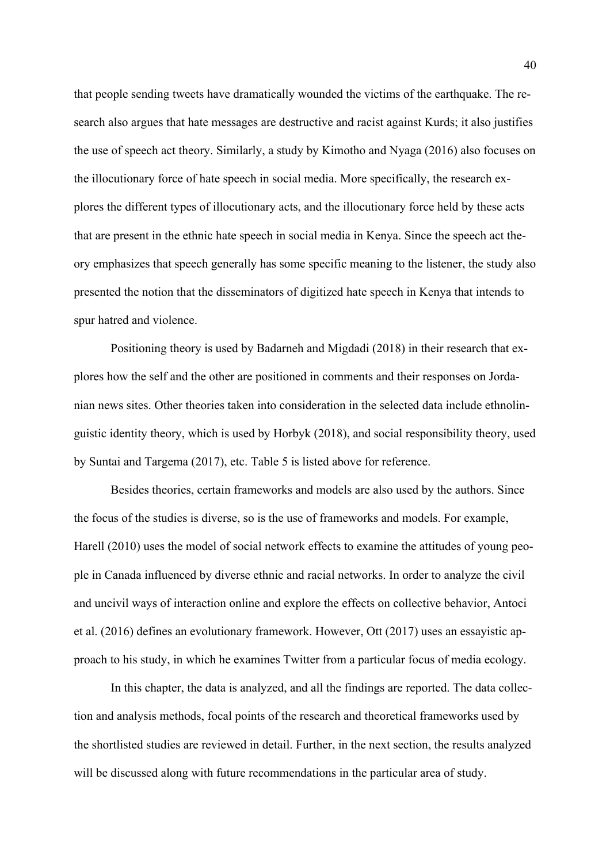that people sending tweets have dramatically wounded the victims of the earthquake. The research also argues that hate messages are destructive and racist against Kurds; it also justifies the use of speech act theory. Similarly, a study by Kimotho and Nyaga (2016) also focuses on the illocutionary force of hate speech in social media. More specifically, the research explores the different types of illocutionary acts, and the illocutionary force held by these acts that are present in the ethnic hate speech in social media in Kenya. Since the speech act theory emphasizes that speech generally has some specific meaning to the listener, the study also presented the notion that the disseminators of digitized hate speech in Kenya that intends to spur hatred and violence.

Positioning theory is used by Badarneh and Migdadi (2018) in their research that explores how the self and the other are positioned in comments and their responses on Jordanian news sites. Other theories taken into consideration in the selected data include ethnolinguistic identity theory, which is used by Horbyk (2018), and social responsibility theory, used by Suntai and Targema (2017), etc. Table 5 is listed above for reference.

Besides theories, certain frameworks and models are also used by the authors. Since the focus of the studies is diverse, so is the use of frameworks and models. For example, Harell (2010) uses the model of social network effects to examine the attitudes of young people in Canada influenced by diverse ethnic and racial networks. In order to analyze the civil and uncivil ways of interaction online and explore the effects on collective behavior, Antoci et al. (2016) defines an evolutionary framework. However, Ott (2017) uses an essayistic approach to his study, in which he examines Twitter from a particular focus of media ecology.

In this chapter, the data is analyzed, and all the findings are reported. The data collection and analysis methods, focal points of the research and theoretical frameworks used by the shortlisted studies are reviewed in detail. Further, in the next section, the results analyzed will be discussed along with future recommendations in the particular area of study.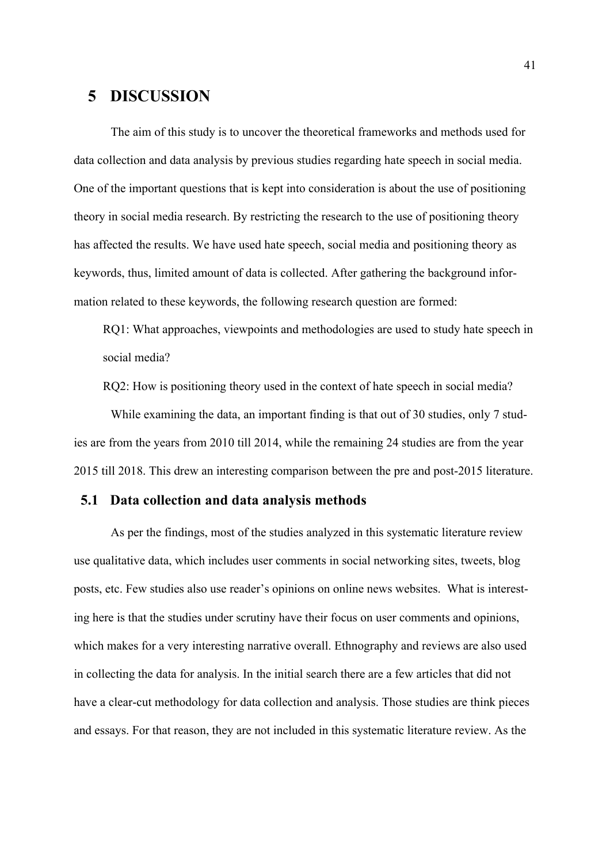## **5 DISCUSSION**

The aim of this study is to uncover the theoretical frameworks and methods used for data collection and data analysis by previous studies regarding hate speech in social media. One of the important questions that is kept into consideration is about the use of positioning theory in social media research. By restricting the research to the use of positioning theory has affected the results. We have used hate speech, social media and positioning theory as keywords, thus, limited amount of data is collected. After gathering the background information related to these keywords, the following research question are formed:

RQ1: What approaches, viewpoints and methodologies are used to study hate speech in social media?

RQ2: How is positioning theory used in the context of hate speech in social media?

While examining the data, an important finding is that out of 30 studies, only 7 studies are from the years from 2010 till 2014, while the remaining 24 studies are from the year 2015 till 2018. This drew an interesting comparison between the pre and post-2015 literature.

#### **5.1 Data collection and data analysis methods**

As per the findings, most of the studies analyzed in this systematic literature review use qualitative data, which includes user comments in social networking sites, tweets, blog posts, etc. Few studies also use reader's opinions on online news websites. What is interesting here is that the studies under scrutiny have their focus on user comments and opinions, which makes for a very interesting narrative overall. Ethnography and reviews are also used in collecting the data for analysis. In the initial search there are a few articles that did not have a clear-cut methodology for data collection and analysis. Those studies are think pieces and essays. For that reason, they are not included in this systematic literature review. As the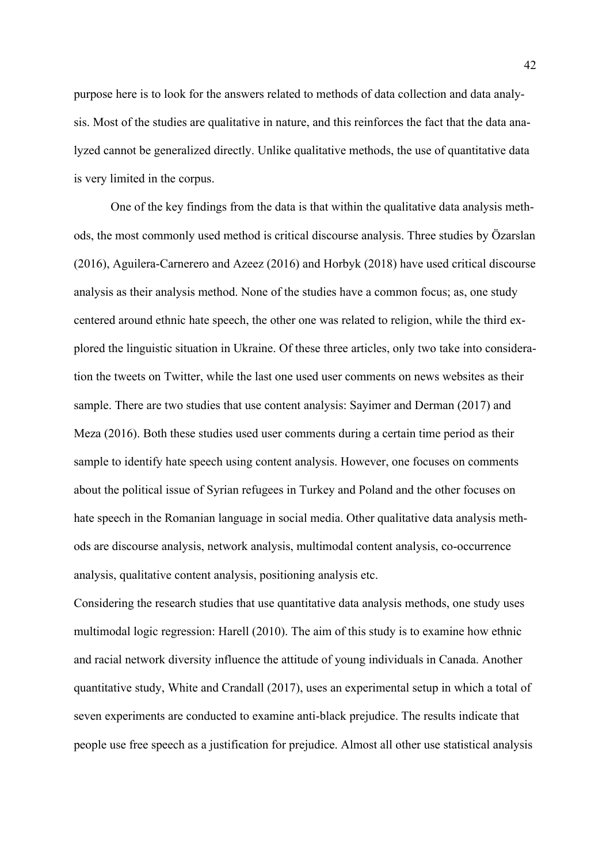purpose here is to look for the answers related to methods of data collection and data analysis. Most of the studies are qualitative in nature, and this reinforces the fact that the data analyzed cannot be generalized directly. Unlike qualitative methods, the use of quantitative data is very limited in the corpus.

One of the key findings from the data is that within the qualitative data analysis methods, the most commonly used method is critical discourse analysis. Three studies by Özarslan (2016), Aguilera-Carnerero and Azeez (2016) and Horbyk (2018) have used critical discourse analysis as their analysis method. None of the studies have a common focus; as, one study centered around ethnic hate speech, the other one was related to religion, while the third explored the linguistic situation in Ukraine. Of these three articles, only two take into consideration the tweets on Twitter, while the last one used user comments on news websites as their sample. There are two studies that use content analysis: Sayimer and Derman (2017) and Meza (2016). Both these studies used user comments during a certain time period as their sample to identify hate speech using content analysis. However, one focuses on comments about the political issue of Syrian refugees in Turkey and Poland and the other focuses on hate speech in the Romanian language in social media. Other qualitative data analysis methods are discourse analysis, network analysis, multimodal content analysis, co-occurrence analysis, qualitative content analysis, positioning analysis etc.

Considering the research studies that use quantitative data analysis methods, one study uses multimodal logic regression: Harell (2010). The aim of this study is to examine how ethnic and racial network diversity influence the attitude of young individuals in Canada. Another quantitative study, White and Crandall (2017), uses an experimental setup in which a total of seven experiments are conducted to examine anti-black prejudice. The results indicate that people use free speech as a justification for prejudice. Almost all other use statistical analysis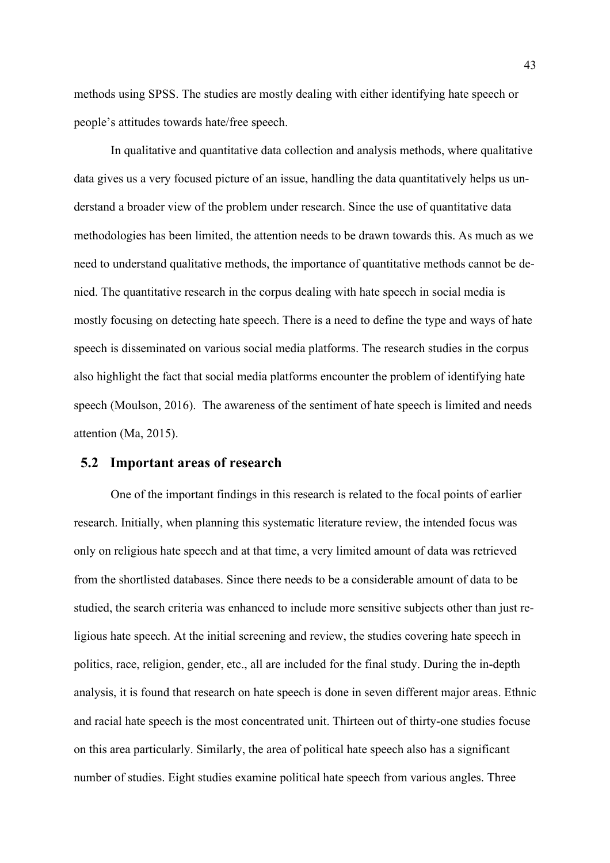methods using SPSS. The studies are mostly dealing with either identifying hate speech or people's attitudes towards hate/free speech.

In qualitative and quantitative data collection and analysis methods, where qualitative data gives us a very focused picture of an issue, handling the data quantitatively helps us understand a broader view of the problem under research. Since the use of quantitative data methodologies has been limited, the attention needs to be drawn towards this. As much as we need to understand qualitative methods, the importance of quantitative methods cannot be denied. The quantitative research in the corpus dealing with hate speech in social media is mostly focusing on detecting hate speech. There is a need to define the type and ways of hate speech is disseminated on various social media platforms. The research studies in the corpus also highlight the fact that social media platforms encounter the problem of identifying hate speech (Moulson, 2016). The awareness of the sentiment of hate speech is limited and needs attention (Ma, 2015).

#### **5.2 Important areas of research**

One of the important findings in this research is related to the focal points of earlier research. Initially, when planning this systematic literature review, the intended focus was only on religious hate speech and at that time, a very limited amount of data was retrieved from the shortlisted databases. Since there needs to be a considerable amount of data to be studied, the search criteria was enhanced to include more sensitive subjects other than just religious hate speech. At the initial screening and review, the studies covering hate speech in politics, race, religion, gender, etc., all are included for the final study. During the in-depth analysis, it is found that research on hate speech is done in seven different major areas. Ethnic and racial hate speech is the most concentrated unit. Thirteen out of thirty-one studies focuse on this area particularly. Similarly, the area of political hate speech also has a significant number of studies. Eight studies examine political hate speech from various angles. Three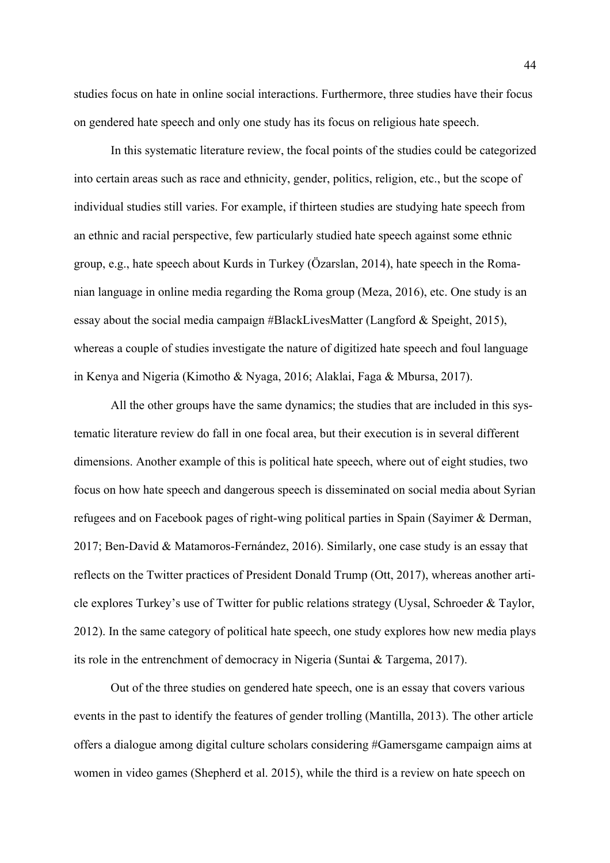studies focus on hate in online social interactions. Furthermore, three studies have their focus on gendered hate speech and only one study has its focus on religious hate speech.

In this systematic literature review, the focal points of the studies could be categorized into certain areas such as race and ethnicity, gender, politics, religion, etc., but the scope of individual studies still varies. For example, if thirteen studies are studying hate speech from an ethnic and racial perspective, few particularly studied hate speech against some ethnic group, e.g., hate speech about Kurds in Turkey (Özarslan, 2014), hate speech in the Romanian language in online media regarding the Roma group (Meza, 2016), etc. One study is an essay about the social media campaign #BlackLivesMatter (Langford & Speight, 2015), whereas a couple of studies investigate the nature of digitized hate speech and foul language in Kenya and Nigeria (Kimotho & Nyaga, 2016; Alaklai, Faga & Mbursa, 2017).

All the other groups have the same dynamics; the studies that are included in this systematic literature review do fall in one focal area, but their execution is in several different dimensions. Another example of this is political hate speech, where out of eight studies, two focus on how hate speech and dangerous speech is disseminated on social media about Syrian refugees and on Facebook pages of right-wing political parties in Spain (Sayimer & Derman, 2017; Ben-David & Matamoros-Fernández, 2016). Similarly, one case study is an essay that reflects on the Twitter practices of President Donald Trump (Ott, 2017), whereas another article explores Turkey's use of Twitter for public relations strategy (Uysal, Schroeder & Taylor, 2012). In the same category of political hate speech, one study explores how new media plays its role in the entrenchment of democracy in Nigeria (Suntai & Targema, 2017).

Out of the three studies on gendered hate speech, one is an essay that covers various events in the past to identify the features of gender trolling (Mantilla, 2013). The other article offers a dialogue among digital culture scholars considering #Gamersgame campaign aims at women in video games (Shepherd et al. 2015), while the third is a review on hate speech on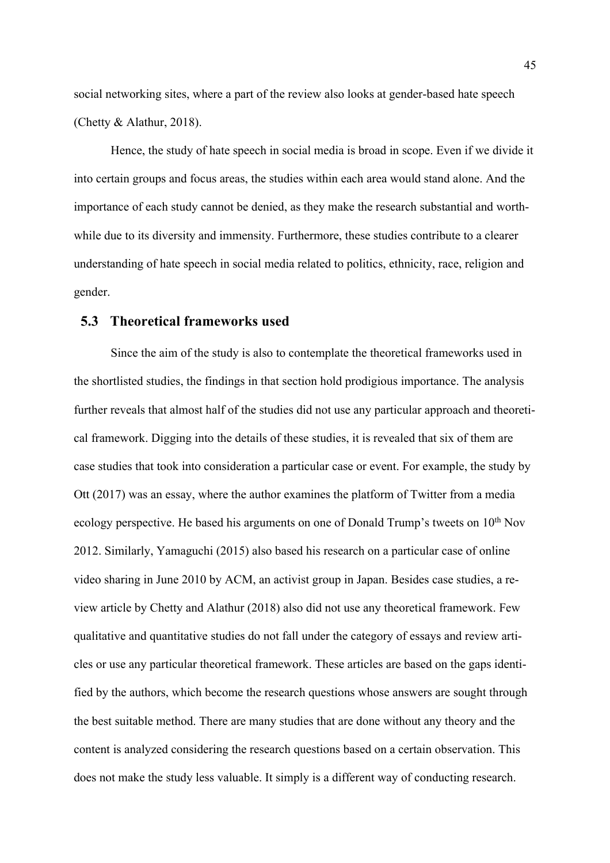social networking sites, where a part of the review also looks at gender-based hate speech (Chetty & Alathur, 2018).

Hence, the study of hate speech in social media is broad in scope. Even if we divide it into certain groups and focus areas, the studies within each area would stand alone. And the importance of each study cannot be denied, as they make the research substantial and worthwhile due to its diversity and immensity. Furthermore, these studies contribute to a clearer understanding of hate speech in social media related to politics, ethnicity, race, religion and gender.

### **5.3 Theoretical frameworks used**

Since the aim of the study is also to contemplate the theoretical frameworks used in the shortlisted studies, the findings in that section hold prodigious importance. The analysis further reveals that almost half of the studies did not use any particular approach and theoretical framework. Digging into the details of these studies, it is revealed that six of them are case studies that took into consideration a particular case or event. For example, the study by Ott (2017) was an essay, where the author examines the platform of Twitter from a media ecology perspective. He based his arguments on one of Donald Trump's tweets on  $10<sup>th</sup>$  Nov 2012. Similarly, Yamaguchi (2015) also based his research on a particular case of online video sharing in June 2010 by ACM, an activist group in Japan. Besides case studies, a review article by Chetty and Alathur (2018) also did not use any theoretical framework. Few qualitative and quantitative studies do not fall under the category of essays and review articles or use any particular theoretical framework. These articles are based on the gaps identified by the authors, which become the research questions whose answers are sought through the best suitable method. There are many studies that are done without any theory and the content is analyzed considering the research questions based on a certain observation. This does not make the study less valuable. It simply is a different way of conducting research.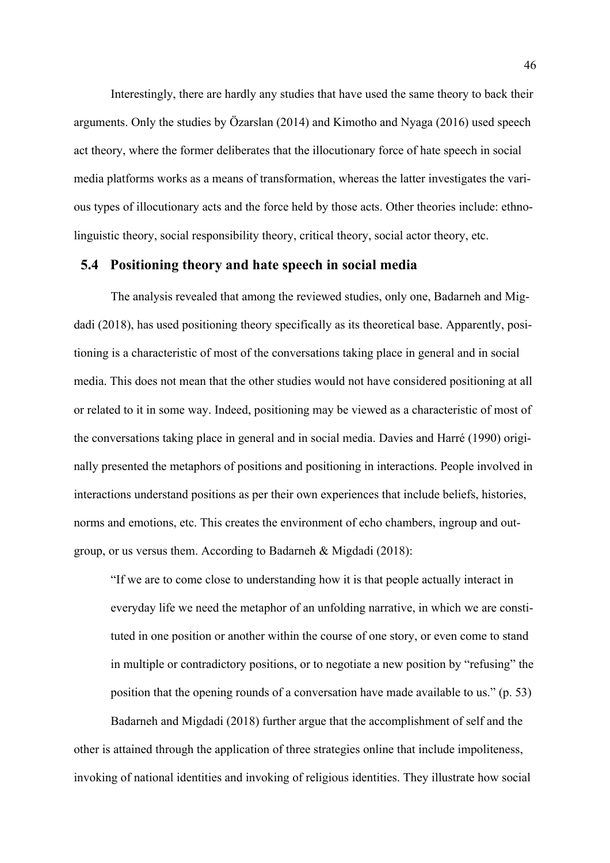Interestingly, there are hardly any studies that have used the same theory to back their arguments. Only the studies by Özarslan (2014) and Kimotho and Nyaga (2016) used speech act theory, where the former deliberates that the illocutionary force of hate speech in social media platforms works as a means of transformation, whereas the latter investigates the various types of illocutionary acts and the force held by those acts. Other theories include: ethnolinguistic theory, social responsibility theory, critical theory, social actor theory, etc.

#### **5.4 Positioning theory and hate speech in social media**

The analysis revealed that among the reviewed studies, only one, Badarneh and Migdadi (2018), has used positioning theory specifically as its theoretical base. Apparently, positioning is a characteristic of most of the conversations taking place in general and in social media. This does not mean that the other studies would not have considered positioning at all or related to it in some way. Indeed, positioning may be viewed as a characteristic of most of the conversations taking place in general and in social media. Davies and Harré (1990) originally presented the metaphors of positions and positioning in interactions. People involved in interactions understand positions as per their own experiences that include beliefs, histories, norms and emotions, etc. This creates the environment of echo chambers, ingroup and outgroup, or us versus them. According to Badarneh & Migdadi (2018):

"If we are to come close to understanding how it is that people actually interact in everyday life we need the metaphor of an unfolding narrative, in which we are constituted in one position or another within the course of one story, or even come to stand in multiple or contradictory positions, or to negotiate a new position by "refusing" the position that the opening rounds of a conversation have made available to us." (p. 53)

Badarneh and Migdadi (2018) further argue that the accomplishment of self and the other is attained through the application of three strategies online that include impoliteness, invoking of national identities and invoking of religious identities. They illustrate how social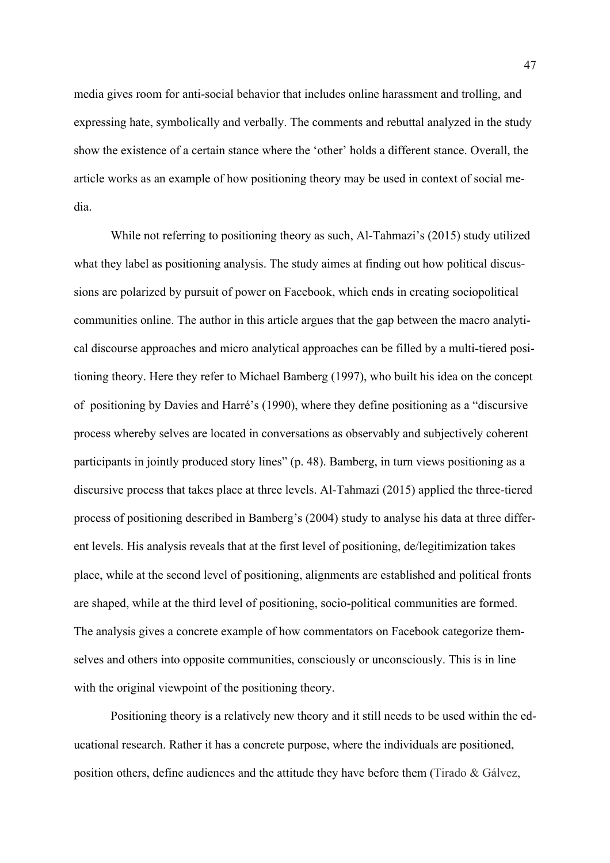media gives room for anti-social behavior that includes online harassment and trolling, and expressing hate, symbolically and verbally. The comments and rebuttal analyzed in the study show the existence of a certain stance where the 'other' holds a different stance. Overall, the article works as an example of how positioning theory may be used in context of social media.

While not referring to positioning theory as such, Al-Tahmazi's (2015) study utilized what they label as positioning analysis. The study aimes at finding out how political discussions are polarized by pursuit of power on Facebook, which ends in creating sociopolitical communities online. The author in this article argues that the gap between the macro analytical discourse approaches and micro analytical approaches can be filled by a multi-tiered positioning theory. Here they refer to Michael Bamberg (1997), who built his idea on the concept of positioning by Davies and Harré's (1990), where they define positioning as a "discursive process whereby selves are located in conversations as observably and subjectively coherent participants in jointly produced story lines" (p. 48). Bamberg, in turn views positioning as a discursive process that takes place at three levels. Al-Tahmazi (2015) applied the three-tiered process of positioning described in Bamberg's (2004) study to analyse his data at three different levels. His analysis reveals that at the first level of positioning, de/legitimization takes place, while at the second level of positioning, alignments are established and political fronts are shaped, while at the third level of positioning, socio-political communities are formed. The analysis gives a concrete example of how commentators on Facebook categorize themselves and others into opposite communities, consciously or unconsciously. This is in line with the original viewpoint of the positioning theory.

Positioning theory is a relatively new theory and it still needs to be used within the educational research. Rather it has a concrete purpose, where the individuals are positioned, position others, define audiences and the attitude they have before them (Tirado & Gálvez,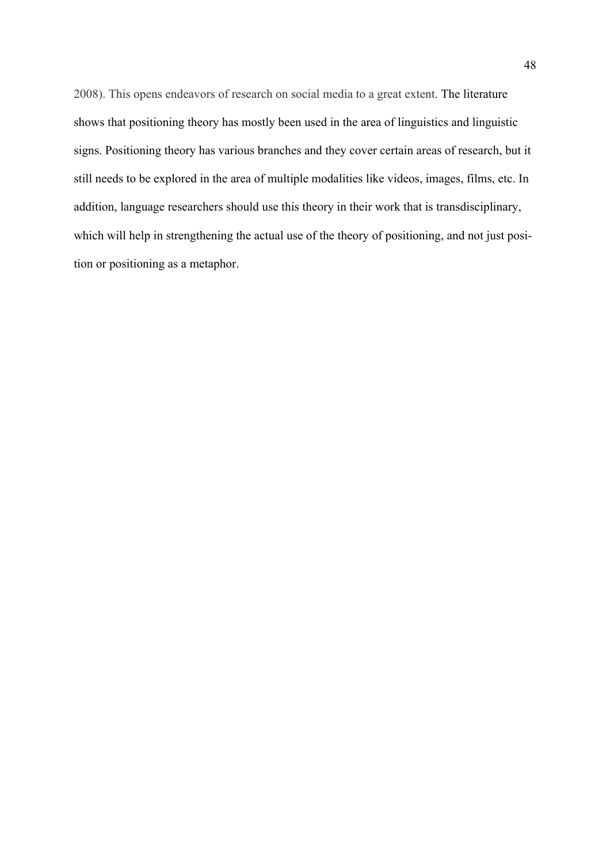2008). This opens endeavors of research on social media to a great extent. The literature shows that positioning theory has mostly been used in the area of linguistics and linguistic signs. Positioning theory has various branches and they cover certain areas of research, but it still needs to be explored in the area of multiple modalities like videos, images, films, etc. In addition, language researchers should use this theory in their work that is transdisciplinary, which will help in strengthening the actual use of the theory of positioning, and not just position or positioning as a metaphor.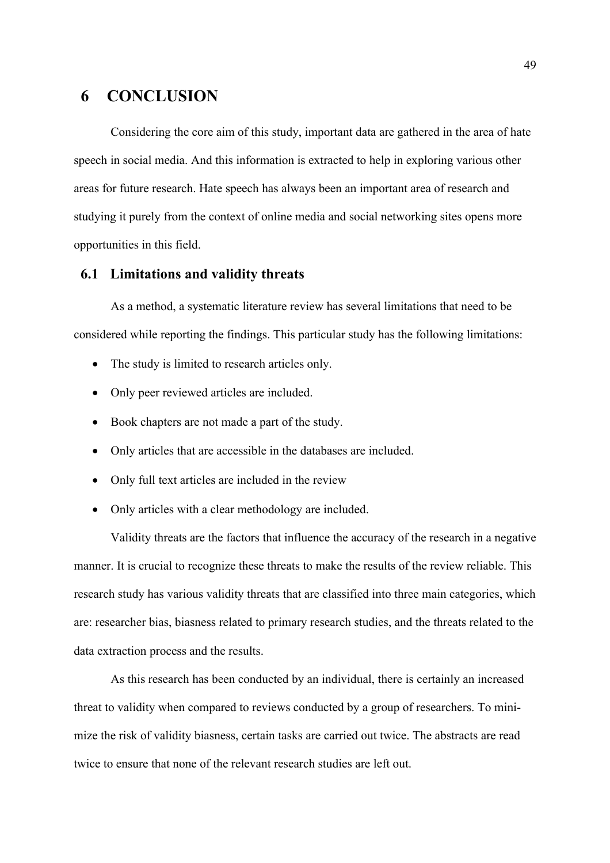## **6 CONCLUSION**

 Considering the core aim of this study, important data are gathered in the area of hate speech in social media. And this information is extracted to help in exploring various other areas for future research. Hate speech has always been an important area of research and studying it purely from the context of online media and social networking sites opens more opportunities in this field.

#### **6.1 Limitations and validity threats**

As a method, a systematic literature review has several limitations that need to be considered while reporting the findings. This particular study has the following limitations:

- The study is limited to research articles only.
- Only peer reviewed articles are included.
- Book chapters are not made a part of the study.
- Only articles that are accessible in the databases are included.
- Only full text articles are included in the review
- Only articles with a clear methodology are included.

Validity threats are the factors that influence the accuracy of the research in a negative manner. It is crucial to recognize these threats to make the results of the review reliable. This research study has various validity threats that are classified into three main categories, which are: researcher bias, biasness related to primary research studies, and the threats related to the data extraction process and the results.

As this research has been conducted by an individual, there is certainly an increased threat to validity when compared to reviews conducted by a group of researchers. To minimize the risk of validity biasness, certain tasks are carried out twice. The abstracts are read twice to ensure that none of the relevant research studies are left out.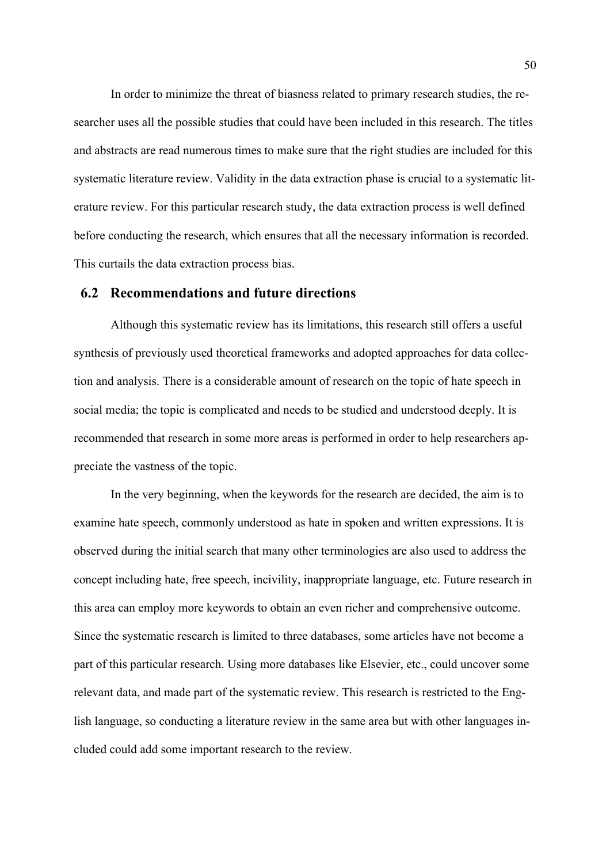In order to minimize the threat of biasness related to primary research studies, the researcher uses all the possible studies that could have been included in this research. The titles and abstracts are read numerous times to make sure that the right studies are included for this systematic literature review. Validity in the data extraction phase is crucial to a systematic literature review. For this particular research study, the data extraction process is well defined before conducting the research, which ensures that all the necessary information is recorded. This curtails the data extraction process bias.

#### **6.2 Recommendations and future directions**

Although this systematic review has its limitations, this research still offers a useful synthesis of previously used theoretical frameworks and adopted approaches for data collection and analysis. There is a considerable amount of research on the topic of hate speech in social media; the topic is complicated and needs to be studied and understood deeply. It is recommended that research in some more areas is performed in order to help researchers appreciate the vastness of the topic.

In the very beginning, when the keywords for the research are decided, the aim is to examine hate speech, commonly understood as hate in spoken and written expressions. It is observed during the initial search that many other terminologies are also used to address the concept including hate, free speech, incivility, inappropriate language, etc. Future research in this area can employ more keywords to obtain an even richer and comprehensive outcome. Since the systematic research is limited to three databases, some articles have not become a part of this particular research. Using more databases like Elsevier, etc., could uncover some relevant data, and made part of the systematic review. This research is restricted to the English language, so conducting a literature review in the same area but with other languages included could add some important research to the review.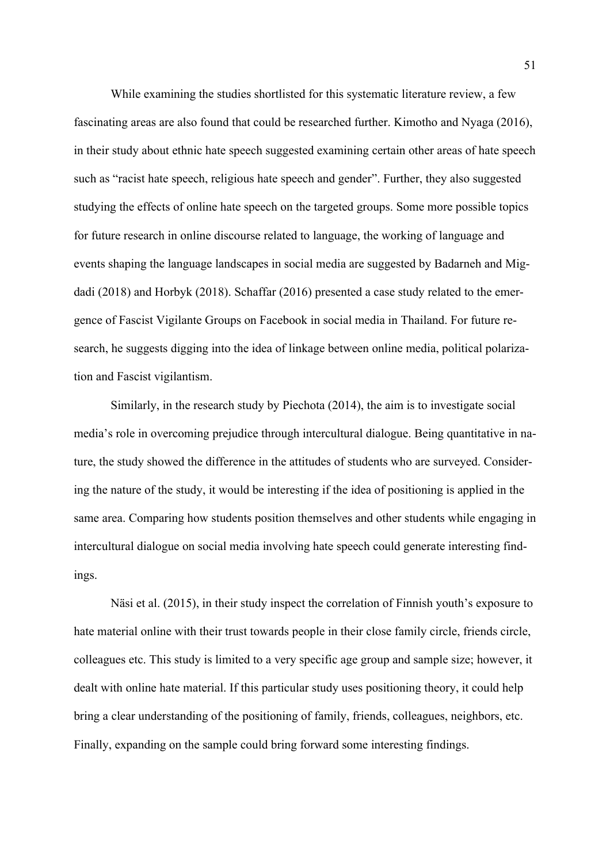While examining the studies shortlisted for this systematic literature review, a few fascinating areas are also found that could be researched further. Kimotho and Nyaga (2016), in their study about ethnic hate speech suggested examining certain other areas of hate speech such as "racist hate speech, religious hate speech and gender". Further, they also suggested studying the effects of online hate speech on the targeted groups. Some more possible topics for future research in online discourse related to language, the working of language and events shaping the language landscapes in social media are suggested by Badarneh and Migdadi (2018) and Horbyk (2018). Schaffar (2016) presented a case study related to the emergence of Fascist Vigilante Groups on Facebook in social media in Thailand. For future research, he suggests digging into the idea of linkage between online media, political polarization and Fascist vigilantism.

Similarly, in the research study by Piechota (2014), the aim is to investigate social media's role in overcoming prejudice through intercultural dialogue. Being quantitative in nature, the study showed the difference in the attitudes of students who are surveyed. Considering the nature of the study, it would be interesting if the idea of positioning is applied in the same area. Comparing how students position themselves and other students while engaging in intercultural dialogue on social media involving hate speech could generate interesting findings.

Näsi et al. (2015), in their study inspect the correlation of Finnish youth's exposure to hate material online with their trust towards people in their close family circle, friends circle, colleagues etc. This study is limited to a very specific age group and sample size; however, it dealt with online hate material. If this particular study uses positioning theory, it could help bring a clear understanding of the positioning of family, friends, colleagues, neighbors, etc. Finally, expanding on the sample could bring forward some interesting findings.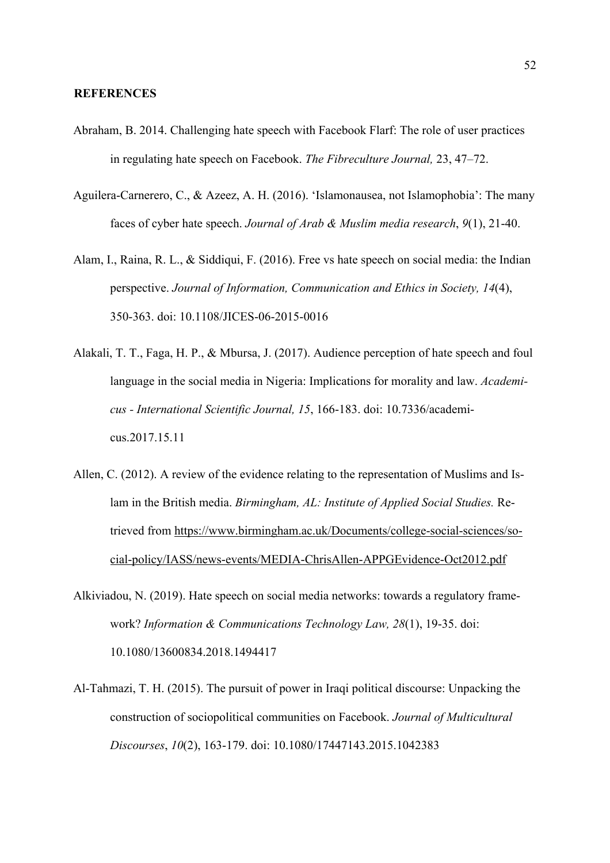#### **REFERENCES**

- Abraham, B. 2014. Challenging hate speech with Facebook Flarf: The role of user practices in regulating hate speech on Facebook. *The Fibreculture Journal,* 23, 47–72.
- Aguilera-Carnerero, C., & Azeez, A. H. (2016). 'Islamonausea, not Islamophobia': The many faces of cyber hate speech. *Journal of Arab & Muslim media research*, *9*(1), 21-40.
- Alam, I., Raina, R. L., & Siddiqui, F. (2016). Free vs hate speech on social media: the Indian perspective. *Journal of Information, Communication and Ethics in Society, 14*(4), 350-363. doi: 10.1108/JICES-06-2015-0016
- Alakali, T. T., Faga, H. P., & Mbursa, J. (2017). Audience perception of hate speech and foul language in the social media in Nigeria: Implications for morality and law. *Academicus - International Scientific Journal, 15*, 166-183. doi: 10.7336/academicus.2017.15.11
- Allen, C. (2012). A review of the evidence relating to the representation of Muslims and Islam in the British media. *Birmingham, AL: Institute of Applied Social Studies.* Retrieved from https://www.birmingham.ac.uk/Documents/college-social-sciences/social-policy/IASS/news-events/MEDIA-ChrisAllen-APPGEvidence-Oct2012.pdf
- Alkiviadou, N. (2019). Hate speech on social media networks: towards a regulatory framework? *Information & Communications Technology Law, 28*(1), 19-35. doi: 10.1080/13600834.2018.1494417
- Al-Tahmazi, T. H. (2015). The pursuit of power in Iraqi political discourse: Unpacking the construction of sociopolitical communities on Facebook. *Journal of Multicultural Discourses*, *10*(2), 163-179. doi: 10.1080/17447143.2015.1042383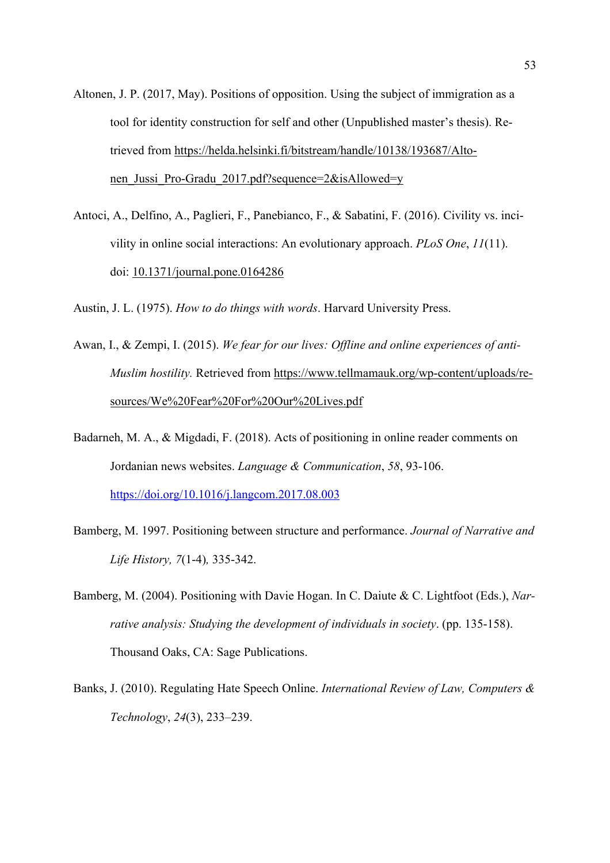- Altonen, J. P. (2017, May). Positions of opposition. Using the subject of immigration as a tool for identity construction for self and other (Unpublished master's thesis). Retrieved from https://helda.helsinki.fi/bitstream/handle/10138/193687/Altonen Jussi Pro-Gradu 2017.pdf?sequence=2&isAllowed=y
- Antoci, A., Delfino, A., Paglieri, F., Panebianco, F., & Sabatini, F. (2016). Civility vs. incivility in online social interactions: An evolutionary approach. *PLoS One*, *11*(11). doi: 10.1371/journal.pone.0164286

Austin, J. L. (1975). *How to do things with words*. Harvard University Press.

- Awan, I., & Zempi, I. (2015). *We fear for our lives: Offline and online experiences of anti-Muslim hostility.* Retrieved from https://www.tellmamauk.org/wp-content/uploads/resources/We%20Fear%20For%20Our%20Lives.pdf
- Badarneh, M. A., & Migdadi, F. (2018). Acts of positioning in online reader comments on Jordanian news websites. *Language & Communication*, *58*, 93-106. https://doi.org/10.1016/j.langcom.2017.08.003
- Bamberg, M. 1997. Positioning between structure and performance. *Journal of Narrative and Life History, 7*(1-4)*,* 335-342.
- Bamberg, M. (2004). Positioning with Davie Hogan. In C. Daiute & C. Lightfoot (Eds.), *Narrative analysis: Studying the development of individuals in society*. (pp. 135-158). Thousand Oaks, CA: Sage Publications.
- Banks, J. (2010). Regulating Hate Speech Online. *International Review of Law, Computers & Technology*, *24*(3), 233–239.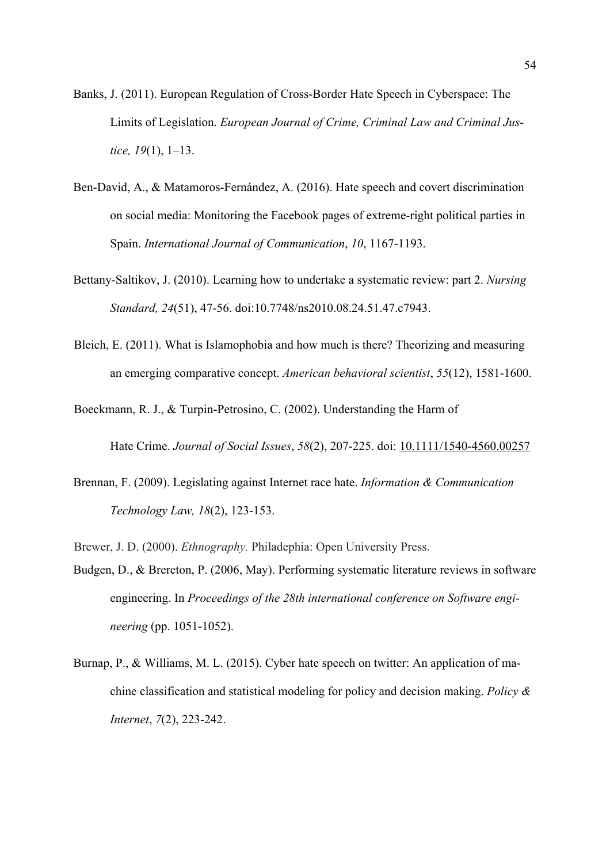- Banks, J. (2011). European Regulation of Cross-Border Hate Speech in Cyberspace: The Limits of Legislation. *European Journal of Crime, Criminal Law and Criminal Justice, 19*(1), 1–13.
- Ben-David, A., & Matamoros-Fernández, A. (2016). Hate speech and covert discrimination on social media: Monitoring the Facebook pages of extreme-right political parties in Spain. *International Journal of Communication*, *10*, 1167-1193.
- Bettany-Saltikov, J. (2010). Learning how to undertake a systematic review: part 2. *Nursing Standard, 24*(51), 47-56. doi:10.7748/ns2010.08.24.51.47.c7943.
- Bleich, E. (2011). What is Islamophobia and how much is there? Theorizing and measuring an emerging comparative concept. *American behavioral scientist*, *55*(12), 1581-1600.

Boeckmann, R. J., & Turpin-Petrosino, C. (2002). Understanding the Harm of

Hate Crime. *Journal of Social Issues*, *58*(2), 207-225. doi: 10.1111/1540-4560.00257

- Brennan, F. (2009). Legislating against Internet race hate. *Information & Communication Technology Law, 18*(2), 123-153.
- Brewer, J. D. (2000). *Ethnography.* Philadephia: Open University Press.
- Budgen, D., & Brereton, P. (2006, May). Performing systematic literature reviews in software engineering. In *Proceedings of the 28th international conference on Software engineering* (pp. 1051-1052).
- Burnap, P., & Williams, M. L. (2015). Cyber hate speech on twitter: An application of machine classification and statistical modeling for policy and decision making. *Policy & Internet*, *7*(2), 223-242.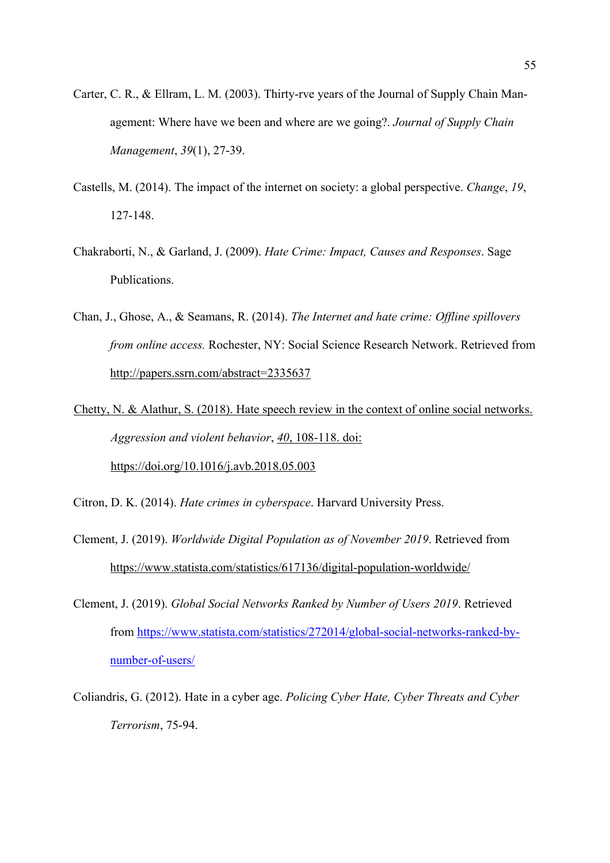- Carter, C. R., & Ellram, L. M. (2003). Thirty‐rve years of the Journal of Supply Chain Management: Where have we been and where are we going?. *Journal of Supply Chain Management*, *39*(1), 27-39.
- Castells, M. (2014). The impact of the internet on society: a global perspective. *Change*, *19*, 127-148.
- Chakraborti, N., & Garland, J. (2009). *Hate Crime: Impact, Causes and Responses*. Sage Publications.
- Chan, J., Ghose, A., & Seamans, R. (2014). *The Internet and hate crime: Offline spillovers from online access.* Rochester, NY: Social Science Research Network. Retrieved from http://papers.ssrn.com/abstract=2335637
- Chetty, N. & Alathur, S. (2018). Hate speech review in the context of online social networks. *Aggression and violent behavior*, *40*, 108-118. doi: https://doi.org/10.1016/j.avb.2018.05.003
- Citron, D. K. (2014). *Hate crimes in cyberspace*. Harvard University Press.
- Clement, J. (2019). *Worldwide Digital Population as of November 2019*. Retrieved from https://www.statista.com/statistics/617136/digital-population-worldwide/
- Clement, J. (2019). *Global Social Networks Ranked by Number of Users 2019*. Retrieved from https://www.statista.com/statistics/272014/global-social-networks-ranked-bynumber-of-users/
- Coliandris, G. (2012). Hate in a cyber age. *Policing Cyber Hate, Cyber Threats and Cyber Terrorism*, 75-94.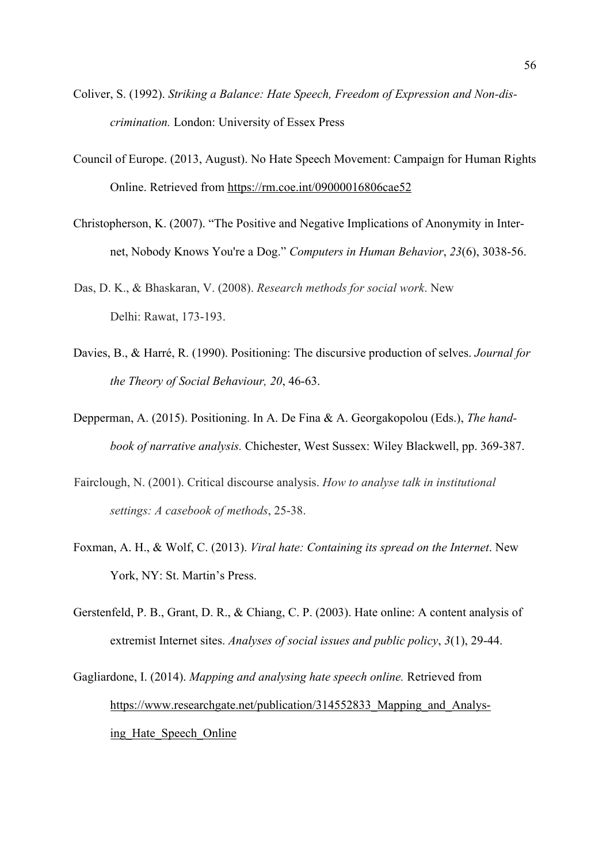- Coliver, S. (1992). *Striking a Balance: Hate Speech, Freedom of Expression and Non-discrimination.* London: University of Essex Press
- Council of Europe. (2013, August). No Hate Speech Movement: Campaign for Human Rights Online. Retrieved from https://rm.coe.int/09000016806cae52
- Christopherson, K. (2007). "The Positive and Negative Implications of Anonymity in Internet, Nobody Knows You're a Dog." *Computers in Human Behavior*, *23*(6), 3038-56.
- Das, D. K., & Bhaskaran, V. (2008). *Research methods for social work*. New Delhi: Rawat, 173-193.
- Davies, B., & Harré, R. (1990). Positioning: The discursive production of selves. *Journal for the Theory of Social Behaviour, 20*, 46-63.
- Depperman, A. (2015). Positioning. In A. De Fina & A. Georgakopolou (Eds.), *The handbook of narrative analysis.* Chichester, West Sussex: Wiley Blackwell, pp. 369-387.
- Fairclough, N. (2001). Critical discourse analysis. *How to analyse talk in institutional settings: A casebook of methods*, 25-38.
- Foxman, A. H., & Wolf, C. (2013). *Viral hate: Containing its spread on the Internet*. New York, NY: St. Martin's Press.
- Gerstenfeld, P. B., Grant, D. R., & Chiang, C. P. (2003). Hate online: A content analysis of extremist Internet sites. *Analyses of social issues and public policy*, *3*(1), 29-44.

Gagliardone, I. (2014). *Mapping and analysing hate speech online.* Retrieved from https://www.researchgate.net/publication/314552833 Mapping and Analysing Hate Speech Online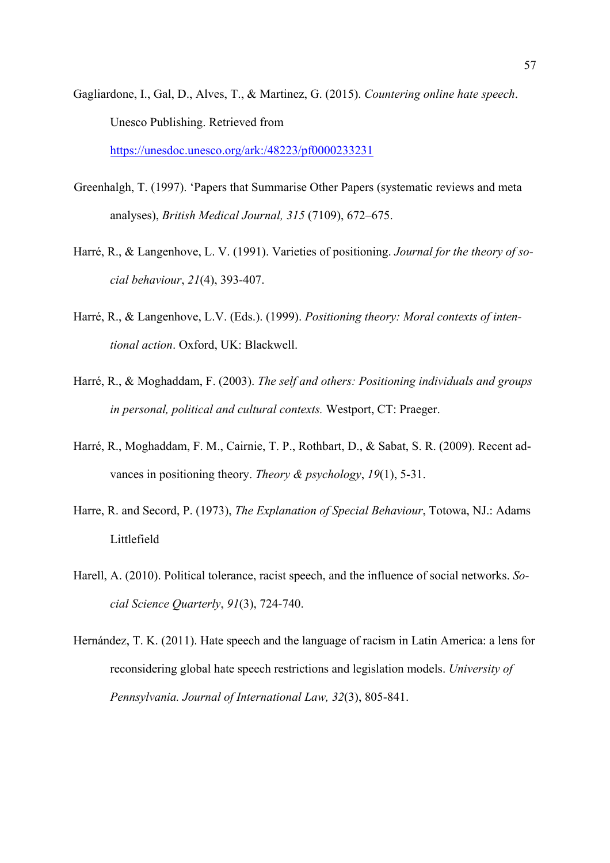Gagliardone, I., Gal, D., Alves, T., & Martinez, G. (2015). *Countering online hate speech*. Unesco Publishing. Retrieved from

https://unesdoc.unesco.org/ark:/48223/pf0000233231

- Greenhalgh, T. (1997). 'Papers that Summarise Other Papers (systematic reviews and meta analyses), *British Medical Journal, 315* (7109), 672–675.
- Harré, R., & Langenhove, L. V. (1991). Varieties of positioning. *Journal for the theory of social behaviour*, *21*(4), 393-407.
- Harré, R., & Langenhove, L.V. (Eds.). (1999). *Positioning theory: Moral contexts of intentional action*. Oxford, UK: Blackwell.
- Harré, R., & Moghaddam, F. (2003). *The self and others: Positioning individuals and groups in personal, political and cultural contexts.* Westport, CT: Praeger.
- Harré, R., Moghaddam, F. M., Cairnie, T. P., Rothbart, D., & Sabat, S. R. (2009). Recent advances in positioning theory. *Theory & psychology*, *19*(1), 5-31.
- Harre, R. and Secord, P. (1973), *The Explanation of Special Behaviour*, Totowa, NJ.: Adams Littlefield
- Harell, A. (2010). Political tolerance, racist speech, and the influence of social networks. *Social Science Quarterly*, *91*(3), 724-740.
- Hernández, T. K. (2011). Hate speech and the language of racism in Latin America: a lens for reconsidering global hate speech restrictions and legislation models. *University of Pennsylvania. Journal of International Law, 32*(3), 805-841.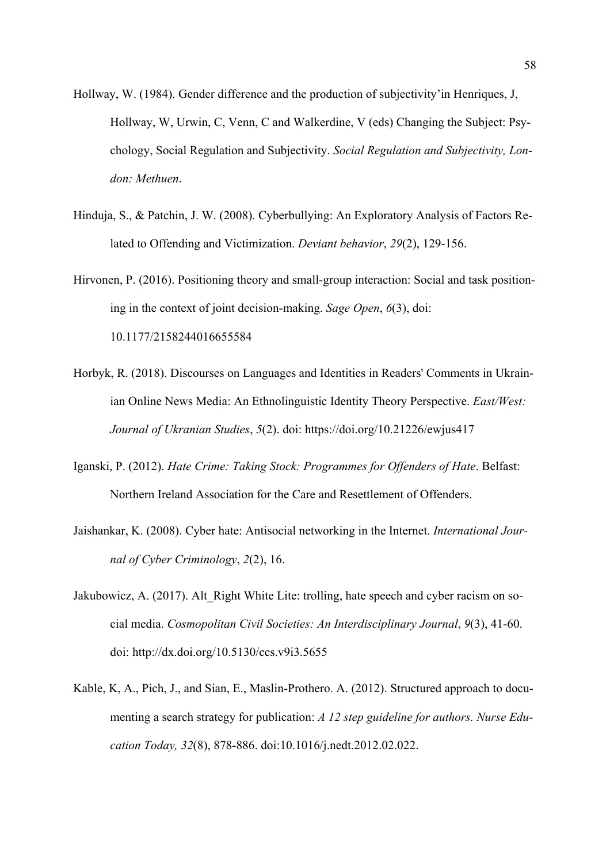- Hollway, W. (1984). Gender difference and the production of subjectivity'in Henriques, J, Hollway, W, Urwin, C, Venn, C and Walkerdine, V (eds) Changing the Subject: Psychology, Social Regulation and Subjectivity. *Social Regulation and Subjectivity, London: Methuen*.
- Hinduja, S., & Patchin, J. W. (2008). Cyberbullying: An Exploratory Analysis of Factors Related to Offending and Victimization. *Deviant behavior*, *29*(2), 129-156.
- Hirvonen, P. (2016). Positioning theory and small-group interaction: Social and task positioning in the context of joint decision-making. *Sage Open*, *6*(3), doi: 10.1177/2158244016655584
- Horbyk, R. (2018). Discourses on Languages and Identities in Readers' Comments in Ukrainian Online News Media: An Ethnolinguistic Identity Theory Perspective. *East/West: Journal of Ukranian Studies*, *5*(2). doi: https://doi.org/10.21226/ewjus417
- Iganski, P. (2012). *Hate Crime: Taking Stock: Programmes for Offenders of Hate*. Belfast: Northern Ireland Association for the Care and Resettlement of Offenders.
- Jaishankar, K. (2008). Cyber hate: Antisocial networking in the Internet. *International Journal of Cyber Criminology*, *2*(2), 16.
- Jakubowicz, A. (2017). Alt Right White Lite: trolling, hate speech and cyber racism on social media. *Cosmopolitan Civil Societies: An Interdisciplinary Journal*, *9*(3), 41-60. doi: http://dx.doi.org/10.5130/ccs.v9i3.5655
- Kable, K, A., Pich, J., and Sian, E., Maslin-Prothero. A. (2012). Structured approach to documenting a search strategy for publication: *A 12 step guideline for authors. Nurse Education Today, 32*(8), 878-886. doi:10.1016/j.nedt.2012.02.022.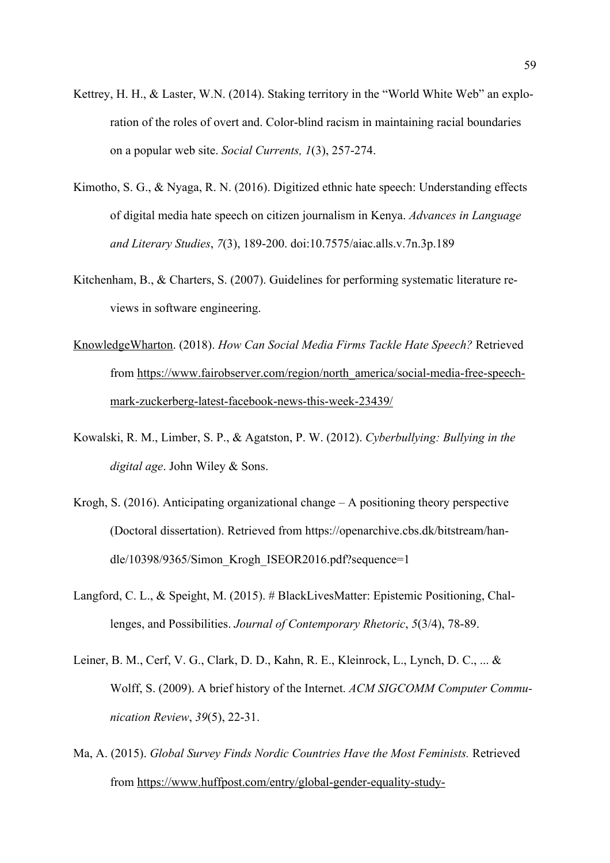- Kettrey, H. H., & Laster, W.N. (2014). Staking territory in the "World White Web" an exploration of the roles of overt and. Color-blind racism in maintaining racial boundaries on a popular web site. *Social Currents, 1*(3), 257-274.
- Kimotho, S. G., & Nyaga, R. N. (2016). Digitized ethnic hate speech: Understanding effects of digital media hate speech on citizen journalism in Kenya. *Advances in Language and Literary Studies*, *7*(3), 189-200. doi:10.7575/aiac.alls.v.7n.3p.189
- Kitchenham, B., & Charters, S. (2007). Guidelines for performing systematic literature reviews in software engineering.
- KnowledgeWharton. (2018). *How Can Social Media Firms Tackle Hate Speech?* Retrieved from https://www.fairobserver.com/region/north\_america/social-media-free-speechmark-zuckerberg-latest-facebook-news-this-week-23439/
- Kowalski, R. M., Limber, S. P., & Agatston, P. W. (2012). *Cyberbullying: Bullying in the digital age*. John Wiley & Sons.
- Krogh, S.  $(2016)$ . Anticipating organizational change A positioning theory perspective (Doctoral dissertation). Retrieved from https://openarchive.cbs.dk/bitstream/handle/10398/9365/Simon Krogh ISEOR2016.pdf?sequence=1
- Langford, C. L., & Speight, M. (2015). # BlackLivesMatter: Epistemic Positioning, Challenges, and Possibilities. *Journal of Contemporary Rhetoric*, *5*(3/4), 78-89.
- Leiner, B. M., Cerf, V. G., Clark, D. D., Kahn, R. E., Kleinrock, L., Lynch, D. C., ... & Wolff, S. (2009). A brief history of the Internet. *ACM SIGCOMM Computer Communication Review*, *39*(5), 22-31.
- Ma, A. (2015). *Global Survey Finds Nordic Countries Have the Most Feminists.* Retrieved from https://www.huffpost.com/entry/global-gender-equality-study-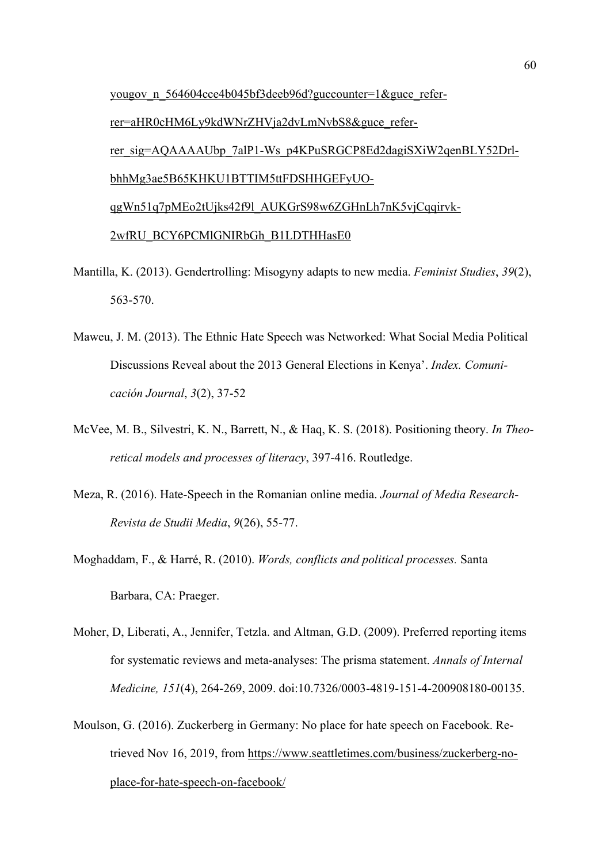yougov\_n\_564604cce4b045bf3deeb96d?guccounter=1&guce\_referrer=aHR0cHM6Ly9kdWNrZHVja2dvLmNvbS8&guce\_referrer\_sig=AQAAAAUbp\_7alP1-Ws\_p4KPuSRGCP8Ed2dagiSXiW2qenBLY52DrlbhhMg3ae5B65KHKU1BTTIM5ttFDSHHGEFyUOqgWn51q7pMEo2tUjks42f9l\_AUKGrS98w6ZGHnLh7nK5vjCqqirvk-2wfRU\_BCY6PCMlGNIRbGh\_B1LDTHHasE0

- Mantilla, K. (2013). Gendertrolling: Misogyny adapts to new media. *Feminist Studies*, *39*(2), 563-570.
- Maweu, J. M. (2013). The Ethnic Hate Speech was Networked: What Social Media Political Discussions Reveal about the 2013 General Elections in Kenya'. *Index. Comunicación Journal*, *3*(2), 37-52
- McVee, M. B., Silvestri, K. N., Barrett, N., & Haq, K. S. (2018). Positioning theory. *In Theoretical models and processes of literacy*, 397-416. Routledge.
- Meza, R. (2016). Hate-Speech in the Romanian online media. *Journal of Media Research-Revista de Studii Media*, *9*(26), 55-77.
- Moghaddam, F., & Harré, R. (2010). *Words, conflicts and political processes.* Santa Barbara, CA: Praeger.
- Moher, D, Liberati, A., Jennifer, Tetzla. and Altman, G.D. (2009). Preferred reporting items for systematic reviews and meta-analyses: The prisma statement. *Annals of Internal Medicine, 151*(4), 264-269, 2009. doi:10.7326/0003-4819-151-4-200908180-00135.
- Moulson, G. (2016). Zuckerberg in Germany: No place for hate speech on Facebook. Retrieved Nov 16, 2019, from https://www.seattletimes.com/business/zuckerberg-noplace-for-hate-speech-on-facebook/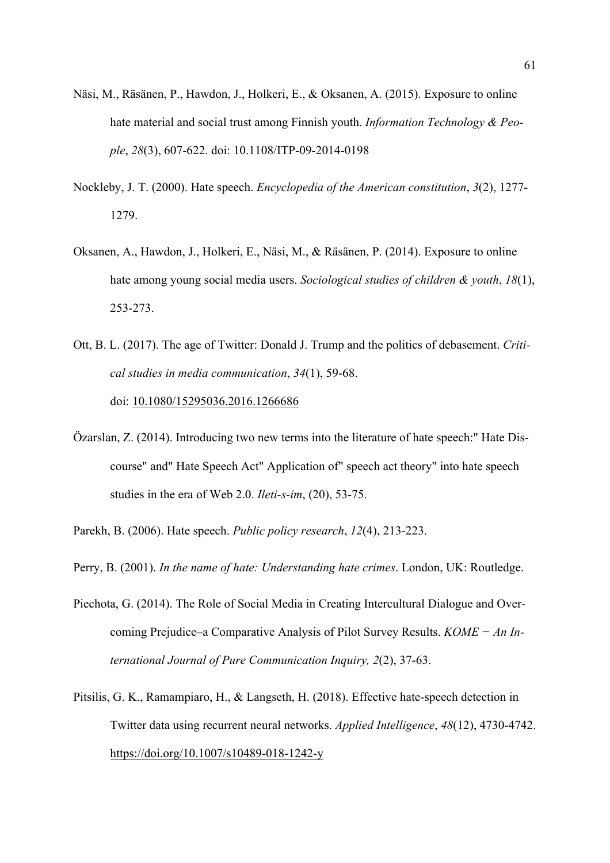- Näsi, M., Räsänen, P., Hawdon, J., Holkeri, E., & Oksanen, A. (2015). Exposure to online hate material and social trust among Finnish youth. *Information Technology & People*, *28*(3), 607-622. doi: 10.1108/ITP-09-2014-0198
- Nockleby, J. T. (2000). Hate speech. *Encyclopedia of the American constitution*, *3*(2), 1277- 1279.
- Oksanen, A., Hawdon, J., Holkeri, E., Näsi, M., & Räsänen, P. (2014). Exposure to online hate among young social media users. *Sociological studies of children & youth*, *18*(1), 253-273.
- Ott, B. L. (2017). The age of Twitter: Donald J. Trump and the politics of debasement. *Critical studies in media communication*, *34*(1), 59-68. doi: 10.1080/15295036.2016.1266686
- Özarslan, Z. (2014). Introducing two new terms into the literature of hate speech:" Hate Discourse" and" Hate Speech Act" Application of" speech act theory" into hate speech studies in the era of Web 2.0. *Ileti-s-im*, (20), 53-75.
- Parekh, B. (2006). Hate speech. *Public policy research*, *12*(4), 213-223.
- Perry, B. (2001). *In the name of hate: Understanding hate crimes*. London, UK: Routledge.
- Piechota, G. (2014). The Role of Social Media in Creating Intercultural Dialogue and Overcoming Prejudice–a Comparative Analysis of Pilot Survey Results. *KOME − An International Journal of Pure Communication Inquiry, 2*(2), 37-63.
- Pitsilis, G. K., Ramampiaro, H., & Langseth, H. (2018). Effective hate-speech detection in Twitter data using recurrent neural networks. *Applied Intelligence*, *48*(12), 4730-4742. https://doi.org/10.1007/s10489-018-1242-y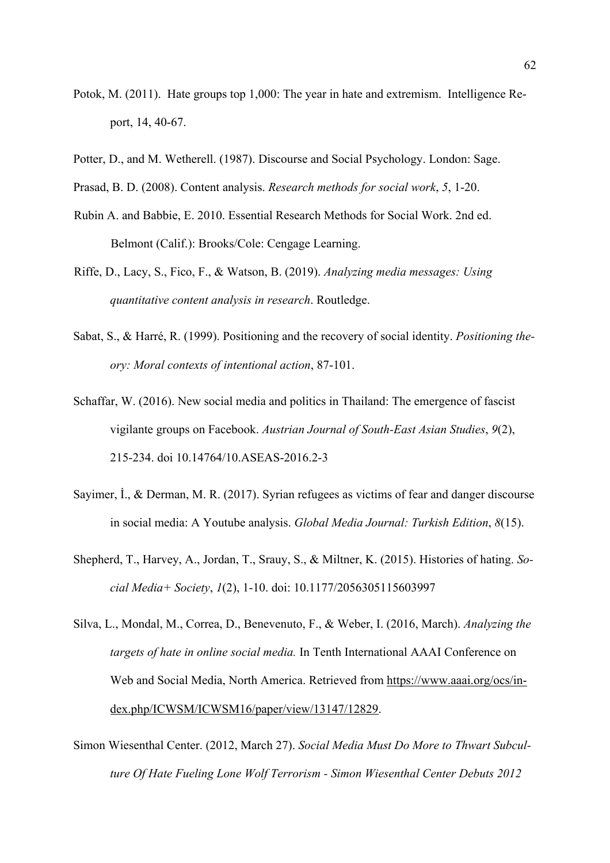- Potok, M. (2011). Hate groups top 1,000: The year in hate and extremism. Intelligence Report, 14, 40‐67.
- Potter, D., and M. Wetherell. (1987). Discourse and Social Psychology. London: Sage.
- Prasad, B. D. (2008). Content analysis. *Research methods for social work*, *5*, 1-20.
- Rubin A. and Babbie, E. 2010. Essential Research Methods for Social Work. 2nd ed. Belmont (Calif.): Brooks/Cole: Cengage Learning.
- Riffe, D., Lacy, S., Fico, F., & Watson, B. (2019). *Analyzing media messages: Using quantitative content analysis in research*. Routledge.
- Sabat, S., & Harré, R. (1999). Positioning and the recovery of social identity. *Positioning theory: Moral contexts of intentional action*, 87-101.
- Schaffar, W. (2016). New social media and politics in Thailand: The emergence of fascist vigilante groups on Facebook. *Austrian Journal of South-East Asian Studies*, *9*(2), 215-234. doi 10.14764/10.ASEAS-2016.2-3
- Sayimer, İ., & Derman, M. R. (2017). Syrian refugees as victims of fear and danger discourse in social media: A Youtube analysis. *Global Media Journal: Turkish Edition*, *8*(15).
- Shepherd, T., Harvey, A., Jordan, T., Srauy, S., & Miltner, K. (2015). Histories of hating. *Social Media+ Society*, *1*(2), 1-10. doi: 10.1177/2056305115603997
- Silva, L., Mondal, M., Correa, D., Benevenuto, F., & Weber, I. (2016, March). *Analyzing the targets of hate in online social media.* In Tenth International AAAI Conference on Web and Social Media, North America. Retrieved from https://www.aaai.org/ocs/index.php/ICWSM/ICWSM16/paper/view/13147/12829.
- Simon Wiesenthal Center. (2012, March 27). *Social Media Must Do More to Thwart Subculture Of Hate Fueling Lone Wolf Terrorism - Simon Wiesenthal Center Debuts 2012*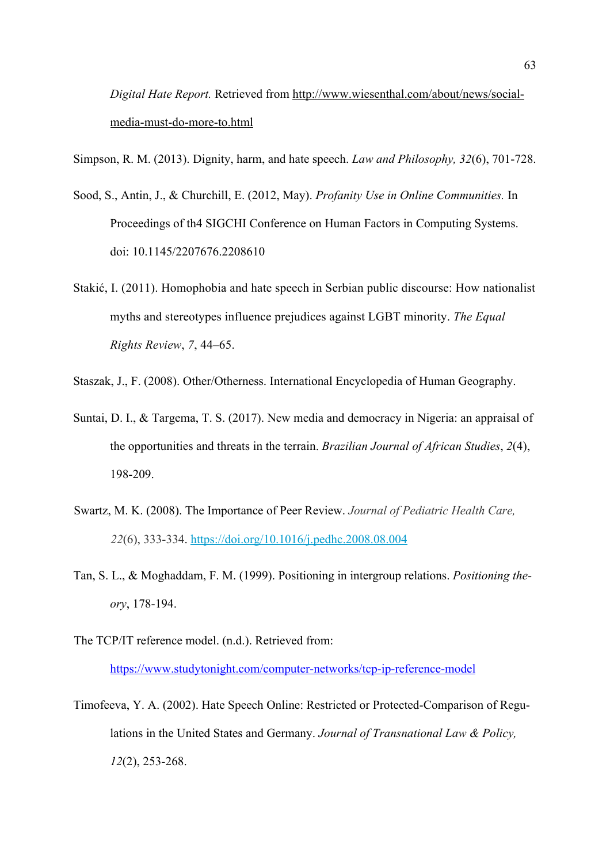*Digital Hate Report.* Retrieved from http://www.wiesenthal.com/about/news/socialmedia-must-do-more-to.html

Simpson, R. M. (2013). Dignity, harm, and hate speech. *Law and Philosophy, 32*(6), 701-728.

- Sood, S., Antin, J., & Churchill, E. (2012, May). *Profanity Use in Online Communities.* In Proceedings of th4 SIGCHI Conference on Human Factors in Computing Systems. doi: 10.1145/2207676.2208610
- Stakić, I. (2011). Homophobia and hate speech in Serbian public discourse: How nationalist myths and stereotypes influence prejudices against LGBT minority. *The Equal Rights Review*, *7*, 44–65.

Staszak, J., F. (2008). Other/Otherness. International Encyclopedia of Human Geography.

- Suntai, D. I., & Targema, T. S. (2017). New media and democracy in Nigeria: an appraisal of the opportunities and threats in the terrain. *Brazilian Journal of African Studies*, *2*(4), 198-209.
- Swartz, M. K. (2008). The Importance of Peer Review. *Journal of Pediatric Health Care, 22*(6), 333-334. https://doi.org/10.1016/j.pedhc.2008.08.004
- Tan, S. L., & Moghaddam, F. M. (1999). Positioning in intergroup relations. *Positioning theory*, 178-194.
- The TCP/IT reference model. (n.d.). Retrieved from: https://www.studytonight.com/computer-networks/tcp-ip-reference-model
- Timofeeva, Y. A. (2002). Hate Speech Online: Restricted or Protected-Comparison of Regulations in the United States and Germany. *Journal of Transnational Law & Policy, 12*(2), 253-268.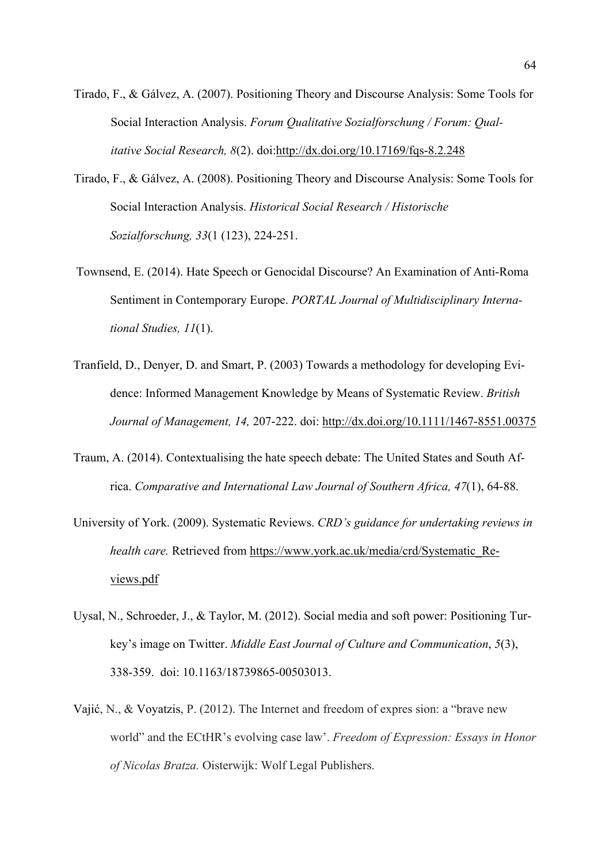- Tirado, F., & Gálvez, A. (2007). Positioning Theory and Discourse Analysis: Some Tools for Social Interaction Analysis. *Forum Qualitative Sozialforschung / Forum: Qual itative Social Research, 8*(2). doi:http://dx.doi.org/10.17169/fqs-8.2.248
- Tirado, F., & Gálvez, A. (2008). Positioning Theory and Discourse Analysis: Some Tools for Social Interaction Analysis. *Historical Social Research / Historische Sozialforschung, 33*(1 (123), 224-251.
- Townsend, E. (2014). Hate Speech or Genocidal Discourse? An Examination of Anti-Roma Sentiment in Contemporary Europe. *PORTAL Journal of Multidisciplinary International Studies, 11*(1).
- Tranfield, D., Denyer, D. and Smart, P. (2003) Towards a methodology for developing Evidence: Informed Management Knowledge by Means of Systematic Review. *British Journal of Management, 14,* 207-222. doi: http://dx.doi.org/10.1111/1467-8551.00375
- Traum, A. (2014). Contextualising the hate speech debate: The United States and South Africa. *Comparative and International Law Journal of Southern Africa, 47*(1), 64-88.
- University of York. (2009). Systematic Reviews. *CRD's guidance for undertaking reviews in health care.* Retrieved from https://www.york.ac.uk/media/crd/Systematic\_Reviews.pdf
- Uysal, N., Schroeder, J., & Taylor, M. (2012). Social media and soft power: Positioning Turkey's image on Twitter. *Middle East Journal of Culture and Communication*, *5*(3), 338-359. doi: 10.1163/18739865-00503013.
- Vajić, N., & Voyatzis, P. (2012). The Internet and freedom of expres sion: a "brave new world" and the ECtHR's evolving case law'. *Freedom of Expression: Essays in Honor of Nicolas Bratza.* Oisterwijk: Wolf Legal Publishers.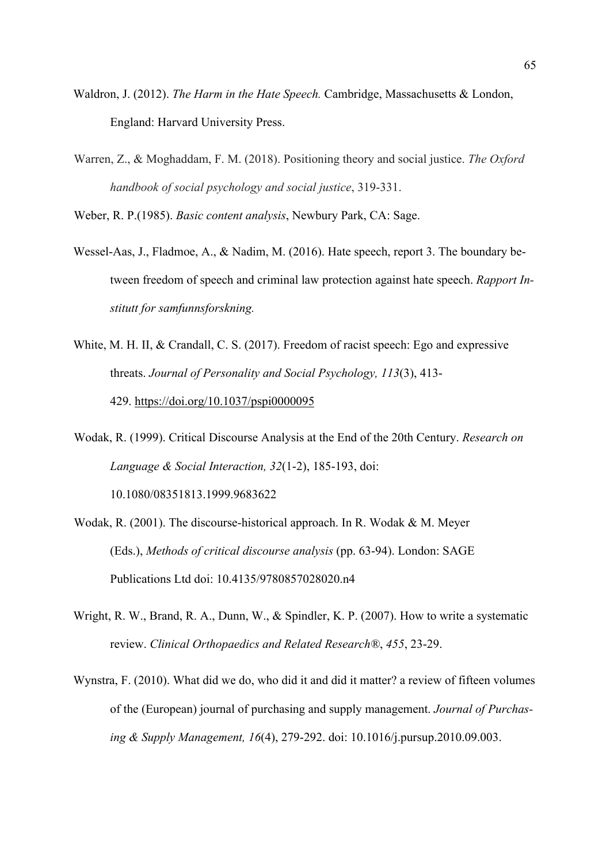- Waldron, J. (2012). *The Harm in the Hate Speech.* Cambridge, Massachusetts & London, England: Harvard University Press.
- Warren, Z., & Moghaddam, F. M. (2018). Positioning theory and social justice. *The Oxford handbook of social psychology and social justice*, 319-331.

Weber, R. P.(1985). *Basic content analysis*, Newbury Park, CA: Sage.

- Wessel-Aas, J., Fladmoe, A., & Nadim, M. (2016). Hate speech, report 3. The boundary between freedom of speech and criminal law protection against hate speech. *Rapport Institutt for samfunnsforskning.*
- White, M. H. II, & Crandall, C. S. (2017). Freedom of racist speech: Ego and expressive threats. *Journal of Personality and Social Psychology, 113*(3), 413- 429. https://doi.org/10.1037/pspi0000095
- Wodak, R. (1999). Critical Discourse Analysis at the End of the 20th Century. *Research on Language & Social Interaction, 32*(1-2), 185-193, doi: 10.1080/08351813.1999.9683622
- Wodak, R. (2001). The discourse-historical approach. In R. Wodak & M. Meyer (Eds.), *Methods of critical discourse analysis* (pp. 63-94). London: SAGE Publications Ltd doi: 10.4135/9780857028020.n4
- Wright, R. W., Brand, R. A., Dunn, W., & Spindler, K. P. (2007). How to write a systematic review. *Clinical Orthopaedics and Related Research®*, *455*, 23-29.
- Wynstra, F. (2010). What did we do, who did it and did it matter? a review of fifteen volumes of the (European) journal of purchasing and supply management. *Journal of Purchasing & Supply Management, 16*(4), 279-292. doi: 10.1016/j.pursup.2010.09.003.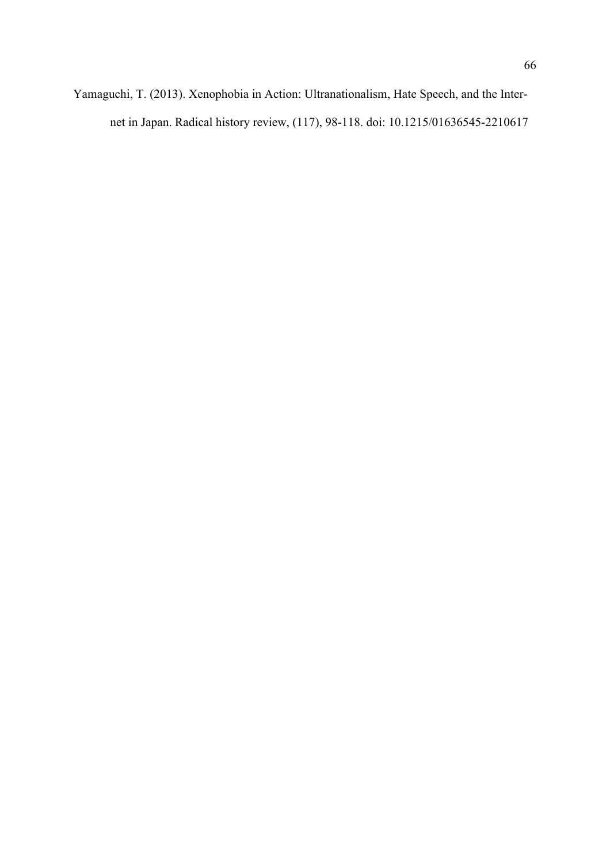Yamaguchi, T. (2013). Xenophobia in Action: Ultranationalism, Hate Speech, and the Internet in Japan. Radical history review, (117), 98-118. doi: 10.1215/01636545-2210617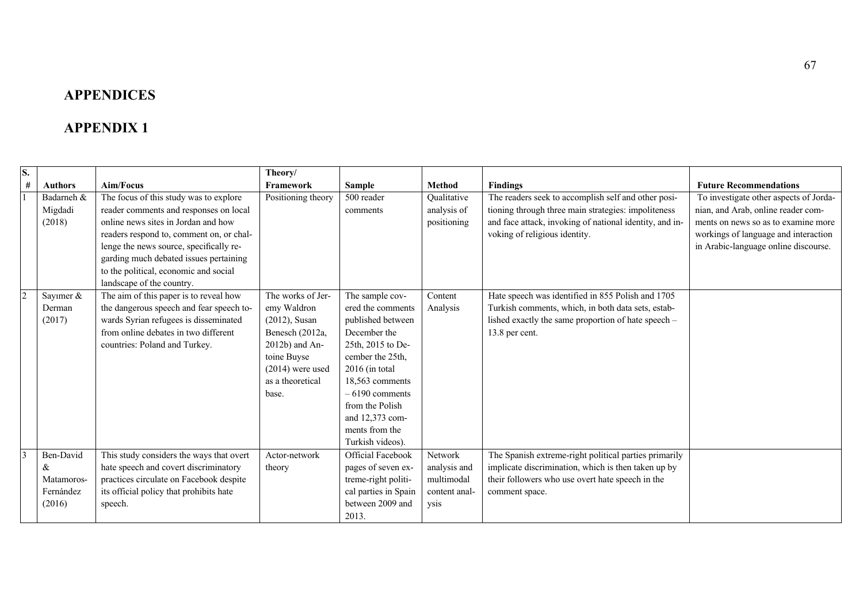# **APPENDICES**

# **APPENDIX 1**

| S.                       |                |                                          | Theory/            |                          |               |                                                         |                                        |
|--------------------------|----------------|------------------------------------------|--------------------|--------------------------|---------------|---------------------------------------------------------|----------------------------------------|
| #                        | <b>Authors</b> | Aim/Focus                                | Framework          | <b>Sample</b>            | <b>Method</b> | <b>Findings</b>                                         | <b>Future Recommendations</b>          |
|                          | Badarneh &     | The focus of this study was to explore   | Positioning theory | 500 reader               | Qualitative   | The readers seek to accomplish self and other posi-     | To investigate other aspects of Jorda- |
|                          | Migdadi        | reader comments and responses on local   |                    | comments                 | analysis of   | tioning through three main strategies: impoliteness     | nian, and Arab, online reader com-     |
|                          | (2018)         | online news sites in Jordan and how      |                    |                          | positioning   | and face attack, invoking of national identity, and in- | ments on news so as to examine more    |
|                          |                | readers respond to, comment on, or chal- |                    |                          |               | voking of religious identity.                           | workings of language and interaction   |
|                          |                | lenge the news source, specifically re-  |                    |                          |               |                                                         | in Arabic-language online discourse.   |
|                          |                | garding much debated issues pertaining   |                    |                          |               |                                                         |                                        |
|                          |                | to the political, economic and social    |                    |                          |               |                                                         |                                        |
|                          |                | landscape of the country.                |                    |                          |               |                                                         |                                        |
| $\overline{\mathcal{L}}$ | Sayımer &      | The aim of this paper is to reveal how   | The works of Jer-  | The sample cov-          | Content       | Hate speech was identified in 855 Polish and 1705       |                                        |
|                          | Derman         | the dangerous speech and fear speech to- | emy Waldron        | ered the comments        | Analysis      | Turkish comments, which, in both data sets, estab-      |                                        |
|                          | (2017)         | wards Syrian refugees is disseminated    | $(2012)$ , Susan   | published between        |               | lished exactly the same proportion of hate speech -     |                                        |
|                          |                | from online debates in two different     | Benesch (2012a,    | December the             |               | 13.8 per cent.                                          |                                        |
|                          |                | countries: Poland and Turkey.            | 2012b) and An-     | 25th, 2015 to De-        |               |                                                         |                                        |
|                          |                |                                          | toine Buyse        | cember the 25th.         |               |                                                         |                                        |
|                          |                |                                          | $(2014)$ were used | $2016$ (in total         |               |                                                         |                                        |
|                          |                |                                          | as a theoretical   | 18,563 comments          |               |                                                         |                                        |
|                          |                |                                          | base.              | $-6190$ comments         |               |                                                         |                                        |
|                          |                |                                          |                    | from the Polish          |               |                                                         |                                        |
|                          |                |                                          |                    | and 12,373 com-          |               |                                                         |                                        |
|                          |                |                                          |                    | ments from the           |               |                                                         |                                        |
|                          |                |                                          |                    | Turkish videos).         |               |                                                         |                                        |
| $\overline{3}$           | Ben-David      | This study considers the ways that overt | Actor-network      | <b>Official Facebook</b> | Network       | The Spanish extreme-right political parties primarily   |                                        |
|                          | &              | hate speech and covert discriminatory    | theory             | pages of seven ex-       | analysis and  | implicate discrimination, which is then taken up by     |                                        |
|                          | Matamoros-     | practices circulate on Facebook despite  |                    | treme-right politi-      | multimodal    | their followers who use overt hate speech in the        |                                        |
|                          | Fernández      | its official policy that prohibits hate  |                    | cal parties in Spain     | content anal- | comment space.                                          |                                        |
|                          | (2016)         | speech.                                  |                    | between 2009 and         | ysis          |                                                         |                                        |
|                          |                |                                          |                    | 2013.                    |               |                                                         |                                        |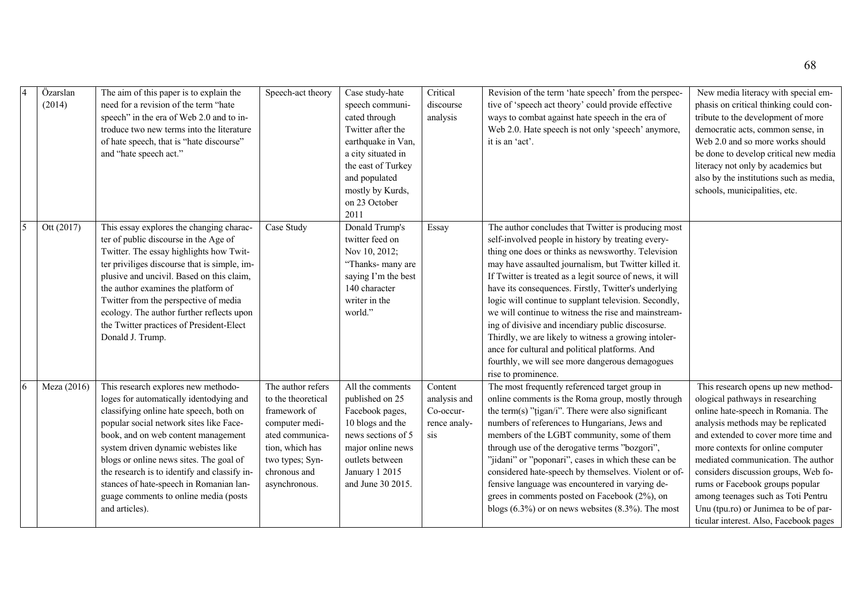| Özarslan<br>(2014) | The aim of this paper is to explain the<br>need for a revision of the term "hate<br>speech" in the era of Web 2.0 and to in-<br>troduce two new terms into the literature<br>of hate speech, that is "hate discourse"<br>and "hate speech act."                                                                                                                                                                                                     | Speech-act theory                                                                                                                                                   | Case study-hate<br>speech communi-<br>cated through<br>Twitter after the<br>earthquake in Van,<br>a city situated in<br>the east of Turkey<br>and populated<br>mostly by Kurds,<br>on 23 October<br>2011 | Critical<br>discourse<br>analysis                           | Revision of the term 'hate speech' from the perspec-<br>tive of 'speech act theory' could provide effective<br>ways to combat against hate speech in the era of<br>Web 2.0. Hate speech is not only 'speech' anymore,<br>it is an 'act'.                                                                                                                                                                                                                                                                                                                                                                                                                                                               | New media literacy with special em-<br>phasis on critical thinking could con-<br>tribute to the development of more<br>democratic acts, common sense, in<br>Web 2.0 and so more works should<br>be done to develop critical new media<br>literacy not only by academics but<br>also by the institutions such as media,<br>schools, municipalities, etc.                                                                                                                  |
|--------------------|-----------------------------------------------------------------------------------------------------------------------------------------------------------------------------------------------------------------------------------------------------------------------------------------------------------------------------------------------------------------------------------------------------------------------------------------------------|---------------------------------------------------------------------------------------------------------------------------------------------------------------------|----------------------------------------------------------------------------------------------------------------------------------------------------------------------------------------------------------|-------------------------------------------------------------|--------------------------------------------------------------------------------------------------------------------------------------------------------------------------------------------------------------------------------------------------------------------------------------------------------------------------------------------------------------------------------------------------------------------------------------------------------------------------------------------------------------------------------------------------------------------------------------------------------------------------------------------------------------------------------------------------------|--------------------------------------------------------------------------------------------------------------------------------------------------------------------------------------------------------------------------------------------------------------------------------------------------------------------------------------------------------------------------------------------------------------------------------------------------------------------------|
| Ott (2017)         | This essay explores the changing charac-<br>ter of public discourse in the Age of<br>Twitter. The essay highlights how Twit-<br>ter priviliges discourse that is simple, im-<br>plusive and uncivil. Based on this claim,<br>the author examines the platform of<br>Twitter from the perspective of media<br>ecology. The author further reflects upon<br>the Twitter practices of President-Elect<br>Donald J. Trump.                              | Case Study                                                                                                                                                          | Donald Trump's<br>twitter feed on<br>Nov 10, 2012;<br>"Thanks- many are<br>saying I'm the best<br>140 character<br>writer in the<br>world."                                                              | Essay                                                       | The author concludes that Twitter is producing most<br>self-involved people in history by treating every-<br>thing one does or thinks as newsworthy. Television<br>may have assaulted journalism, but Twitter killed it.<br>If Twitter is treated as a legit source of news, it will<br>have its consequences. Firstly, Twitter's underlying<br>logic will continue to supplant television. Secondly,<br>we will continue to witness the rise and mainstream-<br>ing of divisive and incendiary public discosurse.<br>Thirdly, we are likely to witness a growing intoler-<br>ance for cultural and political platforms. And<br>fourthly, we will see more dangerous demagogues<br>rise to prominence. |                                                                                                                                                                                                                                                                                                                                                                                                                                                                          |
| Meza (2016)        | This research explores new methodo-<br>loges for automatically identodying and<br>classifying online hate speech, both on<br>popular social network sites like Face-<br>book, and on web content management<br>system driven dynamic webistes like<br>blogs or online news sites. The goal of<br>the research is to identify and classify in-<br>stances of hate-speech in Romanian lan-<br>guage comments to online media (posts<br>and articles). | The author refers<br>to the theoretical<br>framework of<br>computer medi-<br>ated communica-<br>tion, which has<br>two types; Syn-<br>chronous and<br>asynchronous. | All the comments<br>published on 25<br>Facebook pages,<br>10 blogs and the<br>news sections of 5<br>major online news<br>outlets between<br>January 1 2015<br>and June 30 2015.                          | Content<br>analysis and<br>Co-occur-<br>rence analy-<br>sis | The most frequently referenced target group in<br>online comments is the Roma group, mostly through<br>the term(s) "tigan/i". There were also significant<br>numbers of references to Hungarians, Jews and<br>members of the LGBT community, some of them<br>through use of the derogative terms "bozgori",<br>"jidani" or "poponari", cases in which these can be<br>considered hate-speech by themselves. Violent or of-<br>fensive language was encountered in varying de-<br>grees in comments posted on Facebook (2%), on<br>blogs $(6.3\%)$ or on news websites $(8.3\%)$ . The most                                                                                                             | This research opens up new method-<br>ological pathways in researching<br>online hate-speech in Romania. The<br>analysis methods may be replicated<br>and extended to cover more time and<br>more contexts for online computer<br>mediated communication. The author<br>considers discussion groups, Web fo-<br>rums or Facebook groups popular<br>among teenages such as Toti Pentru<br>Unu (tpu.ro) or Junimea to be of par-<br>ticular interest. Also, Facebook pages |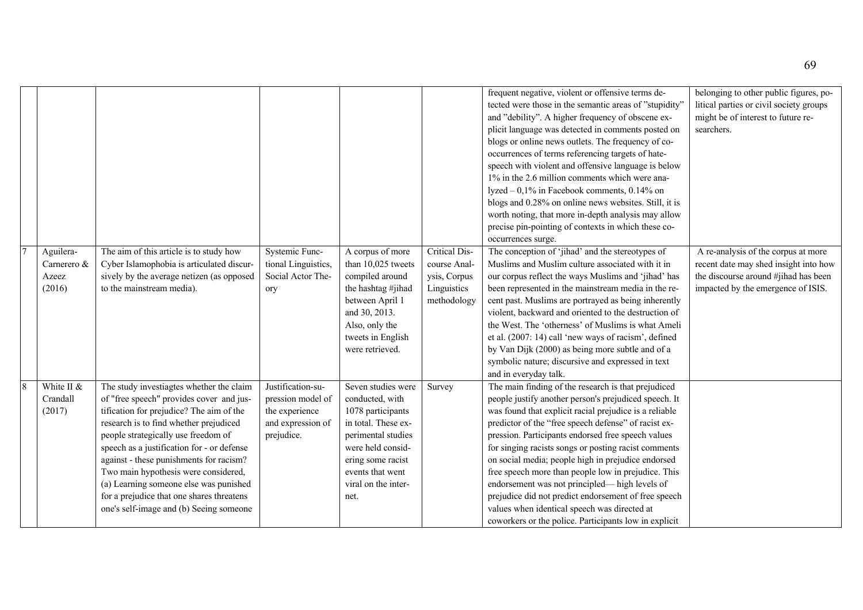|                                             |                                                                                                                                                                                                                                                                                                                                                                                                                                                                                      |                                                                                             |                                                                                                                                                                                                      |                                                                             | frequent negative, violent or offensive terms de-<br>tected were those in the semantic areas of "stupidity"<br>and "debility". A higher frequency of obscene ex-<br>plicit language was detected in comments posted on<br>blogs or online news outlets. The frequency of co-<br>occurrences of terms referencing targets of hate-<br>speech with violent and offensive language is below<br>1% in the 2.6 million comments which were ana-<br>lyzed - 0,1% in Facebook comments, 0.14% on<br>blogs and 0.28% on online news websites. Still, it is<br>worth noting, that more in-depth analysis may allow<br>precise pin-pointing of contexts in which these co-<br>occurrences surge. | belonging to other public figures, po-<br>litical parties or civil society groups<br>might be of interest to future re-<br>searchers.                      |
|---------------------------------------------|--------------------------------------------------------------------------------------------------------------------------------------------------------------------------------------------------------------------------------------------------------------------------------------------------------------------------------------------------------------------------------------------------------------------------------------------------------------------------------------|---------------------------------------------------------------------------------------------|------------------------------------------------------------------------------------------------------------------------------------------------------------------------------------------------------|-----------------------------------------------------------------------------|----------------------------------------------------------------------------------------------------------------------------------------------------------------------------------------------------------------------------------------------------------------------------------------------------------------------------------------------------------------------------------------------------------------------------------------------------------------------------------------------------------------------------------------------------------------------------------------------------------------------------------------------------------------------------------------|------------------------------------------------------------------------------------------------------------------------------------------------------------|
| Aguilera-<br>Carnerero &<br>Azeez<br>(2016) | The aim of this article is to study how<br>Cyber Islamophobia is articulated discur-<br>sively by the average netizen (as opposed<br>to the mainstream media).                                                                                                                                                                                                                                                                                                                       | Systemic Func-<br>tional Linguistics,<br>Social Actor The-<br>ory                           | A corpus of more<br>than 10,025 tweets<br>compiled around<br>the hashtag #jihad<br>between April 1<br>and 30, 2013.<br>Also, only the<br>tweets in English<br>were retrieved.                        | Critical Dis-<br>course Anal-<br>ysis, Corpus<br>Linguistics<br>methodology | The conception of 'jihad' and the stereotypes of<br>Muslims and Muslim culture associated with it in<br>our corpus reflect the ways Muslims and 'jihad' has<br>been represented in the mainstream media in the re-<br>cent past. Muslims are portrayed as being inherently<br>violent, backward and oriented to the destruction of<br>the West. The 'otherness' of Muslims is what Ameli<br>et al. (2007: 14) call 'new ways of racism', defined<br>by Van Dijk (2000) as being more subtle and of a<br>symbolic nature; discursive and expressed in text<br>and in everyday talk.                                                                                                     | A re-analysis of the corpus at more<br>recent date may shed insight into how<br>the discourse around #jihad has been<br>impacted by the emergence of ISIS. |
| White II &<br>Crandall<br>(2017)            | The study investiagtes whether the claim<br>of "free speech" provides cover and jus-<br>tification for prejudice? The aim of the<br>research is to find whether prejudiced<br>people strategically use freedom of<br>speech as a justification for - or defense<br>against - these punishments for racism?<br>Two main hypothesis were considered,<br>(a) Learning someone else was punished<br>for a prejudice that one shares threatens<br>one's self-image and (b) Seeing someone | Justification-su-<br>pression model of<br>the experience<br>and expression of<br>prejudice. | Seven studies were<br>conducted, with<br>1078 participants<br>in total. These ex-<br>perimental studies<br>were held consid-<br>ering some racist<br>events that went<br>viral on the inter-<br>net. | Survey                                                                      | The main finding of the research is that prejudiced<br>people justify another person's prejudiced speech. It<br>was found that explicit racial prejudice is a reliable<br>predictor of the "free speech defense" of racist ex-<br>pression. Participants endorsed free speech values<br>for singing racists songs or posting racist comments<br>on social media; people high in prejudice endorsed<br>free speech more than people low in prejudice. This<br>endorsement was not principled— high levels of<br>prejudice did not predict endorsement of free speech<br>values when identical speech was directed at<br>coworkers or the police. Participants low in explicit           |                                                                                                                                                            |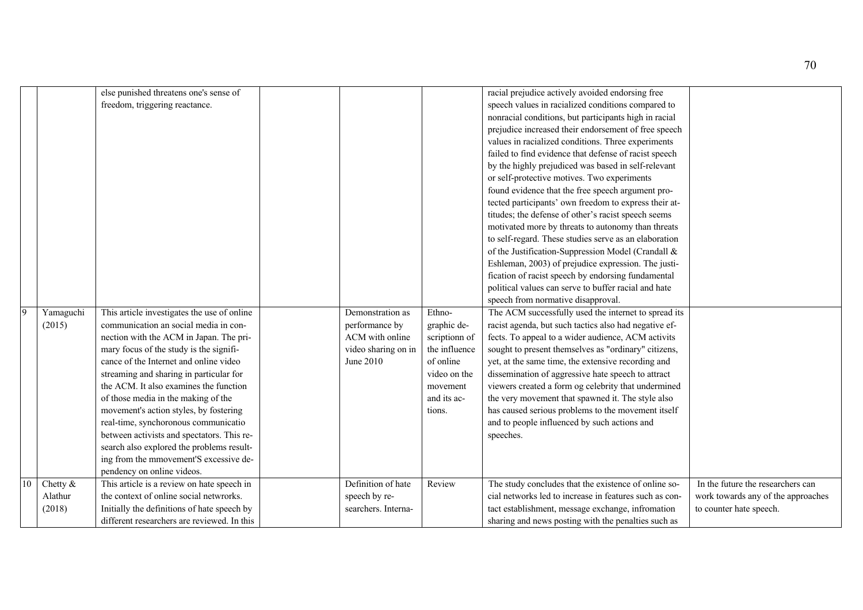|    |           | else punished threatens one's sense of      |                     |               | racial prejudice actively avoided endorsing free       |                                    |
|----|-----------|---------------------------------------------|---------------------|---------------|--------------------------------------------------------|------------------------------------|
|    |           | freedom, triggering reactance.              |                     |               | speech values in racialized conditions compared to     |                                    |
|    |           |                                             |                     |               | nonracial conditions, but participants high in racial  |                                    |
|    |           |                                             |                     |               | prejudice increased their endorsement of free speech   |                                    |
|    |           |                                             |                     |               |                                                        |                                    |
|    |           |                                             |                     |               | values in racialized conditions. Three experiments     |                                    |
|    |           |                                             |                     |               | failed to find evidence that defense of racist speech  |                                    |
|    |           |                                             |                     |               | by the highly prejudiced was based in self-relevant    |                                    |
|    |           |                                             |                     |               | or self-protective motives. Two experiments            |                                    |
|    |           |                                             |                     |               | found evidence that the free speech argument pro-      |                                    |
|    |           |                                             |                     |               | tected participants' own freedom to express their at-  |                                    |
|    |           |                                             |                     |               | titudes; the defense of other's racist speech seems    |                                    |
|    |           |                                             |                     |               | motivated more by threats to autonomy than threats     |                                    |
|    |           |                                             |                     |               | to self-regard. These studies serve as an elaboration  |                                    |
|    |           |                                             |                     |               | of the Justification-Suppression Model (Crandall &     |                                    |
|    |           |                                             |                     |               | Eshleman, 2003) of prejudice expression. The justi-    |                                    |
|    |           |                                             |                     |               | fication of racist speech by endorsing fundamental     |                                    |
|    |           |                                             |                     |               | political values can serve to buffer racial and hate   |                                    |
|    |           |                                             |                     |               | speech from normative disapproval.                     |                                    |
| 9  | Yamaguchi | This article investigates the use of online | Demonstration as    | Ethno-        | The ACM successfully used the internet to spread its   |                                    |
|    | (2015)    | communication an social media in con-       | performance by      | graphic de-   | racist agenda, but such tactics also had negative ef-  |                                    |
|    |           | nection with the ACM in Japan. The pri-     | ACM with online     | scriptionn of | fects. To appeal to a wider audience, ACM activits     |                                    |
|    |           | mary focus of the study is the signifi-     | video sharing on in | the influence | sought to present themselves as "ordinary" citizens,   |                                    |
|    |           | cance of the Internet and online video      | June 2010           | of online     | yet, at the same time, the extensive recording and     |                                    |
|    |           | streaming and sharing in particular for     |                     | video on the  | dissemination of aggressive hate speech to attract     |                                    |
|    |           | the ACM. It also examines the function      |                     | movement      | viewers created a form og celebrity that undermined    |                                    |
|    |           | of those media in the making of the         |                     | and its ac-   | the very movement that spawned it. The style also      |                                    |
|    |           | movement's action styles, by fostering      |                     | tions.        | has caused serious problems to the movement itself     |                                    |
|    |           | real-time, synchoronous communicatio        |                     |               | and to people influenced by such actions and           |                                    |
|    |           | between activists and spectators. This re-  |                     |               | speeches.                                              |                                    |
|    |           | search also explored the problems result-   |                     |               |                                                        |                                    |
|    |           | ing from the mmovement'S excessive de-      |                     |               |                                                        |                                    |
|    |           | pendency on online videos.                  |                     |               |                                                        |                                    |
| 10 | Chetty &  | This article is a review on hate speech in  | Definition of hate  | Review        | The study concludes that the existence of online so-   | In the future the researchers can  |
|    | Alathur   | the context of online social netwrorks.     | speech by re-       |               | cial networks led to increase in features such as con- | work towards any of the approaches |
|    | (2018)    | Initially the definitions of hate speech by | searchers. Interna- |               | tact establishment, message exchange, infromation      | to counter hate speech.            |
|    |           | different researchers are reviewed. In this |                     |               | sharing and news posting with the penalties such as    |                                    |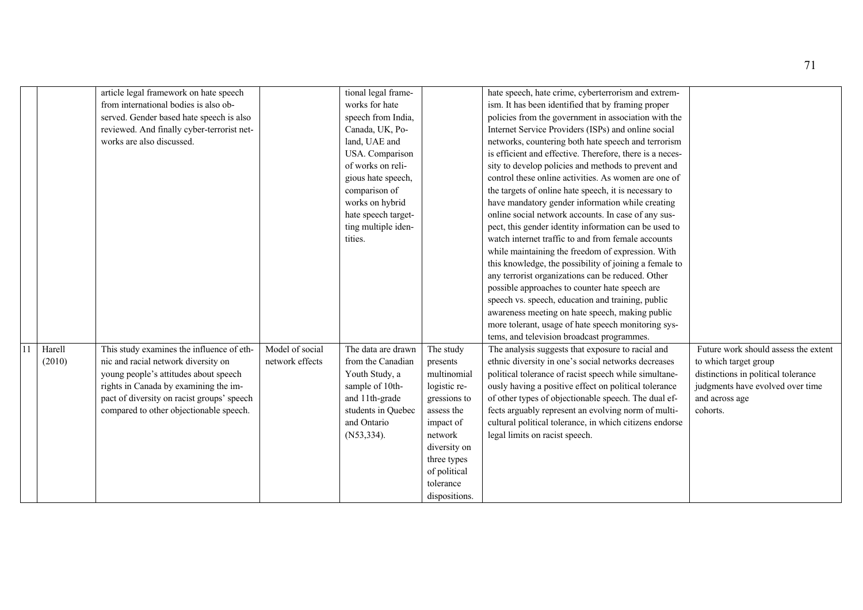|        | article legal framework on hate speech     |                 | tional legal frame- |               | hate speech, hate crime, cyberterrorism and extrem-      |                                      |
|--------|--------------------------------------------|-----------------|---------------------|---------------|----------------------------------------------------------|--------------------------------------|
|        | from international bodies is also ob-      |                 | works for hate      |               | ism. It has been identified that by framing proper       |                                      |
|        | served. Gender based hate speech is also   |                 | speech from India,  |               | policies from the government in association with the     |                                      |
|        | reviewed. And finally cyber-terrorist net- |                 | Canada, UK, Po-     |               | Internet Service Providers (ISPs) and online social      |                                      |
|        | works are also discussed.                  |                 | land, UAE and       |               | networks, countering both hate speech and terrorism      |                                      |
|        |                                            |                 | USA. Comparison     |               | is efficient and effective. Therefore, there is a neces- |                                      |
|        |                                            |                 | of works on reli-   |               | sity to develop policies and methods to prevent and      |                                      |
|        |                                            |                 | gious hate speech,  |               | control these online activities. As women are one of     |                                      |
|        |                                            |                 | comparison of       |               | the targets of online hate speech, it is necessary to    |                                      |
|        |                                            |                 | works on hybrid     |               | have mandatory gender information while creating         |                                      |
|        |                                            |                 | hate speech target- |               | online social network accounts. In case of any sus-      |                                      |
|        |                                            |                 | ting multiple iden- |               | pect, this gender identity information can be used to    |                                      |
|        |                                            |                 | tities.             |               | watch internet traffic to and from female accounts       |                                      |
|        |                                            |                 |                     |               | while maintaining the freedom of expression. With        |                                      |
|        |                                            |                 |                     |               | this knowledge, the possibility of joining a female to   |                                      |
|        |                                            |                 |                     |               | any terrorist organizations can be reduced. Other        |                                      |
|        |                                            |                 |                     |               | possible approaches to counter hate speech are           |                                      |
|        |                                            |                 |                     |               | speech vs. speech, education and training, public        |                                      |
|        |                                            |                 |                     |               | awareness meeting on hate speech, making public          |                                      |
|        |                                            |                 |                     |               | more tolerant, usage of hate speech monitoring sys-      |                                      |
|        |                                            |                 |                     |               | tems, and television broadcast programmes.               |                                      |
| Harell | This study examines the influence of eth-  | Model of social | The data are drawn  | The study     | The analysis suggests that exposure to racial and        | Future work should assess the extent |
| (2010) | nic and racial network diversity on        | network effects | from the Canadian   | presents      | ethnic diversity in one's social networks decreases      | to which target group                |
|        | young people's attitudes about speech      |                 | Youth Study, a      | multinomial   | political tolerance of racist speech while simultane-    | distinctions in political tolerance  |
|        | rights in Canada by examining the im-      |                 | sample of 10th-     | logistic re-  | ously having a positive effect on political tolerance    | judgments have evolved over time     |
|        | pact of diversity on racist groups' speech |                 | and 11th-grade      | gressions to  | of other types of objectionable speech. The dual ef-     | and across age                       |
|        | compared to other objectionable speech.    |                 | students in Quebec  | assess the    | fects arguably represent an evolving norm of multi-      | cohorts.                             |
|        |                                            |                 | and Ontario         | impact of     | cultural political tolerance, in which citizens endorse  |                                      |
|        |                                            |                 | $(N53, 334)$ .      | network       | legal limits on racist speech.                           |                                      |
|        |                                            |                 |                     | diversity on  |                                                          |                                      |
|        |                                            |                 |                     | three types   |                                                          |                                      |
|        |                                            |                 |                     | of political  |                                                          |                                      |
|        |                                            |                 |                     | tolerance     |                                                          |                                      |
|        |                                            |                 |                     | dispositions. |                                                          |                                      |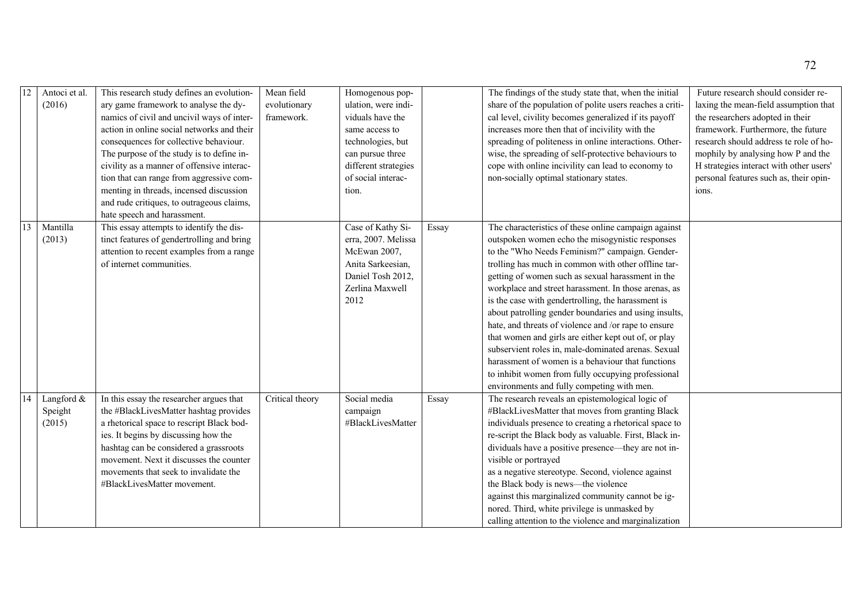|    | Antoci et al.<br>(2016)         | This research study defines an evolution-<br>ary game framework to analyse the dy-<br>namics of civil and uncivil ways of inter-<br>action in online social networks and their<br>consequences for collective behaviour.<br>The purpose of the study is to define in-<br>civility as a manner of offensive interac-<br>tion that can range from aggressive com-<br>menting in threads, incensed discussion<br>and rude critiques, to outrageous claims,<br>hate speech and harassment. | Mean field<br>evolutionary<br>framework. | Homogenous pop-<br>ulation, were indi-<br>viduals have the<br>same access to<br>technologies, but<br>can pursue three<br>different strategies<br>of social interac-<br>tion. |       | The findings of the study state that, when the initial<br>share of the population of polite users reaches a criti-<br>cal level, civility becomes generalized if its payoff<br>increases more then that of incivility with the<br>spreading of politeness in online interactions. Other-<br>wise, the spreading of self-protective behaviours to<br>cope with online incivility can lead to economy to<br>non-socially optimal stationary states.                                                                                                                                                                                                                                                                                                                            | Future research should consider re-<br>laxing the mean-field assumption that<br>the researchers adopted in their<br>framework. Furthermore, the future<br>research should address te role of ho-<br>mophily by analysing how P and the<br>H strategies interact with other users'<br>personal features such as, their opin-<br>ions. |
|----|---------------------------------|----------------------------------------------------------------------------------------------------------------------------------------------------------------------------------------------------------------------------------------------------------------------------------------------------------------------------------------------------------------------------------------------------------------------------------------------------------------------------------------|------------------------------------------|------------------------------------------------------------------------------------------------------------------------------------------------------------------------------|-------|------------------------------------------------------------------------------------------------------------------------------------------------------------------------------------------------------------------------------------------------------------------------------------------------------------------------------------------------------------------------------------------------------------------------------------------------------------------------------------------------------------------------------------------------------------------------------------------------------------------------------------------------------------------------------------------------------------------------------------------------------------------------------|--------------------------------------------------------------------------------------------------------------------------------------------------------------------------------------------------------------------------------------------------------------------------------------------------------------------------------------|
| 13 | Mantilla<br>(2013)              | This essay attempts to identify the dis-<br>tinct features of gendertrolling and bring<br>attention to recent examples from a range<br>of internet communities.                                                                                                                                                                                                                                                                                                                        |                                          | Case of Kathy Si-<br>erra, 2007. Melissa<br>McEwan 2007,<br>Anita Sarkeesian,<br>Daniel Tosh 2012,<br>Zerlina Maxwell<br>2012                                                | Essay | The characteristics of these online campaign against<br>outspoken women echo the misogynistic responses<br>to the "Who Needs Feminism?" campaign. Gender-<br>trolling has much in common with other offline tar-<br>getting of women such as sexual harassment in the<br>workplace and street harassment. In those arenas, as<br>is the case with gendertrolling, the harassment is<br>about patrolling gender boundaries and using insults,<br>hate, and threats of violence and /or rape to ensure<br>that women and girls are either kept out of, or play<br>subservient roles in, male-dominated arenas. Sexual<br>harassment of women is a behaviour that functions<br>to inhibit women from fully occupying professional<br>environments and fully competing with men. |                                                                                                                                                                                                                                                                                                                                      |
| 14 | Langford &<br>Speight<br>(2015) | In this essay the researcher argues that<br>the #BlackLivesMatter hashtag provides<br>a rhetorical space to rescript Black bod-<br>ies. It begins by discussing how the<br>hashtag can be considered a grassroots<br>movement. Next it discusses the counter<br>movements that seek to invalidate the<br>#BlackLivesMatter movement.                                                                                                                                                   | Critical theory                          | Social media<br>campaign<br>#BlackLivesMatter                                                                                                                                | Essay | The research reveals an epistemological logic of<br>#BlackLivesMatter that moves from granting Black<br>individuals presence to creating a rhetorical space to<br>re-script the Black body as valuable. First, Black in-<br>dividuals have a positive presence—they are not in-<br>visible or portrayed<br>as a negative stereotype. Second, violence against<br>the Black body is news-the violence<br>against this marginalized community cannot be ig-<br>nored. Third, white privilege is unmasked by<br>calling attention to the violence and marginalization                                                                                                                                                                                                           |                                                                                                                                                                                                                                                                                                                                      |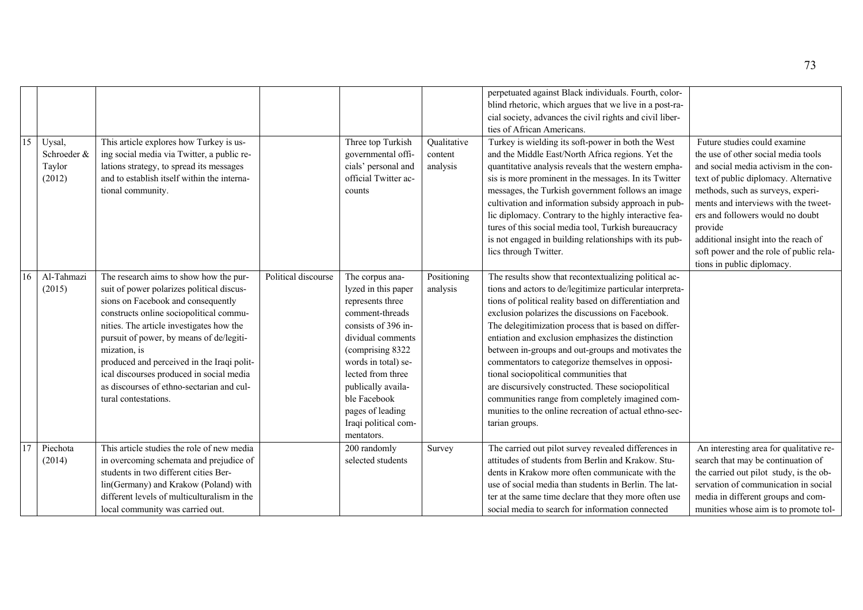| 15 | Uysal,<br>Schroeder &<br>Taylor<br>(2012) | This article explores how Turkey is us-<br>ing social media via Twitter, a public re-<br>lations strategy, to spread its messages<br>and to establish itself within the interna-<br>tional community.                                                                                                                                                                                                                                       |                     | Three top Turkish<br>governmental offi-<br>cials' personal and<br>official Twitter ac-<br>counts                                                                                                                                                                                          | Qualitative<br>content<br>analysis | perpetuated against Black individuals. Fourth, color-<br>blind rhetoric, which argues that we live in a post-ra-<br>cial society, advances the civil rights and civil liber-<br>ties of African Americans.<br>Turkey is wielding its soft-power in both the West<br>and the Middle East/North Africa regions. Yet the<br>quantitative analysis reveals that the western empha-<br>sis is more prominent in the messages. In its Twitter<br>messages, the Turkish government follows an image<br>cultivation and information subsidy approach in pub-                                                                                                                                     | Future studies could examine<br>the use of other social media tools<br>and social media activism in the con-<br>text of public diplomacy. Alternative<br>methods, such as surveys, experi-<br>ments and interviews with the tweet-<br>ers and followers would no doubt |
|----|-------------------------------------------|---------------------------------------------------------------------------------------------------------------------------------------------------------------------------------------------------------------------------------------------------------------------------------------------------------------------------------------------------------------------------------------------------------------------------------------------|---------------------|-------------------------------------------------------------------------------------------------------------------------------------------------------------------------------------------------------------------------------------------------------------------------------------------|------------------------------------|------------------------------------------------------------------------------------------------------------------------------------------------------------------------------------------------------------------------------------------------------------------------------------------------------------------------------------------------------------------------------------------------------------------------------------------------------------------------------------------------------------------------------------------------------------------------------------------------------------------------------------------------------------------------------------------|------------------------------------------------------------------------------------------------------------------------------------------------------------------------------------------------------------------------------------------------------------------------|
|    |                                           |                                                                                                                                                                                                                                                                                                                                                                                                                                             |                     |                                                                                                                                                                                                                                                                                           |                                    | lic diplomacy. Contrary to the highly interactive fea-<br>tures of this social media tool, Turkish bureaucracy<br>is not engaged in building relationships with its pub-<br>lics through Twitter.                                                                                                                                                                                                                                                                                                                                                                                                                                                                                        | provide<br>additional insight into the reach of<br>soft power and the role of public rela-<br>tions in public diplomacy.                                                                                                                                               |
| 16 | Al-Tahmazi<br>(2015)                      | The research aims to show how the pur-<br>suit of power polarizes political discus-<br>sions on Facebook and consequently<br>constructs online sociopolitical commu-<br>nities. The article investigates how the<br>pursuit of power, by means of de/legiti-<br>mization, is<br>produced and perceived in the Iraqi polit-<br>ical discourses produced in social media<br>as discourses of ethno-sectarian and cul-<br>tural contestations. | Political discourse | The corpus ana-<br>lyzed in this paper<br>represents three<br>comment-threads<br>consists of 396 in-<br>dividual comments<br>(comprising 8322<br>words in total) se-<br>lected from three<br>publically availa-<br>ble Facebook<br>pages of leading<br>Iraqi political com-<br>mentators. | Positioning<br>analysis            | The results show that recontextualizing political ac-<br>tions and actors to de/legitimize particular interpreta-<br>tions of political reality based on differentiation and<br>exclusion polarizes the discussions on Facebook.<br>The delegitimization process that is based on differ-<br>entiation and exclusion emphasizes the distinction<br>between in-groups and out-groups and motivates the<br>commentators to categorize themselves in opposi-<br>tional sociopolitical communities that<br>are discursively constructed. These sociopolitical<br>communities range from completely imagined com-<br>munities to the online recreation of actual ethno-sec-<br>tarian groups. |                                                                                                                                                                                                                                                                        |
| 17 | Piechota<br>(2014)                        | This article studies the role of new media<br>in overcoming schemata and prejudice of<br>students in two different cities Ber-<br>lin(Germany) and Krakow (Poland) with<br>different levels of multiculturalism in the<br>local community was carried out.                                                                                                                                                                                  |                     | 200 randomly<br>selected students                                                                                                                                                                                                                                                         | Survey                             | The carried out pilot survey revealed differences in<br>attitudes of students from Berlin and Krakow. Stu-<br>dents in Krakow more often communicate with the<br>use of social media than students in Berlin. The lat-<br>ter at the same time declare that they more often use<br>social media to search for information connected                                                                                                                                                                                                                                                                                                                                                      | An interesting area for qualitative re-<br>search that may be continuation of<br>the carried out pilot study, is the ob-<br>servation of communication in social<br>media in different groups and com-<br>munities whose aim is to promote tol-                        |

73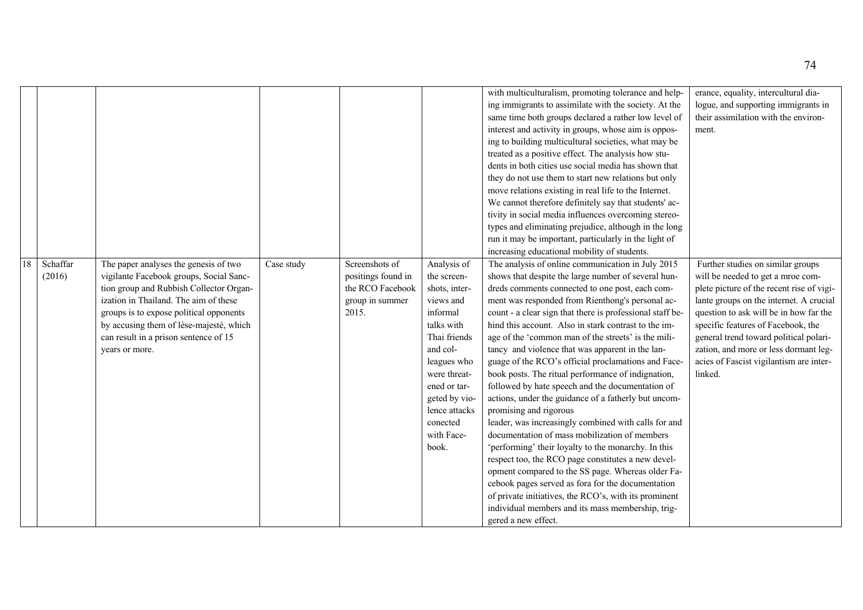|    |          |                                         |            |                    |               | with multiculturalism, promoting tolerance and help-      | erance, equality, intercultural dia-      |
|----|----------|-----------------------------------------|------------|--------------------|---------------|-----------------------------------------------------------|-------------------------------------------|
|    |          |                                         |            |                    |               | ing immigrants to assimilate with the society. At the     | logue, and supporting immigrants in       |
|    |          |                                         |            |                    |               | same time both groups declared a rather low level of      | their assimilation with the environ-      |
|    |          |                                         |            |                    |               | interest and activity in groups, whose aim is oppos-      | ment.                                     |
|    |          |                                         |            |                    |               | ing to building multicultural societies, what may be      |                                           |
|    |          |                                         |            |                    |               | treated as a positive effect. The analysis how stu-       |                                           |
|    |          |                                         |            |                    |               | dents in both cities use social media has shown that      |                                           |
|    |          |                                         |            |                    |               | they do not use them to start new relations but only      |                                           |
|    |          |                                         |            |                    |               | move relations existing in real life to the Internet.     |                                           |
|    |          |                                         |            |                    |               | We cannot therefore definitely say that students' ac-     |                                           |
|    |          |                                         |            |                    |               | tivity in social media influences overcoming stereo-      |                                           |
|    |          |                                         |            |                    |               | types and eliminating prejudice, although in the long     |                                           |
|    |          |                                         |            |                    |               | run it may be important, particularly in the light of     |                                           |
|    |          |                                         |            |                    |               | increasing educational mobility of students.              |                                           |
| 18 | Schaffar | The paper analyses the genesis of two   | Case study | Screenshots of     | Analysis of   | The analysis of online communication in July 2015         | Further studies on similar groups         |
|    | (2016)   | vigilante Facebook groups, Social Sanc- |            | positings found in | the screen-   | shows that despite the large number of several hun-       | will be needed to get a mroe com-         |
|    |          | tion group and Rubbish Collector Organ- |            | the RCO Facebook   | shots, inter- | dreds comments connected to one post, each com-           | plete picture of the recent rise of vigi- |
|    |          | ization in Thailand. The aim of these   |            | group in summer    | views and     | ment was responded from Rienthong's personal ac-          | lante groups on the internet. A crucial   |
|    |          | groups is to expose political opponents |            | 2015.              | informal      | count - a clear sign that there is professional staff be- | question to ask will be in how far the    |
|    |          | by accusing them of lèse-majesté, which |            |                    | talks with    | hind this account. Also in stark contrast to the im-      | specific features of Facebook, the        |
|    |          | can result in a prison sentence of 15   |            |                    | Thai friends  | age of the 'common man of the streets' is the mili-       | general trend toward political polari-    |
|    |          |                                         |            |                    | and col-      |                                                           | zation, and more or less dormant leg-     |
|    |          | years or more.                          |            |                    |               | tancy and violence that was apparent in the lan-          |                                           |
|    |          |                                         |            |                    | leagues who   | guage of the RCO's official proclamations and Face-       | acies of Fascist vigilantism are inter-   |
|    |          |                                         |            |                    | were threat-  | book posts. The ritual performance of indignation,        | linked.                                   |
|    |          |                                         |            |                    | ened or tar-  | followed by hate speech and the documentation of          |                                           |
|    |          |                                         |            |                    | geted by vio- | actions, under the guidance of a fatherly but uncom-      |                                           |
|    |          |                                         |            |                    | lence attacks | promising and rigorous                                    |                                           |
|    |          |                                         |            |                    | conected      | leader, was increasingly combined with calls for and      |                                           |
|    |          |                                         |            |                    | with Face-    | documentation of mass mobilization of members             |                                           |
|    |          |                                         |            |                    | book.         | 'performing' their loyalty to the monarchy. In this       |                                           |
|    |          |                                         |            |                    |               | respect too, the RCO page constitutes a new devel-        |                                           |
|    |          |                                         |            |                    |               | opment compared to the SS page. Whereas older Fa-         |                                           |
|    |          |                                         |            |                    |               | cebook pages served as fora for the documentation         |                                           |
|    |          |                                         |            |                    |               | of private initiatives, the RCO's, with its prominent     |                                           |
|    |          |                                         |            |                    |               | individual members and its mass membership, trig-         |                                           |
|    |          |                                         |            |                    |               | gered a new effect.                                       |                                           |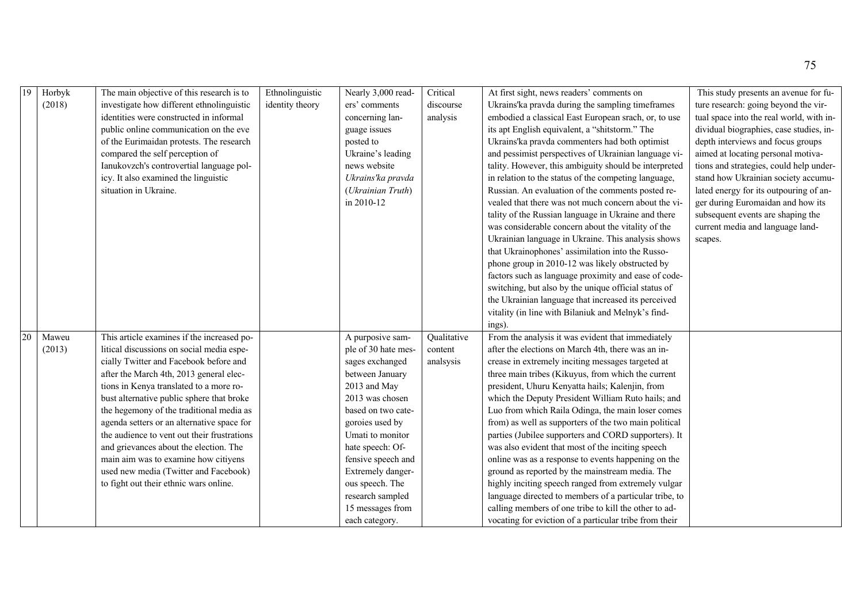| 19 | Horbyk<br>(2018) | The main objective of this research is to<br>investigate how different ethnolinguistic<br>identities were constructed in informal<br>public online communication on the eve<br>of the Eurimaidan protests. The research<br>compared the self perception of<br>Ianukovzch's controvertial language pol-<br>icy. It also examined the linguistic<br>situation in Ukraine.                                                                                                                                                                                                            | Ethnolinguistic<br>identity theory | Nearly 3,000 read-<br>ers' comments<br>concerning lan-<br>guage issues<br>posted to<br>Ukraine's leading<br>news website<br>Ukrains'ka pravda<br>(Ukrainian Truth)<br>in 2010-12                                                                                                                                          | Critical<br>discourse<br>analysis   | At first sight, news readers' comments on<br>Ukrains'ka pravda during the sampling timeframes<br>embodied a classical East European srach, or, to use<br>its apt English equivalent, a "shitstorm." The<br>Ukrains'ka pravda commenters had both optimist<br>and pessimist perspectives of Ukrainian language vi-<br>tality. However, this ambiguity should be interpreted<br>in relation to the status of the competing language,<br>Russian. An evaluation of the comments posted re-<br>vealed that there was not much concern about the vi-<br>tality of the Russian language in Ukraine and there<br>was considerable concern about the vitality of the<br>Ukrainian language in Ukraine. This analysis shows<br>that Ukrainophones' assimilation into the Russo-<br>phone group in 2010-12 was likely obstructed by<br>factors such as language proximity and ease of code-<br>switching, but also by the unique official status of<br>the Ukrainian language that increased its perceived<br>vitality (in line with Bilaniuk and Melnyk's find-<br>ings). | This study presents an avenue for fu-<br>ture research: going beyond the vir-<br>tual space into the real world, with in-<br>dividual biographies, case studies, in-<br>depth interviews and focus groups<br>aimed at locating personal motiva-<br>tions and strategies, could help under-<br>stand how Ukrainian society accumu-<br>lated energy for its outpouring of an-<br>ger during Euromaidan and how its<br>subsequent events are shaping the<br>current media and language land-<br>scapes. |
|----|------------------|------------------------------------------------------------------------------------------------------------------------------------------------------------------------------------------------------------------------------------------------------------------------------------------------------------------------------------------------------------------------------------------------------------------------------------------------------------------------------------------------------------------------------------------------------------------------------------|------------------------------------|---------------------------------------------------------------------------------------------------------------------------------------------------------------------------------------------------------------------------------------------------------------------------------------------------------------------------|-------------------------------------|------------------------------------------------------------------------------------------------------------------------------------------------------------------------------------------------------------------------------------------------------------------------------------------------------------------------------------------------------------------------------------------------------------------------------------------------------------------------------------------------------------------------------------------------------------------------------------------------------------------------------------------------------------------------------------------------------------------------------------------------------------------------------------------------------------------------------------------------------------------------------------------------------------------------------------------------------------------------------------------------------------------------------------------------------------------|------------------------------------------------------------------------------------------------------------------------------------------------------------------------------------------------------------------------------------------------------------------------------------------------------------------------------------------------------------------------------------------------------------------------------------------------------------------------------------------------------|
| 20 | Maweu<br>(2013)  | This article examines if the increased po-<br>litical discussions on social media espe-<br>cially Twitter and Facebook before and<br>after the March 4th, 2013 general elec-<br>tions in Kenya translated to a more ro-<br>bust alternative public sphere that broke<br>the hegemony of the traditional media as<br>agenda setters or an alternative space for<br>the audience to vent out their frustrations<br>and grievances about the election. The<br>main aim was to examine how citiyens<br>used new media (Twitter and Facebook)<br>to fight out their ethnic wars online. |                                    | A purposive sam-<br>ple of 30 hate mes-<br>sages exchanged<br>between January<br>2013 and May<br>2013 was chosen<br>based on two cate-<br>goroies used by<br>Umati to monitor<br>hate speech: Of-<br>fensive speech and<br>Extremely danger-<br>ous speech. The<br>research sampled<br>15 messages from<br>each category. | Qualitative<br>content<br>analsysis | From the analysis it was evident that immediately<br>after the elections on March 4th, there was an in-<br>crease in extremely inciting messages targeted at<br>three main tribes (Kikuyus, from which the current<br>president, Uhuru Kenyatta hails; Kalenjin, from<br>which the Deputy President William Ruto hails; and<br>Luo from which Raila Odinga, the main loser comes<br>from) as well as supporters of the two main political<br>parties (Jubilee supporters and CORD supporters). It<br>was also evident that most of the inciting speech<br>online was as a response to events happening on the<br>ground as reported by the mainstream media. The<br>highly inciting speech ranged from extremely vulgar<br>language directed to members of a particular tribe, to<br>calling members of one tribe to kill the other to ad-<br>vocating for eviction of a particular tribe from their                                                                                                                                                             |                                                                                                                                                                                                                                                                                                                                                                                                                                                                                                      |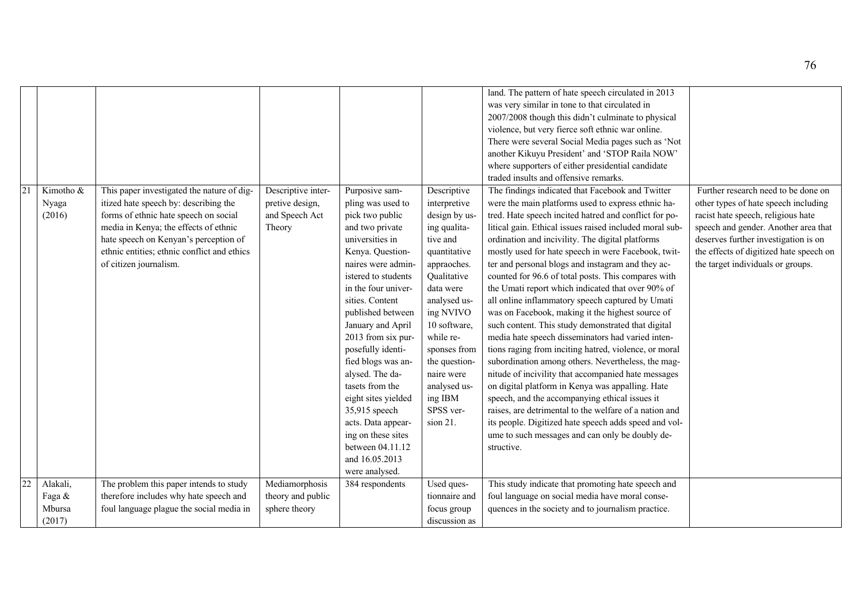| 21 | Kimotho &<br>Nyaga<br>(2016)           | This paper investigated the nature of dig-<br>itized hate speech by: describing the<br>forms of ethnic hate speech on social<br>media in Kenya; the effects of ethnic<br>hate speech on Kenyan's perception of<br>ethnic entities; ethnic conflict and ethics<br>of citizen journalism. | Descriptive inter-<br>pretive design,<br>and Speech Act<br>Theory | Purposive sam-<br>pling was used to<br>pick two public<br>and two private<br>universities in<br>Kenya. Question-<br>naires were admin-<br>istered to students<br>in the four univer-<br>sities. Content<br>published between<br>January and April<br>2013 from six pur-<br>posefully identi-<br>fied blogs was an-<br>alysed. The da- | Descriptive<br>interpretive<br>design by us-<br>ing qualita-<br>tive and<br>quantitative<br>appraoches.<br>Qualitative<br>data were<br>analysed us-<br>ing NVIVO<br>10 software,<br>while re-<br>sponses from<br>the question-<br>naire were | land. The pattern of hate speech circulated in 2013<br>was very similar in tone to that circulated in<br>2007/2008 though this didn't culminate to physical<br>violence, but very fierce soft ethnic war online.<br>There were several Social Media pages such as 'Not<br>another Kikuyu President' and 'STOP Raila NOW'<br>where supporters of either presidential candidate<br>traded insults and offensive remarks.<br>The findings indicated that Facebook and Twitter<br>were the main platforms used to express ethnic ha-<br>tred. Hate speech incited hatred and conflict for po-<br>litical gain. Ethical issues raised included moral sub-<br>ordination and incivility. The digital platforms<br>mostly used for hate speech in were Facebook, twit-<br>ter and personal blogs and instagram and they ac-<br>counted for 96.6 of total posts. This compares with<br>the Umati report which indicated that over 90% of<br>all online inflammatory speech captured by Umati<br>was on Facebook, making it the highest source of<br>such content. This study demonstrated that digital<br>media hate speech disseminators had varied inten-<br>tions raging from inciting hatred, violence, or moral<br>subordination among others. Nevertheless, the mag-<br>nitude of incivility that accompanied hate messages | Further research need to be done on<br>other types of hate speech including<br>racist hate speech, religious hate<br>speech and gender. Another area that<br>deserves further investigation is on<br>the effects of digitized hate speech on<br>the target individuals or groups. |
|----|----------------------------------------|-----------------------------------------------------------------------------------------------------------------------------------------------------------------------------------------------------------------------------------------------------------------------------------------|-------------------------------------------------------------------|---------------------------------------------------------------------------------------------------------------------------------------------------------------------------------------------------------------------------------------------------------------------------------------------------------------------------------------|----------------------------------------------------------------------------------------------------------------------------------------------------------------------------------------------------------------------------------------------|---------------------------------------------------------------------------------------------------------------------------------------------------------------------------------------------------------------------------------------------------------------------------------------------------------------------------------------------------------------------------------------------------------------------------------------------------------------------------------------------------------------------------------------------------------------------------------------------------------------------------------------------------------------------------------------------------------------------------------------------------------------------------------------------------------------------------------------------------------------------------------------------------------------------------------------------------------------------------------------------------------------------------------------------------------------------------------------------------------------------------------------------------------------------------------------------------------------------------------------------------------------------------------------------------------------------------|-----------------------------------------------------------------------------------------------------------------------------------------------------------------------------------------------------------------------------------------------------------------------------------|
|    |                                        |                                                                                                                                                                                                                                                                                         |                                                                   | tasets from the<br>eight sites yielded<br>35,915 speech<br>acts. Data appear-<br>ing on these sites<br>between 04.11.12                                                                                                                                                                                                               | analysed us-<br>ing IBM<br>SPSS ver-<br>sion 21.                                                                                                                                                                                             | on digital platform in Kenya was appalling. Hate<br>speech, and the accompanying ethical issues it<br>raises, are detrimental to the welfare of a nation and<br>its people. Digitized hate speech adds speed and vol-<br>ume to such messages and can only be doubly de-<br>structive.                                                                                                                                                                                                                                                                                                                                                                                                                                                                                                                                                                                                                                                                                                                                                                                                                                                                                                                                                                                                                                    |                                                                                                                                                                                                                                                                                   |
|    |                                        |                                                                                                                                                                                                                                                                                         |                                                                   | and 16.05.2013<br>were analysed.                                                                                                                                                                                                                                                                                                      |                                                                                                                                                                                                                                              |                                                                                                                                                                                                                                                                                                                                                                                                                                                                                                                                                                                                                                                                                                                                                                                                                                                                                                                                                                                                                                                                                                                                                                                                                                                                                                                           |                                                                                                                                                                                                                                                                                   |
|    | Alakali,<br>Faga &<br>Mbursa<br>(2017) | The problem this paper intends to study<br>therefore includes why hate speech and<br>foul language plague the social media in                                                                                                                                                           | Mediamorphosis<br>theory and public<br>sphere theory              | 384 respondents                                                                                                                                                                                                                                                                                                                       | Used ques-<br>tionnaire and<br>focus group<br>discussion as                                                                                                                                                                                  | This study indicate that promoting hate speech and<br>foul language on social media have moral conse-<br>quences in the society and to journalism practice.                                                                                                                                                                                                                                                                                                                                                                                                                                                                                                                                                                                                                                                                                                                                                                                                                                                                                                                                                                                                                                                                                                                                                               |                                                                                                                                                                                                                                                                                   |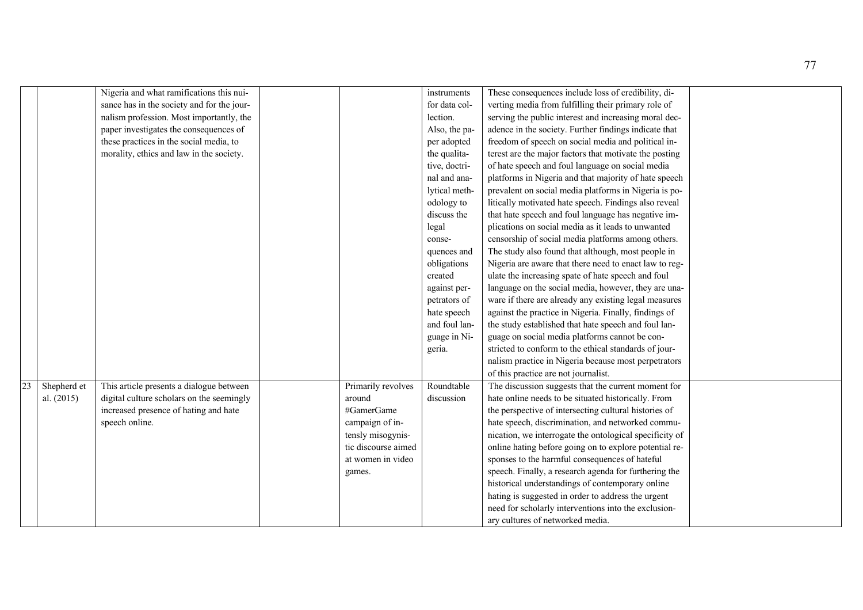|    |              | Nigeria and what ramifications this nui-   |                     | instruments   | These consequences include loss of credibility, di-     |  |
|----|--------------|--------------------------------------------|---------------------|---------------|---------------------------------------------------------|--|
|    |              | sance has in the society and for the jour- |                     | for data col- | verting media from fulfilling their primary role of     |  |
|    |              | nalism profession. Most importantly, the   |                     | lection.      | serving the public interest and increasing moral dec-   |  |
|    |              | paper investigates the consequences of     |                     | Also, the pa- | adence in the society. Further findings indicate that   |  |
|    |              | these practices in the social media, to    |                     | per adopted   | freedom of speech on social media and political in-     |  |
|    |              | morality, ethics and law in the society.   |                     | the qualita-  | terest are the major factors that motivate the posting  |  |
|    |              |                                            |                     | tive, doctri- | of hate speech and foul language on social media        |  |
|    |              |                                            |                     | nal and ana-  | platforms in Nigeria and that majority of hate speech   |  |
|    |              |                                            |                     | lytical meth- | prevalent on social media platforms in Nigeria is po-   |  |
|    |              |                                            |                     | odology to    | litically motivated hate speech. Findings also reveal   |  |
|    |              |                                            |                     | discuss the   | that hate speech and foul language has negative im-     |  |
|    |              |                                            |                     | legal         | plications on social media as it leads to unwanted      |  |
|    |              |                                            |                     | conse-        | censorship of social media platforms among others.      |  |
|    |              |                                            |                     | quences and   | The study also found that although, most people in      |  |
|    |              |                                            |                     | obligations   | Nigeria are aware that there need to enact law to reg-  |  |
|    |              |                                            |                     | created       | ulate the increasing spate of hate speech and foul      |  |
|    |              |                                            |                     | against per-  | language on the social media, however, they are una-    |  |
|    |              |                                            |                     | petrators of  | ware if there are already any existing legal measures   |  |
|    |              |                                            |                     | hate speech   | against the practice in Nigeria. Finally, findings of   |  |
|    |              |                                            |                     | and foul lan- | the study established that hate speech and foul lan-    |  |
|    |              |                                            |                     | guage in Ni-  | guage on social media platforms cannot be con-          |  |
|    |              |                                            |                     | geria.        | stricted to conform to the ethical standards of jour-   |  |
|    |              |                                            |                     |               | nalism practice in Nigeria because most perpetrators    |  |
|    |              |                                            |                     |               | of this practice are not journalist.                    |  |
| 23 | Shepherd et  | This article presents a dialogue between   | Primarily revolves  | Roundtable    | The discussion suggests that the current moment for     |  |
|    | al. $(2015)$ | digital culture scholars on the seemingly  | around              | discussion    | hate online needs to be situated historically. From     |  |
|    |              | increased presence of hating and hate      | #GamerGame          |               | the perspective of intersecting cultural histories of   |  |
|    |              | speech online.                             | campaign of in-     |               | hate speech, discrimination, and networked commu-       |  |
|    |              |                                            | tensly misogynis-   |               | nication, we interrogate the ontological specificity of |  |
|    |              |                                            | tic discourse aimed |               | online hating before going on to explore potential re-  |  |
|    |              |                                            | at women in video   |               | sponses to the harmful consequences of hateful          |  |
|    |              |                                            | games.              |               | speech. Finally, a research agenda for furthering the   |  |
|    |              |                                            |                     |               | historical understandings of contemporary online        |  |
|    |              |                                            |                     |               | hating is suggested in order to address the urgent      |  |
|    |              |                                            |                     |               | need for scholarly interventions into the exclusion-    |  |
|    |              |                                            |                     |               | ary cultures of networked media.                        |  |
|    |              |                                            |                     |               |                                                         |  |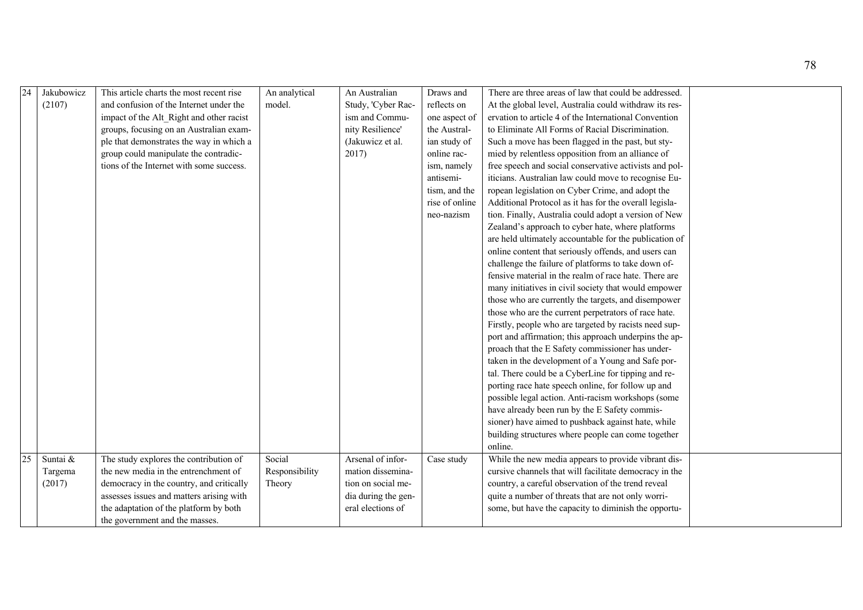| Jakubowicz<br>This article charts the most recent rise<br>An Australian<br>Draws and<br>There are three areas of law that could be addressed.<br>(2107)<br>and confusion of the Internet under the<br>model.<br>At the global level, Australia could withdraw its res-<br>Study, 'Cyber Rac-<br>reflects on<br>ism and Commu-<br>ervation to article 4 of the International Convention<br>impact of the Alt Right and other racist<br>one aspect of<br>to Eliminate All Forms of Racial Discrimination.<br>nity Resilience'<br>the Austral-<br>groups, focusing on an Australian exam-<br>ple that demonstrates the way in which a<br>(Jakuwicz et al.<br>Such a move has been flagged in the past, but sty-<br>ian study of<br>2017)<br>group could manipulate the contradic-<br>mied by relentless opposition from an alliance of<br>online rac-<br>tions of the Internet with some success.<br>free speech and social conservative activists and pol-<br>ism, namely<br>antisemi-<br>iticians. Australian law could move to recognise Eu-<br>ropean legislation on Cyber Crime, and adopt the<br>tism, and the<br>rise of online<br>Additional Protocol as it has for the overall legisla-<br>tion. Finally, Australia could adopt a version of New<br>neo-nazism<br>Zealand's approach to cyber hate, where platforms<br>are held ultimately accountable for the publication of<br>online content that seriously offends, and users can |  |               |  |                                                     |  |
|---------------------------------------------------------------------------------------------------------------------------------------------------------------------------------------------------------------------------------------------------------------------------------------------------------------------------------------------------------------------------------------------------------------------------------------------------------------------------------------------------------------------------------------------------------------------------------------------------------------------------------------------------------------------------------------------------------------------------------------------------------------------------------------------------------------------------------------------------------------------------------------------------------------------------------------------------------------------------------------------------------------------------------------------------------------------------------------------------------------------------------------------------------------------------------------------------------------------------------------------------------------------------------------------------------------------------------------------------------------------------------------------------------------------------------------------|--|---------------|--|-----------------------------------------------------|--|
|                                                                                                                                                                                                                                                                                                                                                                                                                                                                                                                                                                                                                                                                                                                                                                                                                                                                                                                                                                                                                                                                                                                                                                                                                                                                                                                                                                                                                                             |  | An analytical |  |                                                     |  |
|                                                                                                                                                                                                                                                                                                                                                                                                                                                                                                                                                                                                                                                                                                                                                                                                                                                                                                                                                                                                                                                                                                                                                                                                                                                                                                                                                                                                                                             |  |               |  |                                                     |  |
|                                                                                                                                                                                                                                                                                                                                                                                                                                                                                                                                                                                                                                                                                                                                                                                                                                                                                                                                                                                                                                                                                                                                                                                                                                                                                                                                                                                                                                             |  |               |  |                                                     |  |
|                                                                                                                                                                                                                                                                                                                                                                                                                                                                                                                                                                                                                                                                                                                                                                                                                                                                                                                                                                                                                                                                                                                                                                                                                                                                                                                                                                                                                                             |  |               |  |                                                     |  |
|                                                                                                                                                                                                                                                                                                                                                                                                                                                                                                                                                                                                                                                                                                                                                                                                                                                                                                                                                                                                                                                                                                                                                                                                                                                                                                                                                                                                                                             |  |               |  |                                                     |  |
|                                                                                                                                                                                                                                                                                                                                                                                                                                                                                                                                                                                                                                                                                                                                                                                                                                                                                                                                                                                                                                                                                                                                                                                                                                                                                                                                                                                                                                             |  |               |  |                                                     |  |
|                                                                                                                                                                                                                                                                                                                                                                                                                                                                                                                                                                                                                                                                                                                                                                                                                                                                                                                                                                                                                                                                                                                                                                                                                                                                                                                                                                                                                                             |  |               |  |                                                     |  |
|                                                                                                                                                                                                                                                                                                                                                                                                                                                                                                                                                                                                                                                                                                                                                                                                                                                                                                                                                                                                                                                                                                                                                                                                                                                                                                                                                                                                                                             |  |               |  |                                                     |  |
|                                                                                                                                                                                                                                                                                                                                                                                                                                                                                                                                                                                                                                                                                                                                                                                                                                                                                                                                                                                                                                                                                                                                                                                                                                                                                                                                                                                                                                             |  |               |  |                                                     |  |
|                                                                                                                                                                                                                                                                                                                                                                                                                                                                                                                                                                                                                                                                                                                                                                                                                                                                                                                                                                                                                                                                                                                                                                                                                                                                                                                                                                                                                                             |  |               |  |                                                     |  |
|                                                                                                                                                                                                                                                                                                                                                                                                                                                                                                                                                                                                                                                                                                                                                                                                                                                                                                                                                                                                                                                                                                                                                                                                                                                                                                                                                                                                                                             |  |               |  |                                                     |  |
|                                                                                                                                                                                                                                                                                                                                                                                                                                                                                                                                                                                                                                                                                                                                                                                                                                                                                                                                                                                                                                                                                                                                                                                                                                                                                                                                                                                                                                             |  |               |  |                                                     |  |
|                                                                                                                                                                                                                                                                                                                                                                                                                                                                                                                                                                                                                                                                                                                                                                                                                                                                                                                                                                                                                                                                                                                                                                                                                                                                                                                                                                                                                                             |  |               |  |                                                     |  |
|                                                                                                                                                                                                                                                                                                                                                                                                                                                                                                                                                                                                                                                                                                                                                                                                                                                                                                                                                                                                                                                                                                                                                                                                                                                                                                                                                                                                                                             |  |               |  |                                                     |  |
|                                                                                                                                                                                                                                                                                                                                                                                                                                                                                                                                                                                                                                                                                                                                                                                                                                                                                                                                                                                                                                                                                                                                                                                                                                                                                                                                                                                                                                             |  |               |  | challenge the failure of platforms to take down of- |  |
| fensive material in the realm of race hate. There are                                                                                                                                                                                                                                                                                                                                                                                                                                                                                                                                                                                                                                                                                                                                                                                                                                                                                                                                                                                                                                                                                                                                                                                                                                                                                                                                                                                       |  |               |  |                                                     |  |
| many initiatives in civil society that would empower                                                                                                                                                                                                                                                                                                                                                                                                                                                                                                                                                                                                                                                                                                                                                                                                                                                                                                                                                                                                                                                                                                                                                                                                                                                                                                                                                                                        |  |               |  |                                                     |  |
| those who are currently the targets, and disempower                                                                                                                                                                                                                                                                                                                                                                                                                                                                                                                                                                                                                                                                                                                                                                                                                                                                                                                                                                                                                                                                                                                                                                                                                                                                                                                                                                                         |  |               |  |                                                     |  |
| those who are the current perpetrators of race hate.                                                                                                                                                                                                                                                                                                                                                                                                                                                                                                                                                                                                                                                                                                                                                                                                                                                                                                                                                                                                                                                                                                                                                                                                                                                                                                                                                                                        |  |               |  |                                                     |  |
| Firstly, people who are targeted by racists need sup-                                                                                                                                                                                                                                                                                                                                                                                                                                                                                                                                                                                                                                                                                                                                                                                                                                                                                                                                                                                                                                                                                                                                                                                                                                                                                                                                                                                       |  |               |  |                                                     |  |
| port and affirmation; this approach underpins the ap-                                                                                                                                                                                                                                                                                                                                                                                                                                                                                                                                                                                                                                                                                                                                                                                                                                                                                                                                                                                                                                                                                                                                                                                                                                                                                                                                                                                       |  |               |  |                                                     |  |
| proach that the E Safety commissioner has under-                                                                                                                                                                                                                                                                                                                                                                                                                                                                                                                                                                                                                                                                                                                                                                                                                                                                                                                                                                                                                                                                                                                                                                                                                                                                                                                                                                                            |  |               |  |                                                     |  |
| taken in the development of a Young and Safe por-                                                                                                                                                                                                                                                                                                                                                                                                                                                                                                                                                                                                                                                                                                                                                                                                                                                                                                                                                                                                                                                                                                                                                                                                                                                                                                                                                                                           |  |               |  |                                                     |  |
| tal. There could be a CyberLine for tipping and re-                                                                                                                                                                                                                                                                                                                                                                                                                                                                                                                                                                                                                                                                                                                                                                                                                                                                                                                                                                                                                                                                                                                                                                                                                                                                                                                                                                                         |  |               |  |                                                     |  |
| porting race hate speech online, for follow up and                                                                                                                                                                                                                                                                                                                                                                                                                                                                                                                                                                                                                                                                                                                                                                                                                                                                                                                                                                                                                                                                                                                                                                                                                                                                                                                                                                                          |  |               |  |                                                     |  |
| possible legal action. Anti-racism workshops (some                                                                                                                                                                                                                                                                                                                                                                                                                                                                                                                                                                                                                                                                                                                                                                                                                                                                                                                                                                                                                                                                                                                                                                                                                                                                                                                                                                                          |  |               |  |                                                     |  |
| have already been run by the E Safety commis-                                                                                                                                                                                                                                                                                                                                                                                                                                                                                                                                                                                                                                                                                                                                                                                                                                                                                                                                                                                                                                                                                                                                                                                                                                                                                                                                                                                               |  |               |  |                                                     |  |
| sioner) have aimed to pushback against hate, while                                                                                                                                                                                                                                                                                                                                                                                                                                                                                                                                                                                                                                                                                                                                                                                                                                                                                                                                                                                                                                                                                                                                                                                                                                                                                                                                                                                          |  |               |  |                                                     |  |
| building structures where people can come together                                                                                                                                                                                                                                                                                                                                                                                                                                                                                                                                                                                                                                                                                                                                                                                                                                                                                                                                                                                                                                                                                                                                                                                                                                                                                                                                                                                          |  |               |  |                                                     |  |
| online.                                                                                                                                                                                                                                                                                                                                                                                                                                                                                                                                                                                                                                                                                                                                                                                                                                                                                                                                                                                                                                                                                                                                                                                                                                                                                                                                                                                                                                     |  |               |  |                                                     |  |
| 25<br>The study explores the contribution of<br>Social<br>Arsenal of infor-<br>Suntai &<br>While the new media appears to provide vibrant dis-<br>Case study                                                                                                                                                                                                                                                                                                                                                                                                                                                                                                                                                                                                                                                                                                                                                                                                                                                                                                                                                                                                                                                                                                                                                                                                                                                                                |  |               |  |                                                     |  |
| the new media in the entrenchment of<br>mation dissemina-<br>cursive channels that will facilitate democracy in the<br>Responsibility<br>Targema                                                                                                                                                                                                                                                                                                                                                                                                                                                                                                                                                                                                                                                                                                                                                                                                                                                                                                                                                                                                                                                                                                                                                                                                                                                                                            |  |               |  |                                                     |  |
| democracy in the country, and critically<br>tion on social me-<br>country, a careful observation of the trend reveal<br>(2017)<br>Theory                                                                                                                                                                                                                                                                                                                                                                                                                                                                                                                                                                                                                                                                                                                                                                                                                                                                                                                                                                                                                                                                                                                                                                                                                                                                                                    |  |               |  |                                                     |  |
| assesses issues and matters arising with<br>dia during the gen-<br>quite a number of threats that are not only worri-                                                                                                                                                                                                                                                                                                                                                                                                                                                                                                                                                                                                                                                                                                                                                                                                                                                                                                                                                                                                                                                                                                                                                                                                                                                                                                                       |  |               |  |                                                     |  |
| the adaptation of the platform by both<br>eral elections of<br>some, but have the capacity to diminish the opportu-                                                                                                                                                                                                                                                                                                                                                                                                                                                                                                                                                                                                                                                                                                                                                                                                                                                                                                                                                                                                                                                                                                                                                                                                                                                                                                                         |  |               |  |                                                     |  |
| the government and the masses.                                                                                                                                                                                                                                                                                                                                                                                                                                                                                                                                                                                                                                                                                                                                                                                                                                                                                                                                                                                                                                                                                                                                                                                                                                                                                                                                                                                                              |  |               |  |                                                     |  |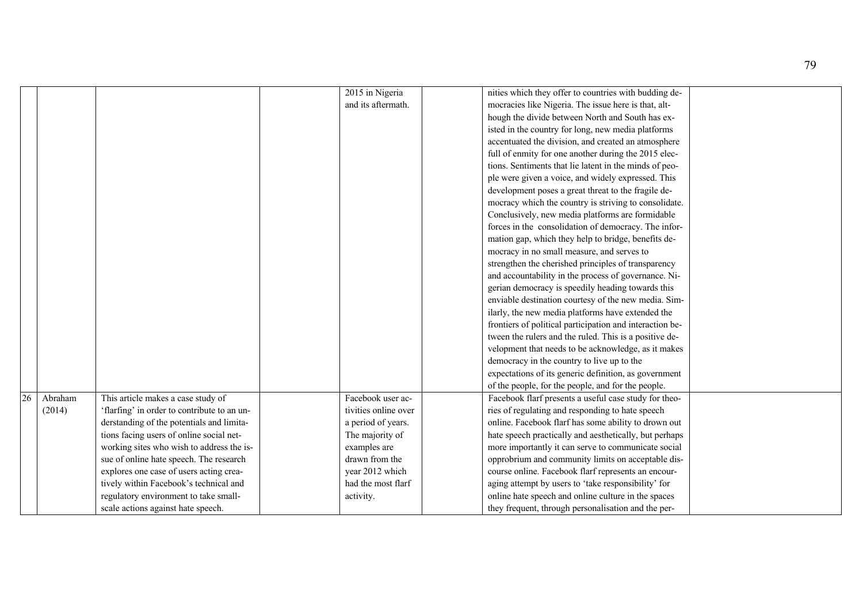|                            |                                             | 2015 in Nigeria      | nities which they offer to countries with budding de-    |  |
|----------------------------|---------------------------------------------|----------------------|----------------------------------------------------------|--|
|                            |                                             | and its aftermath.   | mocracies like Nigeria. The issue here is that, alt-     |  |
|                            |                                             |                      | hough the divide between North and South has ex-         |  |
|                            |                                             |                      | isted in the country for long, new media platforms       |  |
|                            |                                             |                      | accentuated the division, and created an atmosphere      |  |
|                            |                                             |                      | full of enmity for one another during the 2015 elec-     |  |
|                            |                                             |                      | tions. Sentiments that lie latent in the minds of peo-   |  |
|                            |                                             |                      | ple were given a voice, and widely expressed. This       |  |
|                            |                                             |                      | development poses a great threat to the fragile de-      |  |
|                            |                                             |                      | mocracy which the country is striving to consolidate.    |  |
|                            |                                             |                      | Conclusively, new media platforms are formidable         |  |
|                            |                                             |                      | forces in the consolidation of democracy. The infor-     |  |
|                            |                                             |                      | mation gap, which they help to bridge, benefits de-      |  |
|                            |                                             |                      | mocracy in no small measure, and serves to               |  |
|                            |                                             |                      | strengthen the cherished principles of transparency      |  |
|                            |                                             |                      | and accountability in the process of governance. Ni-     |  |
|                            |                                             |                      | gerian democracy is speedily heading towards this        |  |
|                            |                                             |                      | enviable destination courtesy of the new media. Sim-     |  |
|                            |                                             |                      | ilarly, the new media platforms have extended the        |  |
|                            |                                             |                      | frontiers of political participation and interaction be- |  |
|                            |                                             |                      | tween the rulers and the ruled. This is a positive de-   |  |
|                            |                                             |                      | velopment that needs to be acknowledge, as it makes      |  |
|                            |                                             |                      | democracy in the country to live up to the               |  |
|                            |                                             |                      | expectations of its generic definition, as government    |  |
|                            |                                             |                      | of the people, for the people, and for the people.       |  |
| $\overline{26}$<br>Abraham | This article makes a case study of          | Facebook user ac-    | Facebook flarf presents a useful case study for theo-    |  |
| (2014)                     | 'flarfing' in order to contribute to an un- | tivities online over | ries of regulating and responding to hate speech         |  |
|                            | derstanding of the potentials and limita-   | a period of years.   | online. Facebook flarf has some ability to drown out     |  |
|                            | tions facing users of online social net-    | The majority of      | hate speech practically and aesthetically, but perhaps   |  |
|                            | working sites who wish to address the is-   | examples are         | more importantly it can serve to communicate social      |  |
|                            | sue of online hate speech. The research     | drawn from the       | opprobrium and community limits on acceptable dis-       |  |
|                            | explores one case of users acting crea-     | year 2012 which      | course online. Facebook flarf represents an encour-      |  |
|                            | tively within Facebook's technical and      | had the most flarf   | aging attempt by users to 'take responsibility' for      |  |
|                            | regulatory environment to take small-       | activity.            | online hate speech and online culture in the spaces      |  |
|                            | scale actions against hate speech.          |                      | they frequent, through personalisation and the per-      |  |
|                            |                                             |                      |                                                          |  |

79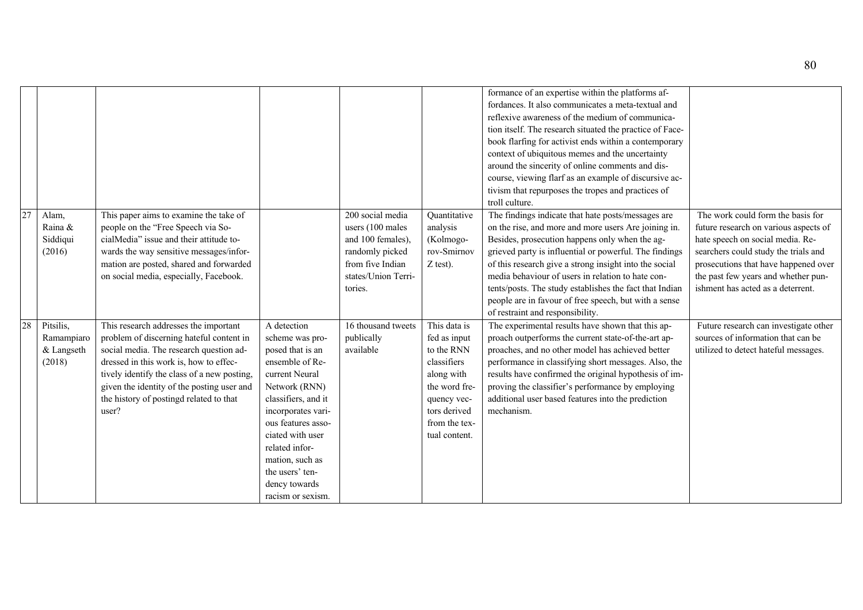|    |                           |                          |                                                                                                                                                                                                                                                                                                                         |                                                                                                                                                                                                                                                                                               |                                                                                                                                    |                                                                                                                                                           | formance of an expertise within the platforms af-<br>fordances. It also communicates a meta-textual and<br>reflexive awareness of the medium of communica-<br>tion itself. The research situated the practice of Face-<br>book flarfing for activist ends within a contemporary<br>context of ubiquitous memes and the uncertainty<br>around the sincerity of online comments and dis-<br>course, viewing flarf as an example of discursive ac-<br>tivism that repurposes the tropes and practices of<br>troll culture. |                                                                                                                                                                                                                                                                            |
|----|---------------------------|--------------------------|-------------------------------------------------------------------------------------------------------------------------------------------------------------------------------------------------------------------------------------------------------------------------------------------------------------------------|-----------------------------------------------------------------------------------------------------------------------------------------------------------------------------------------------------------------------------------------------------------------------------------------------|------------------------------------------------------------------------------------------------------------------------------------|-----------------------------------------------------------------------------------------------------------------------------------------------------------|-------------------------------------------------------------------------------------------------------------------------------------------------------------------------------------------------------------------------------------------------------------------------------------------------------------------------------------------------------------------------------------------------------------------------------------------------------------------------------------------------------------------------|----------------------------------------------------------------------------------------------------------------------------------------------------------------------------------------------------------------------------------------------------------------------------|
| 27 | Alam,<br>(2016)           | Raina &<br>Siddiqui      | This paper aims to examine the take of<br>people on the "Free Speech via So-<br>cialMedia" issue and their attitude to-<br>wards the way sensitive messages/infor-<br>mation are posted, shared and forwarded<br>on social media, especially, Facebook.                                                                 |                                                                                                                                                                                                                                                                                               | 200 social media<br>users (100 males<br>and 100 females),<br>randomly picked<br>from five Indian<br>states/Union Terri-<br>tories. | Quantitative<br>analysis<br>(Kolmogo-<br>rov-Smirnov<br>$Z$ test).                                                                                        | The findings indicate that hate posts/messages are<br>on the rise, and more and more users Are joining in.<br>Besides, prosecution happens only when the ag-<br>grieved party is influential or powerful. The findings<br>of this research give a strong insight into the social<br>media behaviour of users in relation to hate con-<br>tents/posts. The study establishes the fact that Indian<br>people are in favour of free speech, but with a sense<br>of restraint and responsibility.                           | The work could form the basis for<br>future research on various aspects of<br>hate speech on social media. Re-<br>searchers could study the trials and<br>prosecutions that have happened over<br>the past few years and whether pun-<br>ishment has acted as a deterrent. |
|    | 28<br>Pitsilis,<br>(2018) | Ramampiaro<br>& Langseth | This research addresses the important<br>problem of discerning hateful content in<br>social media. The research question ad-<br>dressed in this work is, how to effec-<br>tively identify the class of a new posting,<br>given the identity of the posting user and<br>the history of postingd related to that<br>user? | A detection<br>scheme was pro-<br>posed that is an<br>ensemble of Re-<br>current Neural<br>Network (RNN)<br>classifiers, and it<br>incorporates vari-<br>ous features asso-<br>ciated with user<br>related infor-<br>mation, such as<br>the users' ten-<br>dency towards<br>racism or sexism. | 16 thousand tweets<br>publically<br>available                                                                                      | This data is<br>fed as input<br>to the RNN<br>classifiers<br>along with<br>the word fre-<br>quency vec-<br>tors derived<br>from the tex-<br>tual content. | The experimental results have shown that this ap-<br>proach outperforms the current state-of-the-art ap-<br>proaches, and no other model has achieved better<br>performance in classifying short messages. Also, the<br>results have confirmed the original hypothesis of im-<br>proving the classifier's performance by employing<br>additional user based features into the prediction<br>mechanism.                                                                                                                  | Future research can investigate other<br>sources of information that can be<br>utilized to detect hateful messages.                                                                                                                                                        |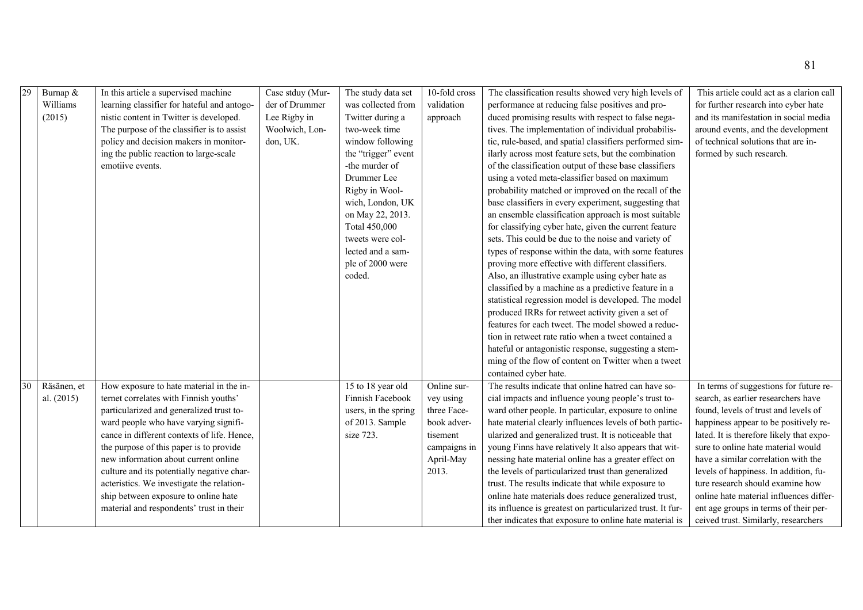| $\overline{29}$ | Burnap &     | In this article a supervised machine        | Case stduy (Mur- | The study data set   | 10-fold cross | The classification results showed very high levels of      | This article could act as a clarion call |
|-----------------|--------------|---------------------------------------------|------------------|----------------------|---------------|------------------------------------------------------------|------------------------------------------|
|                 | Williams     | learning classifier for hateful and antogo- | der of Drummer   | was collected from   | validation    | performance at reducing false positives and pro-           | for further research into cyber hate     |
|                 | (2015)       | nistic content in Twitter is developed.     | Lee Rigby in     | Twitter during a     | approach      | duced promising results with respect to false nega-        | and its manifestation in social media    |
|                 |              | The purpose of the classifier is to assist  | Woolwich, Lon-   | two-week time        |               | tives. The implementation of individual probabilis-        | around events, and the development       |
|                 |              | policy and decision makers in monitor-      | don, UK.         | window following     |               | tic, rule-based, and spatial classifiers performed sim-    | of technical solutions that are in-      |
|                 |              | ing the public reaction to large-scale      |                  | the "trigger" event  |               | ilarly across most feature sets, but the combination       | formed by such research.                 |
|                 |              | emotiive events.                            |                  | -the murder of       |               | of the classification output of these base classifiers     |                                          |
|                 |              |                                             |                  | Drummer Lee          |               | using a voted meta-classifier based on maximum             |                                          |
|                 |              |                                             |                  | Rigby in Wool-       |               | probability matched or improved on the recall of the       |                                          |
|                 |              |                                             |                  | wich, London, UK     |               | base classifiers in every experiment, suggesting that      |                                          |
|                 |              |                                             |                  | on May 22, 2013.     |               | an ensemble classification approach is most suitable       |                                          |
|                 |              |                                             |                  | Total 450,000        |               | for classifying cyber hate, given the current feature      |                                          |
|                 |              |                                             |                  | tweets were col-     |               | sets. This could be due to the noise and variety of        |                                          |
|                 |              |                                             |                  | lected and a sam-    |               | types of response within the data, with some features      |                                          |
|                 |              |                                             |                  | ple of 2000 were     |               | proving more effective with different classifiers.         |                                          |
|                 |              |                                             |                  | coded.               |               | Also, an illustrative example using cyber hate as          |                                          |
|                 |              |                                             |                  |                      |               | classified by a machine as a predictive feature in a       |                                          |
|                 |              |                                             |                  |                      |               | statistical regression model is developed. The model       |                                          |
|                 |              |                                             |                  |                      |               | produced IRRs for retweet activity given a set of          |                                          |
|                 |              |                                             |                  |                      |               | features for each tweet. The model showed a reduc-         |                                          |
|                 |              |                                             |                  |                      |               | tion in retweet rate ratio when a tweet contained a        |                                          |
|                 |              |                                             |                  |                      |               | hateful or antagonistic response, suggesting a stem-       |                                          |
|                 |              |                                             |                  |                      |               | ming of the flow of content on Twitter when a tweet        |                                          |
|                 |              |                                             |                  |                      |               | contained cyber hate.                                      |                                          |
| 30              | Räsänen, et  | How exposure to hate material in the in-    |                  | 15 to 18 year old    | Online sur-   | The results indicate that online hatred can have so-       | In terms of suggestions for future re-   |
|                 | al. $(2015)$ | ternet correlates with Finnish youths'      |                  | Finnish Facebook     | vey using     | cial impacts and influence young people's trust to-        | search, as earlier researchers have      |
|                 |              | particularized and generalized trust to-    |                  | users, in the spring | three Face-   | ward other people. In particular, exposure to online       | found, levels of trust and levels of     |
|                 |              | ward people who have varying signifi-       |                  | of 2013. Sample      | book adver-   | hate material clearly influences levels of both partic-    | happiness appear to be positively re-    |
|                 |              | cance in different contexts of life. Hence, |                  | size 723.            | tisement      | ularized and generalized trust. It is noticeable that      | lated. It is therefore likely that expo- |
|                 |              | the purpose of this paper is to provide     |                  |                      | campaigns in  | young Finns have relatively It also appears that wit-      | sure to online hate material would       |
|                 |              | new information about current online        |                  |                      | April-May     | nessing hate material online has a greater effect on       | have a similar correlation with the      |
|                 |              | culture and its potentially negative char-  |                  |                      | 2013.         | the levels of particularized trust than generalized        | levels of happiness. In addition, fu-    |
|                 |              | acteristics. We investigate the relation-   |                  |                      |               | trust. The results indicate that while exposure to         | ture research should examine how         |
|                 |              | ship between exposure to online hate        |                  |                      |               | online hate materials does reduce generalized trust,       | online hate material influences differ-  |
|                 |              | material and respondents' trust in their    |                  |                      |               | its influence is greatest on particularized trust. It fur- | ent age groups in terms of their per-    |
|                 |              |                                             |                  |                      |               | ther indicates that exposure to online hate material is    | ceived trust. Similarly, researchers     |